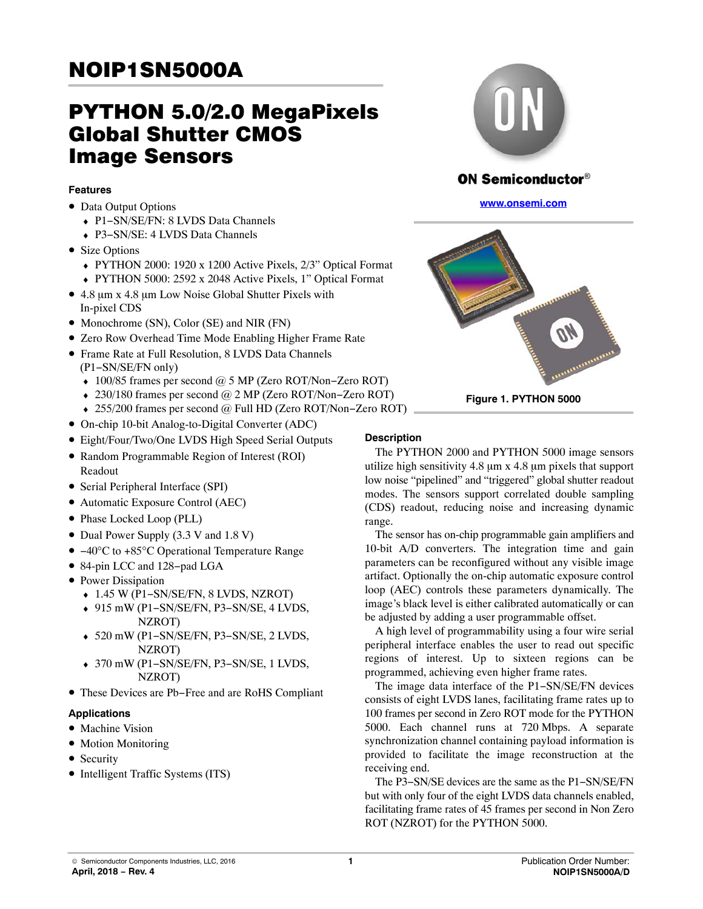# $\frac{1}{1}$

## PYTHON 5.0/2.0 MegaPixels **Image Sensors** Image Sensors

#### **Features**

- Data Output Options
	- ♦ P1−SN/SE/FN: 8 LVDS Data Channels
	- ♦ P3−SN/SE: 4 LVDS Data Channels
- Size Options
	- ♦ PYTHON 2000: 1920 x 1200 Active Pixels, 2/3" Optical Format
	- ♦ PYTHON 5000: 2592 x 2048 Active Pixels, 1" Optical Format
- 4.8 µm x 4.8 µm Low Noise Global Shutter Pixels with In-pixel CDS
- Monochrome (SN), Color (SE) and NIR (FN)
- Zero Row Overhead Time Mode Enabling Higher Frame Rate
- Frame Rate at Full Resolution, 8 LVDS Data Channels (P1−SN/SE/FN only)
	- ♦ 100/85 frames per second @ 5 MP (Zero ROT/Non−Zero ROT)
	- ♦ 230/180 frames per second @ 2 MP (Zero ROT/Non−Zero ROT)
	- ♦ 255/200 frames per second @ Full HD (Zero ROT/Non−Zero ROT)
- On-chip 10-bit Analog-to-Digital Converter (ADC)
- Eight/Four/Two/One LVDS High Speed Serial Outputs
- Random Programmable Region of Interest (ROI) Readout
- Serial Peripheral Interface (SPI)
- Automatic Exposure Control (AEC)
- Phase Locked Loop (PLL)
- Dual Power Supply (3.3 V and 1.8 V)
- −40°C to +85°C Operational Temperature Range
- 84-pin LCC and 128−pad LGA
- Power Dissipation
	- ♦ 1.45 W (P1−SN/SE/FN, 8 LVDS, NZROT)
	- ♦ 915 mW (P1−SN/SE/FN, P3−SN/SE, 4 LVDS, NZROT)
	- ♦ 520 mW (P1−SN/SE/FN, P3−SN/SE, 2 LVDS, NZROT)
	- ♦ 370 mW (P1−SN/SE/FN, P3−SN/SE, 1 LVDS, NZROT)
- These Devices are Pb−Free and are RoHS Compliant

#### **Applications**

- Machine Vision
- Motion Monitoring
- Security
- Intelligent Traffic Systems (ITS)



#### **ON Semiconductor®**

**[www.onsemi.com](http://onsemi.com)**



**Figure 1. PYTHON 5000**

#### **Description**

The PYTHON 2000 and PYTHON 5000 image sensors utilize high sensitivity  $4.8 \mu m \times 4.8 \mu m$  pixels that support low noise "pipelined" and "triggered" global shutter readout modes. The sensors support correlated double sampling (CDS) readout, reducing noise and increasing dynamic range.

The sensor has on-chip programmable gain amplifiers and 10-bit A/D converters. The integration time and gain parameters can be reconfigured without any visible image artifact. Optionally the on-chip automatic exposure control loop (AEC) controls these parameters dynamically. The image's black level is either calibrated automatically or can be adjusted by adding a user programmable offset.

A high level of programmability using a four wire serial peripheral interface enables the user to read out specific regions of interest. Up to sixteen regions can be programmed, achieving even higher frame rates.

The image data interface of the P1−SN/SE/FN devices consists of eight LVDS lanes, facilitating frame rates up to 100 frames per second in Zero ROT mode for the PYTHON 5000. Each channel runs at 720 Mbps. A separate synchronization channel containing payload information is provided to facilitate the image reconstruction at the receiving end.

The P3−SN/SE devices are the same as the P1−SN/SE/FN but with only four of the eight LVDS data channels enabled, facilitating frame rates of 45 frames per second in Non Zero ROT (NZROT) for the PYTHON 5000.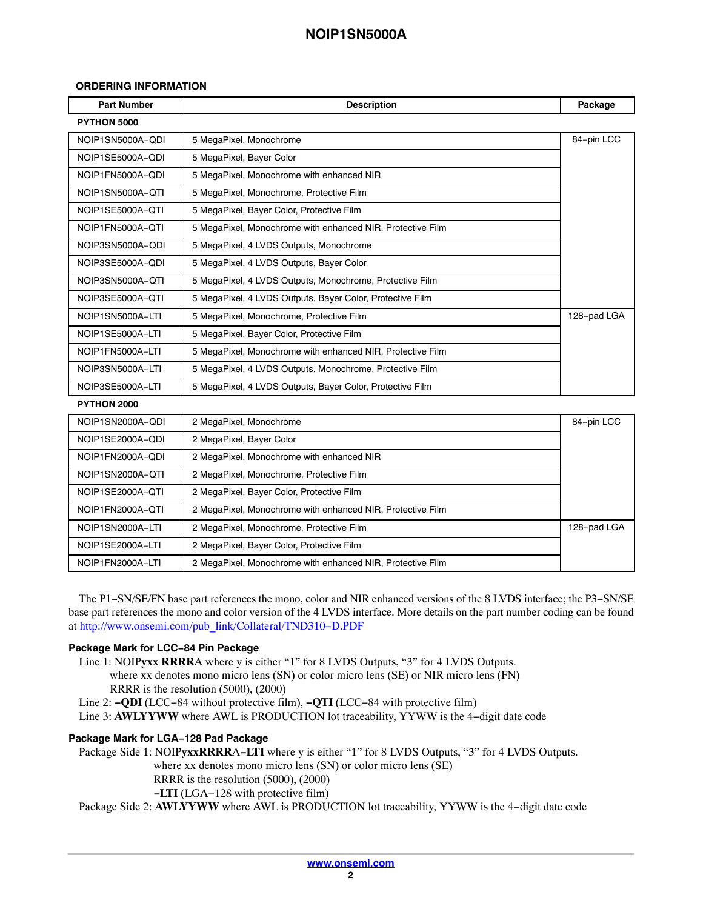#### **ORDERING INFORMATION**

| <b>Part Number</b> | <b>Description</b>                                         | Package     |
|--------------------|------------------------------------------------------------|-------------|
| PYTHON 5000        |                                                            |             |
| NOIP1SN5000A-QDI   | 5 MegaPixel, Monochrome                                    | 84-pin LCC  |
| NOIP1SE5000A-QDI   | 5 MegaPixel, Bayer Color                                   |             |
| NOIP1FN5000A-QDI   | 5 MegaPixel, Monochrome with enhanced NIR                  |             |
| NOIP1SN5000A-QTI   | 5 MegaPixel, Monochrome, Protective Film                   |             |
| NOIP1SE5000A-QTI   | 5 MegaPixel, Bayer Color, Protective Film                  |             |
| NOIP1FN5000A-QTI   | 5 MegaPixel, Monochrome with enhanced NIR, Protective Film |             |
| NOIP3SN5000A-QDI   | 5 MegaPixel, 4 LVDS Outputs, Monochrome                    |             |
| NOIP3SE5000A-QDI   | 5 MegaPixel, 4 LVDS Outputs, Bayer Color                   |             |
| NOIP3SN5000A-QTI   | 5 MegaPixel, 4 LVDS Outputs, Monochrome, Protective Film   |             |
| NOIP3SE5000A-QTI   | 5 MegaPixel, 4 LVDS Outputs, Bayer Color, Protective Film  |             |
| NOIP1SN5000A-LTI   | 5 MegaPixel, Monochrome, Protective Film                   | 128-pad LGA |
| NOIP1SE5000A-LTI   | 5 MegaPixel, Bayer Color, Protective Film                  |             |
| NOIP1FN5000A-LTI   | 5 MegaPixel, Monochrome with enhanced NIR, Protective Film |             |
| NOIP3SN5000A-LTI   | 5 MegaPixel, 4 LVDS Outputs, Monochrome, Protective Film   |             |
| NOIP3SE5000A-LTI   | 5 MegaPixel, 4 LVDS Outputs, Bayer Color, Protective Film  |             |
| PYTHON 2000        |                                                            |             |
| NOIP1SN2000A-QDI   | 2 MegaPixel, Monochrome                                    | 84-pin LCC  |
| NOIP1SE2000A-QDI   | 2 MegaPixel, Bayer Color                                   |             |
| NOIP1FN2000A-QDI   | 2 MegaPixel, Monochrome with enhanced NIR                  |             |
| NOIP1SN2000A-QTI   | 2 MegaPixel, Monochrome, Protective Film                   |             |
| NOIP1SE2000A-QTI   | 2 MegaPixel, Bayer Color, Protective Film                  |             |
| NOIP1FN2000A-QTI   | 2 MegaPixel, Monochrome with enhanced NIR, Protective Film |             |
| NOIP1SN2000A-LTI   | 2 MegaPixel, Monochrome, Protective Film                   | 128-pad LGA |
| NOIP1SE2000A-LTI   | 2 MegaPixel, Bayer Color, Protective Film                  |             |
| NOIP1FN2000A-LTI   | 2 MegaPixel, Monochrome with enhanced NIR, Protective Film |             |

The P1−SN/SE/FN base part references the mono, color and NIR enhanced versions of the 8 LVDS interface; the P3−SN/SE base part references the mono and color version of the 4 LVDS interface. More details on the part number coding can be found at [http://www.onsemi.com/pub\\_link/Collateral/TND310](http://www.onsemi.com/pub_link/Collateral/TND310-D.PDF)−D.PDF

#### **Package Mark for LCC−84 Pin Package**

- Line 1: NOIP**yxx RRRR**A where y is either "1" for 8 LVDS Outputs, "3" for 4 LVDS Outputs. where xx denotes mono micro lens (SN) or color micro lens (SE) or NIR micro lens (FN)
	- RRRR is the resolution (5000), (2000)
- Line 2: **−QDI** (LCC−84 without protective film), **−QTI** (LCC−84 with protective film)
- Line 3: **AWLYYWW** where AWL is PRODUCTION lot traceability, YYWW is the 4−digit date code

#### **Package Mark for LGA−128 Pad Package**

- Package Side 1: NOIP**yxxRRRR**A**−LTI** where y is either "1" for 8 LVDS Outputs, "3" for 4 LVDS Outputs.
	- where xx denotes mono micro lens (SN) or color micro lens (SE)
		- RRRR is the resolution (5000), (2000)
		- **−LTI** (LGA−128 with protective film)

Package Side 2: **AWLYYWW** where AWL is PRODUCTION lot traceability, YYWW is the 4−digit date code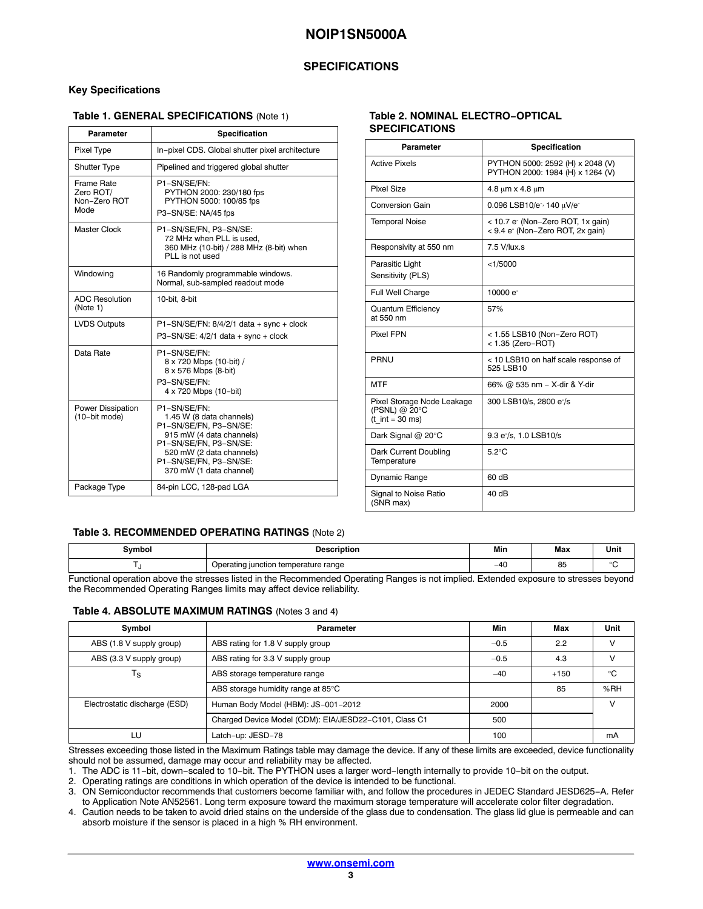#### **SPECIFICATIONS**

#### **Key Specifications**

#### **Table 1. GENERAL SPECIFICATIONS** (Note 1)

| <b>Parameter</b>                                       | Specification                                                                                                                                                                                             |
|--------------------------------------------------------|-----------------------------------------------------------------------------------------------------------------------------------------------------------------------------------------------------------|
| Pixel Type                                             | In-pixel CDS. Global shutter pixel architecture                                                                                                                                                           |
| <b>Shutter Type</b>                                    | Pipelined and triggered global shutter                                                                                                                                                                    |
| <b>Frame Rate</b><br>Zero ROT/<br>Non-Zero ROT<br>Mode | P1-SN/SE/FN:<br>PYTHON 2000: 230/180 fps<br>PYTHON 5000: 100/85 fps<br>P3-SN/SE: NA/45 fps                                                                                                                |
| Master Clock                                           | P1-SN/SE/FN, P3-SN/SE:<br>72 MHz when PLL is used,<br>360 MHz (10-bit) / 288 MHz (8-bit) when<br>PLL is not used                                                                                          |
| Windowing                                              | 16 Randomly programmable windows.<br>Normal, sub-sampled readout mode                                                                                                                                     |
| <b>ADC Resolution</b><br>(Note 1)                      | 10-bit, 8-bit                                                                                                                                                                                             |
| <b>LVDS Outputs</b>                                    | $P1-SN/SE/FN: 8/4/2/1$ data + sync + clock<br>$P3-SN/SE$ : 4/2/1 data + sync + clock                                                                                                                      |
| Data Rate                                              | P1-SN/SE/FN:<br>8 x 720 Mbps (10-bit) /<br>8 x 576 Mbps (8-bit)<br>P3-SN/SE/FN:<br>4 x 720 Mbps (10-bit)                                                                                                  |
| Power Dissipation<br>(10-bit mode)                     | P1-SN/SE/FN:<br>1.45 W (8 data channels)<br>P1-SN/SE/FN, P3-SN/SE:<br>915 mW (4 data channels)<br>P1-SN/SE/FN. P3-SN/SE:<br>520 mW (2 data channels)<br>P1-SN/SE/FN, P3-SN/SE:<br>370 mW (1 data channel) |
| Package Type                                           | 84-pin LCC, 128-pad LGA                                                                                                                                                                                   |

#### **Table 2. NOMINAL ELECTRO−OPTICAL SPECIFICATIONS**

| <b>Parameter</b>                                                                 | <b>Specification</b>                                                                          |
|----------------------------------------------------------------------------------|-----------------------------------------------------------------------------------------------|
| <b>Active Pixels</b>                                                             | PYTHON 5000: 2592 (H) x 2048 (V)<br>PYTHON 2000: 1984 (H) x 1264 (V)                          |
| <b>Pixel Size</b>                                                                | 4.8 um x 4.8 um                                                                               |
| <b>Conversion Gain</b>                                                           | 0.096 LSB10/e-, 140 µV/e-                                                                     |
| <b>Temporal Noise</b>                                                            | < 10.7 e <sup>-</sup> (Non-Zero ROT, 1x gain)<br>< 9.4 e <sup>-</sup> (Non-Zero ROT, 2x gain) |
| Responsivity at 550 nm                                                           | 7.5 V/lux.s                                                                                   |
| Parasitic Light<br>Sensitivity (PLS)                                             | $<$ 1/5000                                                                                    |
| Full Well Charge                                                                 | 10000 e <sup>-</sup>                                                                          |
| <b>Quantum Efficiency</b><br>at 550 nm                                           | 57%                                                                                           |
| Pixel FPN                                                                        | < 1.55 LSB10 (Non-Zero ROT)<br>< 1.35 (Zero-ROT)                                              |
| <b>PRNU</b>                                                                      | < 10 LSB10 on half scale response of<br>525 LSB10                                             |
| <b>MTF</b>                                                                       | 66% @ 535 nm - X-dir & Y-dir                                                                  |
| Pixel Storage Node Leakage<br>(PSNL) @ 20°C<br>$(t \text{ int} = 30 \text{ ms})$ | 300 LSB10/s, 2800 e-/s                                                                        |
| Dark Signal @ 20°C                                                               | 9.3 e <sup>-/</sup> s, 1.0 LSB10/s                                                            |
| Dark Current Doubling<br>Temperature                                             | $5.2^{\circ}$ C                                                                               |
| <b>Dynamic Range</b>                                                             | 60 dB                                                                                         |
| Signal to Noise Ratio<br>(SNR max)                                               | 40 dB                                                                                         |

#### **Table 3. RECOMMENDED OPERATING RATINGS** (Note 2)

| 3vmbol                                                                                                                                     | Description                          | Min   | Max | Unit   |  |
|--------------------------------------------------------------------------------------------------------------------------------------------|--------------------------------------|-------|-----|--------|--|
|                                                                                                                                            | Operating junction temperature range | $-40$ |     | $\sim$ |  |
| Eunetianal anaration abous the etrescos listed in the Decennanceded Onaration Densee is not implied. Eutenaled sympaure to streages housed |                                      |       |     |        |  |

Functional operation above the stresses listed in the Recommended Operating Ranges is not implied. Extended exposure to stresses beyond the Recommended Operating Ranges limits may affect device reliability.

#### **Table 4. ABSOLUTE MAXIMUM RATINGS** (Notes 3 and 4)

| Symbol                        | Parameter                                             | Min    | Max    | Unit   |
|-------------------------------|-------------------------------------------------------|--------|--------|--------|
| ABS (1.8 V supply group)      | ABS rating for 1.8 V supply group                     | $-0.5$ | 2.2    | v      |
| ABS (3.3 V supply group)      | ABS rating for 3.3 V supply group                     | $-0.5$ | 4.3    | $\vee$ |
| $\mathsf{T}_\mathsf{S}$       | ABS storage temperature range                         | $-40$  | $+150$ | ்С     |
|                               | ABS storage humidity range at 85°C                    |        | 85     | %RH    |
| Electrostatic discharge (ESD) | Human Body Model (HBM): JS-001-2012                   | 2000   |        | v      |
|                               | Charged Device Model (CDM): EIA/JESD22-C101, Class C1 | 500    |        |        |
| LU                            | Latch-up: JESD-78                                     | 100    |        | mA     |

Stresses exceeding those listed in the Maximum Ratings table may damage the device. If any of these limits are exceeded, device functionality should not be assumed, damage may occur and reliability may be affected.

1. The ADC is 11−bit, down−scaled to 10−bit. The PYTHON uses a larger word−length internally to provide 10−bit on the output.

2. Operating ratings are conditions in which operation of the device is intended to be functional.

3. ON Semiconductor recommends that customers become familiar with, and follow the procedures in JEDEC Standard JESD625−A. Refer to Application Note AN52561. Long term exposure toward the maximum storage temperature will accelerate color filter degradation.

4. Caution needs to be taken to avoid dried stains on the underside of the glass due to condensation. The glass lid glue is permeable and can absorb moisture if the sensor is placed in a high % RH environment.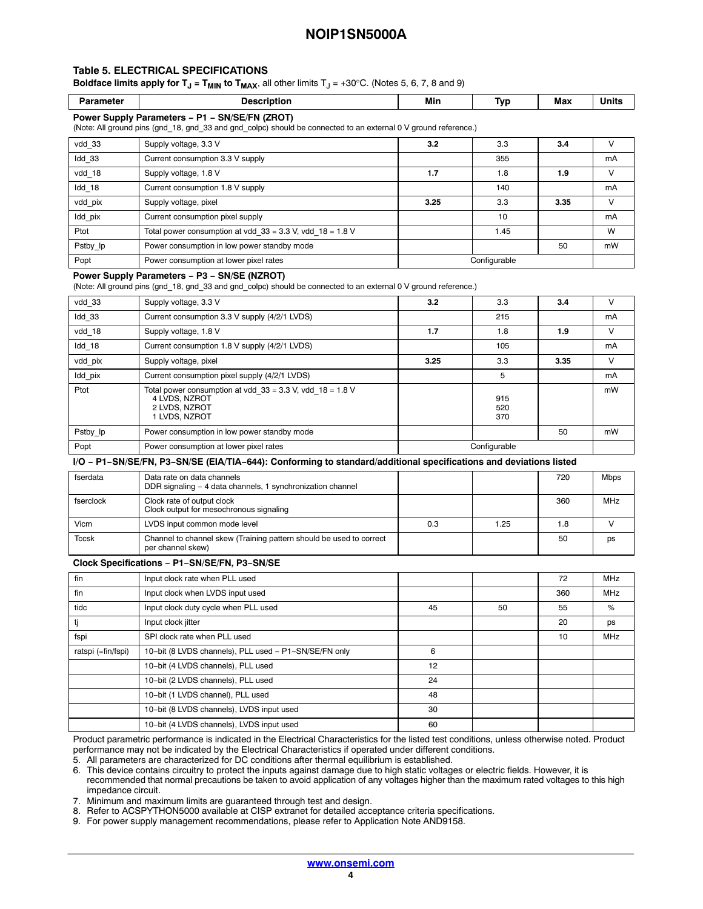#### <span id="page-3-0"></span>**Table 5. ELECTRICAL SPECIFICATIONS**

**Boldface limits apply for T<sub>J</sub> = T<sub>MIN</sub> to T<sub>MAX</sub>, all other limits T<sub>J</sub> = +30°C. (Notes [5, 6, 7,](#page-4-0) [8](#page-4-0) and [9](#page-4-0))** 

| Min<br>Units<br>мах<br>------<br>Tvr.<br>، ۱ρ |
|-----------------------------------------------|
|-----------------------------------------------|

#### **Power Supply Parameters − P1 − SN/SE/FN (ZROT)**

(Note: All ground pins (gnd\_18, gnd\_33 and gnd\_colpc) should be connected to an external 0 V ground reference.)

| vdd 33             | Supply voltage, 3.3 V                                         | 3.2  | 3.3          | 3.4  |    |
|--------------------|---------------------------------------------------------------|------|--------------|------|----|
| $Idd_33$           | Current consumption 3.3 V supply                              |      | 355          |      | mA |
| vdd 18             | Supply voltage, 1.8 V                                         | 1.7  | 1.8          | 1.9  | v  |
| $\mathsf{Idd}\_18$ | Current consumption 1.8 V supply                              |      | 140          |      | mA |
| vdd pix            | Supply voltage, pixel                                         | 3.25 | 3.3          | 3.35 | V  |
| Idd pix            | Current consumption pixel supply                              |      | 10           |      | mA |
| Ptot               | Total power consumption at vdd $33 = 3.3$ V, vdd $18 = 1.8$ V |      | 1.45         |      | W  |
| Pstby Ip           | Power consumption in low power standby mode                   |      |              | 50   | mW |
| Popt               | Power consumption at lower pixel rates                        |      | Configurable |      |    |

#### **Power Supply Parameters − P3 − SN/SE (NZROT)**

(Note: All ground pins (gnd\_18, gnd\_33 and gnd\_colpc) should be connected to an external 0 V ground reference.)

| vdd 33   | Supply voltage, 3.3 V                                                                                            | 3.2  | 3.3               | 3.4  | ν  |
|----------|------------------------------------------------------------------------------------------------------------------|------|-------------------|------|----|
| ldd_33   | Current consumption 3.3 V supply (4/2/1 LVDS)                                                                    |      | 215               |      | mA |
| vdd 18   | Supply voltage, 1.8 V                                                                                            | 1.7  | 1.8               | 1.9  | v  |
| Idd 18   | Current consumption 1.8 V supply (4/2/1 LVDS)                                                                    |      | 105               |      | mA |
| vdd pix  | Supply voltage, pixel                                                                                            | 3.25 | 3.3               | 3.35 | ν  |
| Idd pix  | Current consumption pixel supply (4/2/1 LVDS)                                                                    |      | 5                 |      | mA |
| Ptot     | Total power consumption at vdd $33 = 3.3$ V, vdd $18 = 1.8$ V<br>4 LVDS, NZROT<br>2 LVDS, NZROT<br>1 LVDS. NZROT |      | 915<br>520<br>370 |      | mW |
| Pstby Ip | Power consumption in low power standby mode                                                                      |      |                   | 50   | mW |
| Popt     | Power consumption at lower pixel rates                                                                           |      | Configurable      |      |    |

#### **I/O − P1−SN/SE/FN, P3−SN/SE (EIA/TIA−644): Conforming to standard/additional specifications and deviations listed**

| fserdata     | Data rate on data channels<br>DDR signaling - 4 data channels, 1 synchronization channel |     |      | 720 | <b>Mbps</b> |
|--------------|------------------------------------------------------------------------------------------|-----|------|-----|-------------|
| fserclock    | Clock rate of output clock<br>Clock output for mesochronous signaling                    |     |      | 360 | <b>MHz</b>  |
| Vicm         | LVDS input common mode level                                                             | 0.3 | 1.25 | 1.8 |             |
| <b>Tccsk</b> | Channel to channel skew (Training pattern should be used to correct<br>per channel skew) |     |      | 50  | ps          |

#### **Clock Specifications − P1−SN/SE/FN, P3−SN/SE**

| fin                | Input clock rate when PLL used                        |    |    | 72  | <b>MHz</b> |
|--------------------|-------------------------------------------------------|----|----|-----|------------|
| fin                | Input clock when LVDS input used                      |    |    | 360 | <b>MHz</b> |
| tidc               | Input clock duty cycle when PLL used                  | 45 | 50 | 55  | %          |
| tj                 | Input clock jitter                                    |    |    | 20  | ps         |
| fspi               | SPI clock rate when PLL used                          |    |    | 10  | <b>MHz</b> |
| ratspi (=fin/fspi) | 10-bit (8 LVDS channels), PLL used - P1-SN/SE/FN only | 6  |    |     |            |
|                    | 10-bit (4 LVDS channels), PLL used                    | 12 |    |     |            |
|                    | 10-bit (2 LVDS channels), PLL used                    | 24 |    |     |            |
|                    | 10-bit (1 LVDS channel), PLL used                     | 48 |    |     |            |
|                    | 10-bit (8 LVDS channels), LVDS input used             | 30 |    |     |            |
|                    | 10-bit (4 LVDS channels), LVDS input used             | 60 |    |     |            |

Product parametric performance is indicated in the Electrical Characteristics for the listed test conditions, unless otherwise noted. Product performance may not be indicated by the Electrical Characteristics if operated under different conditions.

[5](#page-4-0). All parameters are characterized for DC conditions after thermal equilibrium is established.

[6](#page-4-0). This device contains circuitry to protect the inputs against damage due to high static voltages or electric fields. However, it is recommended that normal precautions be taken to avoid application of any voltages higher than the maximum rated voltages to this high impedance circuit.

[7](#page-4-0). Minimum and maximum limits are guaranteed through test and design.

[8](#page-4-0). Refer to ACSPYTHON5000 available at CISP extranet for detailed acceptance criteria specifications.

[9](#page-4-0). For power supply management recommendations, please refer to Application Note AND9158.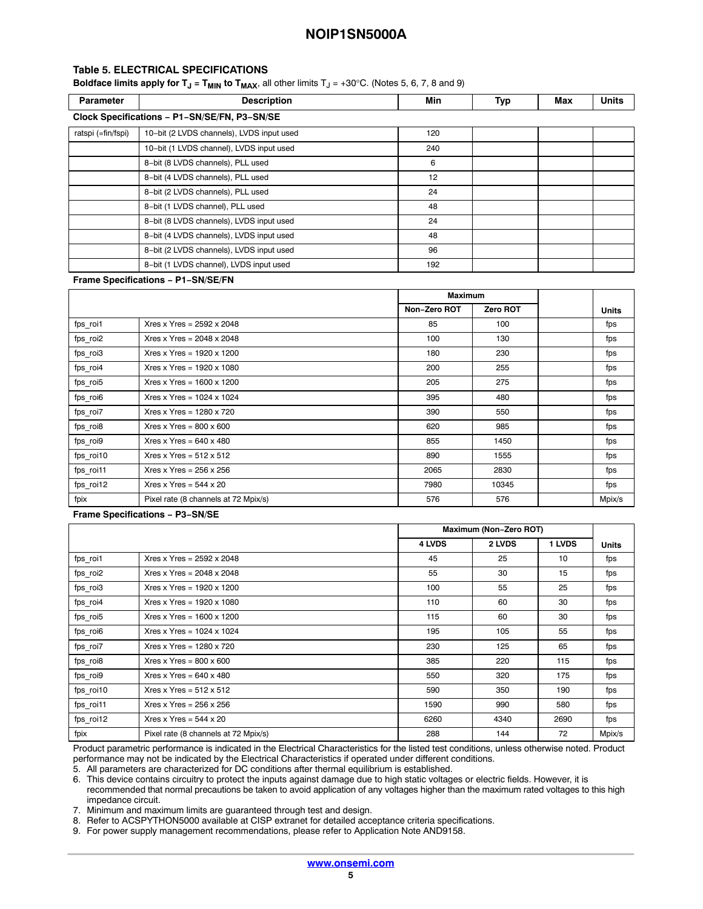#### <span id="page-4-0"></span>**Table [5](#page-3-0). ELECTRICAL SPECIFICATIONS**

**Boldface limits apply for T<sub>J</sub> = T<sub>MIN</sub> to T<sub>MAX</sub>, all other limits T<sub>J</sub> = +30°C. (Notes 5, 6, 7, 8 and 9)** 

| <b>Parameter</b>                             | <b>Description</b>                        | Min | Typ | Max | <b>Units</b> |  |
|----------------------------------------------|-------------------------------------------|-----|-----|-----|--------------|--|
| Clock Specifications - P1-SN/SE/FN, P3-SN/SE |                                           |     |     |     |              |  |
| ratspi (=fin/fspi)                           | 10-bit (2 LVDS channels), LVDS input used | 120 |     |     |              |  |
|                                              | 10-bit (1 LVDS channel), LVDS input used  | 240 |     |     |              |  |
|                                              | 8-bit (8 LVDS channels), PLL used         | 6   |     |     |              |  |
|                                              | 8-bit (4 LVDS channels), PLL used         | 12  |     |     |              |  |
|                                              | 8-bit (2 LVDS channels), PLL used         | 24  |     |     |              |  |
|                                              | 8-bit (1 LVDS channel), PLL used          | 48  |     |     |              |  |
|                                              | 8-bit (8 LVDS channels), LVDS input used  | 24  |     |     |              |  |
|                                              | 8-bit (4 LVDS channels), LVDS input used  | 48  |     |     |              |  |
|                                              | 8-bit (2 LVDS channels), LVDS input used  | 96  |     |     |              |  |
|                                              | 8-bit (1 LVDS channel), LVDS input used   | 192 |     |     |              |  |

#### **Frame Specifications − P1−SN/SE/FN**

|           |                                      | <b>Maximum</b> |          |        |
|-----------|--------------------------------------|----------------|----------|--------|
|           |                                      | Non-Zero ROT   | Zero ROT | Units  |
| fps roi1  | Xres x Yres = $2592 \times 2048$     | 85             | 100      | fps    |
| fps roi2  | Xres x Yres = $2048 \times 2048$     | 100            | 130      | fps    |
| fps_roi3  | Xres x Yres = $1920 \times 1200$     | 180            | 230      | fps    |
| fps_roi4  | Xres x Yres = $1920 \times 1080$     | 200            | 255      | fps    |
| fps_roi5  | Xres x Yres = $1600 \times 1200$     | 205            | 275      | fps    |
| fps_roi6  | Xres x Yres = $1024 \times 1024$     | 395            | 480      | fps    |
| fps_roi7  | Xres x Yres = $1280 \times 720$      | 390            | 550      | fps    |
| fps_roi8  | Xres x Yres = $800 \times 600$       | 620            | 985      | fps    |
| fps_roi9  | Xres x Yres = $640 \times 480$       | 855            | 1450     | fps    |
| fps roi10 | Xres x Yres = $512 \times 512$       | 890            | 1555     | fps    |
| fps roi11 | Xres x Yres = $256 \times 256$       | 2065           | 2830     | fps    |
| fps roi12 | Xres x Yres = $544 \times 20$        | 7980           | 10345    | fps    |
| fpix      | Pixel rate (8 channels at 72 Mpix/s) | 576            | 576      | Mpix/s |

#### **Frame Specifications − P3−SN/SE**

|           |                                      |               | <b>Maximum (Non-Zero ROT)</b> |               |        |  |
|-----------|--------------------------------------|---------------|-------------------------------|---------------|--------|--|
|           |                                      | <b>4 LVDS</b> | <b>2 LVDS</b>                 | <b>1 LVDS</b> | Units  |  |
| fps roi1  | Xres x Yres = $2592 \times 2048$     | 45            | 25                            | 10            | fps    |  |
| fps roi2  | Xres x Yres = $2048 \times 2048$     | 55            | 30                            | 15            | fps    |  |
| fps_roi3  | Xres x Yres = $1920 \times 1200$     | 100           | 55                            | 25            | fps    |  |
| fps roi4  | Xres x Yres = $1920 \times 1080$     | 110           | 60                            | 30            | fps    |  |
| fps_roi5  | Xres x Yres = $1600 \times 1200$     | 115           | 60                            | 30            | fps    |  |
| fps_roi6  | Xres x Yres = $1024 \times 1024$     | 195           | 105                           | 55            | fps    |  |
| fps_roi7  | Xres x Yres = $1280 \times 720$      | 230           | 125                           | 65            | fps    |  |
| fps roi8  | Xres x Yres = $800 \times 600$       |               | 220                           | 115           | fps    |  |
| fps roi9  | Xres x Yres = $640 \times 480$       | 550           | 320                           | 175           | fps    |  |
| fps roi10 | Xres x Yres = $512 \times 512$       | 590           | 350                           | 190           | fps    |  |
| fps roi11 | Xres x Yres = $256 \times 256$       | 1590          | 990                           | 580           | fps    |  |
| fps_roi12 | Xres x Yres = $544 \times 20$        | 6260          | 4340                          | 2690          | fps    |  |
| fpix      | Pixel rate (8 channels at 72 Mpix/s) | 288           | 144                           | 72            | Mpix/s |  |

Product parametric performance is indicated in the Electrical Characteristics for the listed test conditions, unless otherwise noted. Product performance may not be indicated by the Electrical Characteristics if operated under different conditions.

5. All parameters are characterized for DC conditions after thermal equilibrium is established.

6. This device contains circuitry to protect the inputs against damage due to high static voltages or electric fields. However, it is recommended that normal precautions be taken to avoid application of any voltages higher than the maximum rated voltages to this high impedance circuit.

7. Minimum and maximum limits are guaranteed through test and design.

- 8. Refer to ACSPYTHON5000 available at CISP extranet for detailed acceptance criteria specifications.
- 9. For power supply management recommendations, please refer to Application Note AND9158.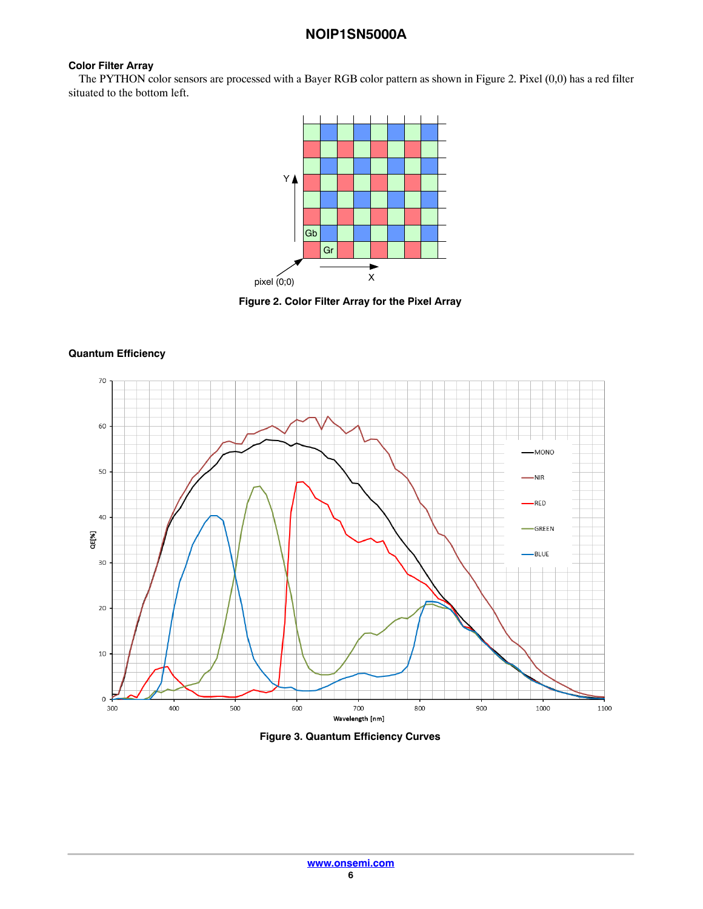#### **Color Filter Array**

The PYTHON color sensors are processed with a Bayer RGB color pattern as shown in Figure 2. Pixel (0,0) has a red filter situated to the bottom left.



**Figure 2. Color Filter Array for the Pixel Array**

#### **Quantum Efficiency**



**Figure 3. Quantum Efficiency Curves**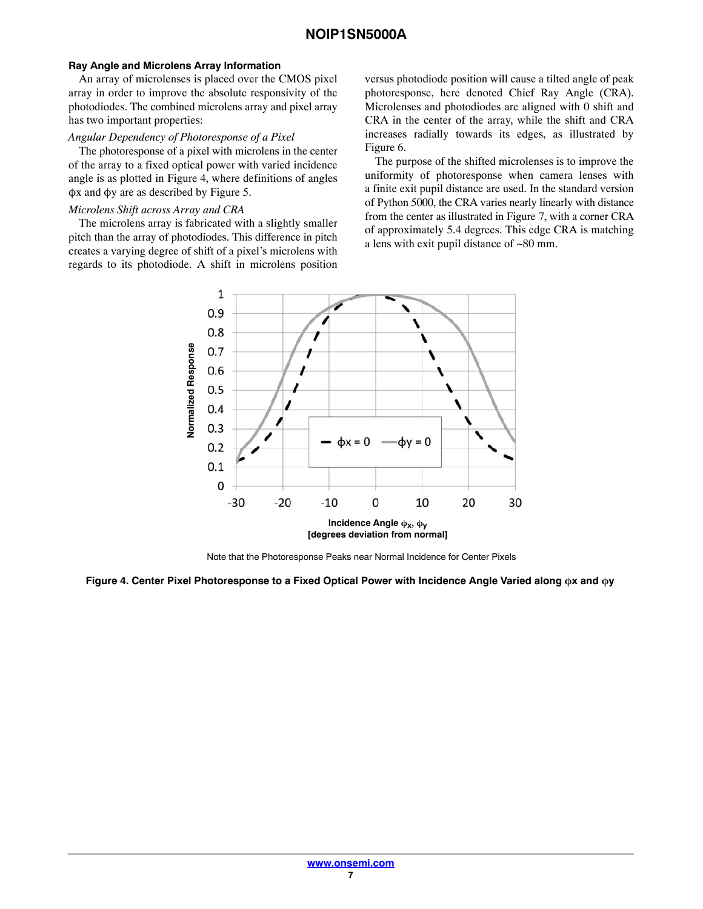#### <span id="page-6-0"></span>**Ray Angle and Microlens Array Information**

An array of microlenses is placed over the CMOS pixel array in order to improve the absolute responsivity of the photodiodes. The combined microlens array and pixel array has two important properties:

#### *Angular Dependency of Photoresponse of a Pixel*

The photoresponse of a pixel with microlens in the center of the array to a fixed optical power with varied incidence angle is as plotted in Figure 4, where definitions of angles  $\phi$ x and  $\phi$ y are as described by Figure [5.](#page-7-0)

#### *Microlens Shift across Array and CRA*

The microlens array is fabricated with a slightly smaller pitch than the array of photodiodes. This difference in pitch creates a varying degree of shift of a pixel's microlens with regards to its photodiode. A shift in microlens position

versus photodiode position will cause a tilted angle of peak photoresponse, here denoted Chief Ray Angle (CRA). Microlenses and photodiodes are aligned with 0 shift and CRA in the center of the array, while the shift and CRA increases radially towards its edges, as illustrated by Figure [6](#page-7-0).

The purpose of the shifted microlenses is to improve the uniformity of photoresponse when camera lenses with a finite exit pupil distance are used. In the standard version of Python 5000, the CRA varies nearly linearly with distance from the center as illustrated in Figure [7](#page-7-0), with a corner CRA of approximately 5.4 degrees. This edge CRA is matching a lens with exit pupil distance of ~80 mm.



Note that the Photoresponse Peaks near Normal Incidence for Center Pixels

#### $\boldsymbol{\bar{\mu}}$  Figure 4. Center Pixel Photoresponse to a Fixed Optical Power with Incidence Angle Varied along  $\boldsymbol{\phi}$ x and  $\boldsymbol{\phi}$ y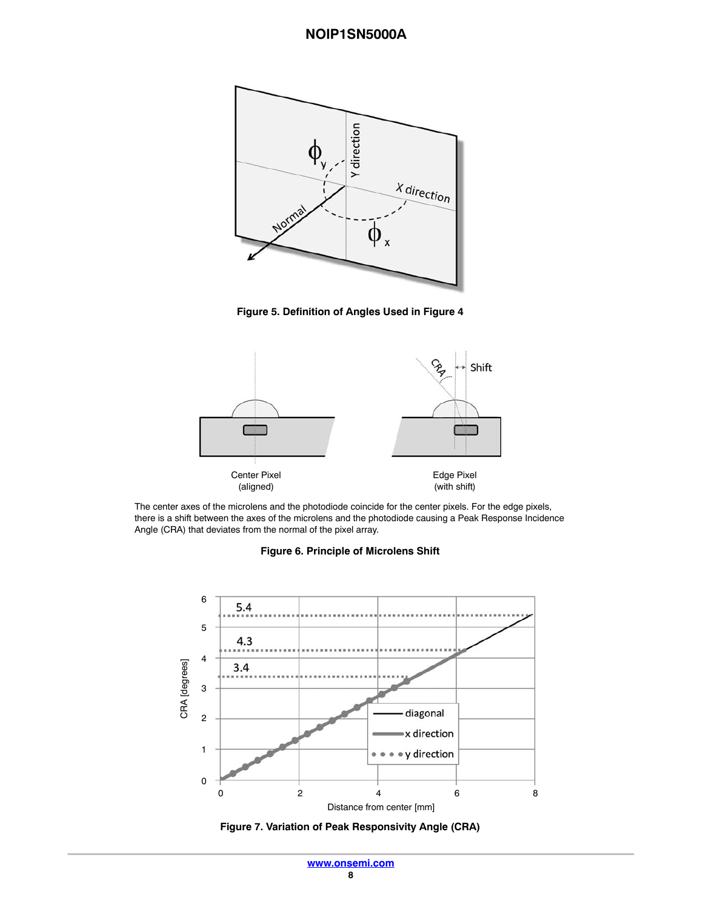<span id="page-7-0"></span>

**Figure 5. Definition of Angles Used in Figure [4](#page-6-0)**



The center axes of the microlens and the photodiode coincide for the center pixels. For the edge pixels, there is a shift between the axes of the microlens and the photodiode causing a Peak Response Incidence Angle (CRA) that deviates from the normal of the pixel array.





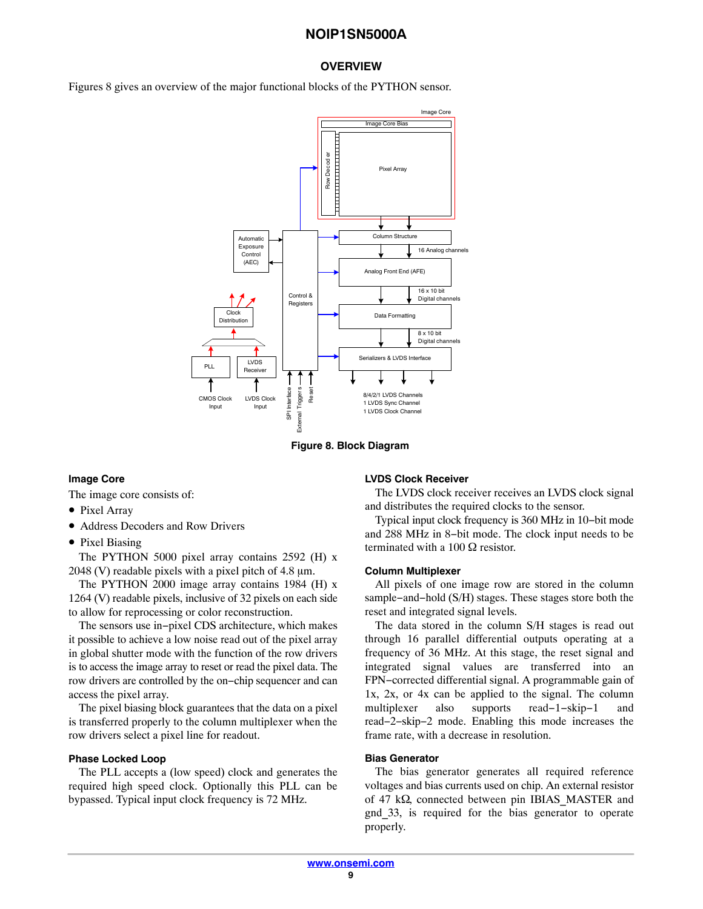#### **OVERVIEW**

Figures 8 gives an overview of the major functional blocks of the PYTHON sensor.



**Figure 8. Block Diagram**

#### **Image Core**

The image core consists of:

- Pixel Array
- Address Decoders and Row Drivers
- Pixel Biasing

The PYTHON 5000 pixel array contains 2592 (H) x 2048 (V) readable pixels with a pixel pitch of  $4.8 \mu m$ .

The PYTHON 2000 image array contains 1984 (H) x 1264 (V) readable pixels, inclusive of 32 pixels on each side to allow for reprocessing or color reconstruction.

The sensors use in−pixel CDS architecture, which makes it possible to achieve a low noise read out of the pixel array in global shutter mode with the function of the row drivers is to access the image array to reset or read the pixel data. The row drivers are controlled by the on−chip sequencer and can access the pixel array.

The pixel biasing block guarantees that the data on a pixel is transferred properly to the column multiplexer when the row drivers select a pixel line for readout.

#### **Phase Locked Loop**

The PLL accepts a (low speed) clock and generates the required high speed clock. Optionally this PLL can be bypassed. Typical input clock frequency is 72 MHz.

#### **LVDS Clock Receiver**

The LVDS clock receiver receives an LVDS clock signal and distributes the required clocks to the sensor.

Typical input clock frequency is 360 MHz in 10−bit mode and 288 MHz in 8−bit mode. The clock input needs to be terminated with a 100  $\Omega$  resistor.

#### **Column Multiplexer**

All pixels of one image row are stored in the column sample−and−hold (S/H) stages. These stages store both the reset and integrated signal levels.

The data stored in the column S/H stages is read out through 16 parallel differential outputs operating at a frequency of 36 MHz. At this stage, the reset signal and integrated signal values are transferred into an FPN−corrected differential signal. A programmable gain of 1x, 2x, or 4x can be applied to the signal. The column multiplexer also supports read−1−skip−1 and read−2−skip−2 mode. Enabling this mode increases the frame rate, with a decrease in resolution.

#### **Bias Generator**

The bias generator generates all required reference voltages and bias currents used on chip. An external resistor of 47  $k\Omega$ , connected between pin IBIAS MASTER and gnd\_33, is required for the bias generator to operate properly.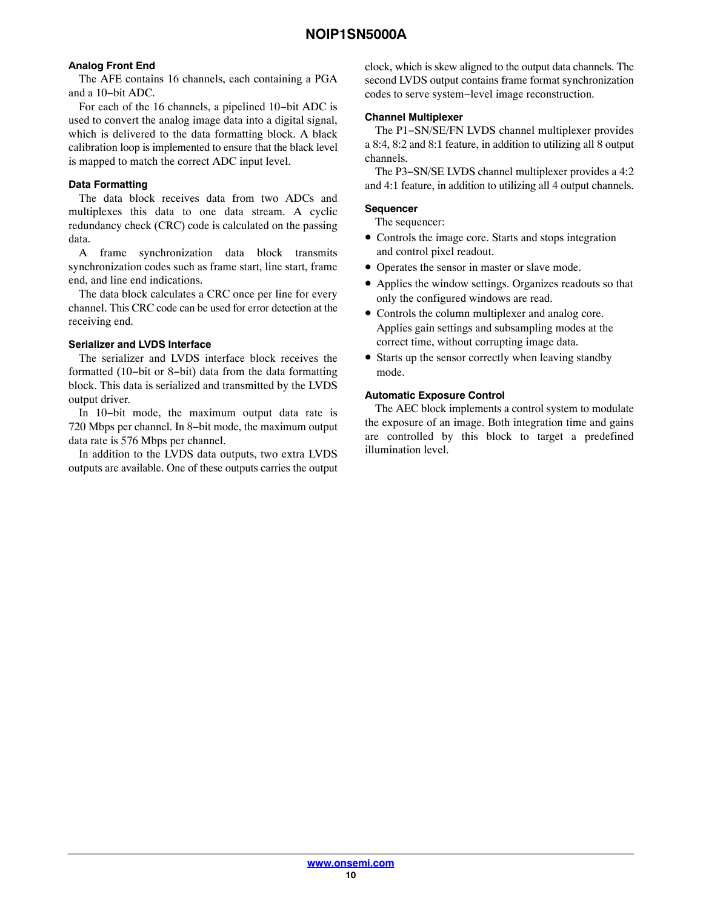#### **Analog Front End**

The AFE contains 16 channels, each containing a PGA and a 10−bit ADC.

For each of the 16 channels, a pipelined 10−bit ADC is used to convert the analog image data into a digital signal, which is delivered to the data formatting block. A black calibration loop is implemented to ensure that the black level is mapped to match the correct ADC input level.

#### **Data Formatting**

The data block receives data from two ADCs and multiplexes this data to one data stream. A cyclic redundancy check (CRC) code is calculated on the passing data.

A frame synchronization data block transmits synchronization codes such as frame start, line start, frame end, and line end indications.

The data block calculates a CRC once per line for every channel. This CRC code can be used for error detection at the receiving end.

#### **Serializer and LVDS Interface**

The serializer and LVDS interface block receives the formatted (10−bit or 8−bit) data from the data formatting block. This data is serialized and transmitted by the LVDS output driver.

In 10−bit mode, the maximum output data rate is 720 Mbps per channel. In 8−bit mode, the maximum output data rate is 576 Mbps per channel.

In addition to the LVDS data outputs, two extra LVDS outputs are available. One of these outputs carries the output clock, which is skew aligned to the output data channels. The second LVDS output contains frame format synchronization codes to serve system−level image reconstruction.

#### **Channel Multiplexer**

The P1−SN/SE/FN LVDS channel multiplexer provides a 8:4, 8:2 and 8:1 feature, in addition to utilizing all 8 output channels.

The P3−SN/SE LVDS channel multiplexer provides a 4:2 and 4:1 feature, in addition to utilizing all 4 output channels.

#### **Sequencer**

The sequencer:

- Controls the image core. Starts and stops integration and control pixel readout.
- Operates the sensor in master or slave mode.
- Applies the window settings. Organizes readouts so that only the configured windows are read.
- Controls the column multiplexer and analog core. Applies gain settings and subsampling modes at the correct time, without corrupting image data.
- Starts up the sensor correctly when leaving standby mode.

#### **Automatic Exposure Control**

The AEC block implements a control system to modulate the exposure of an image. Both integration time and gains are controlled by this block to target a predefined illumination level.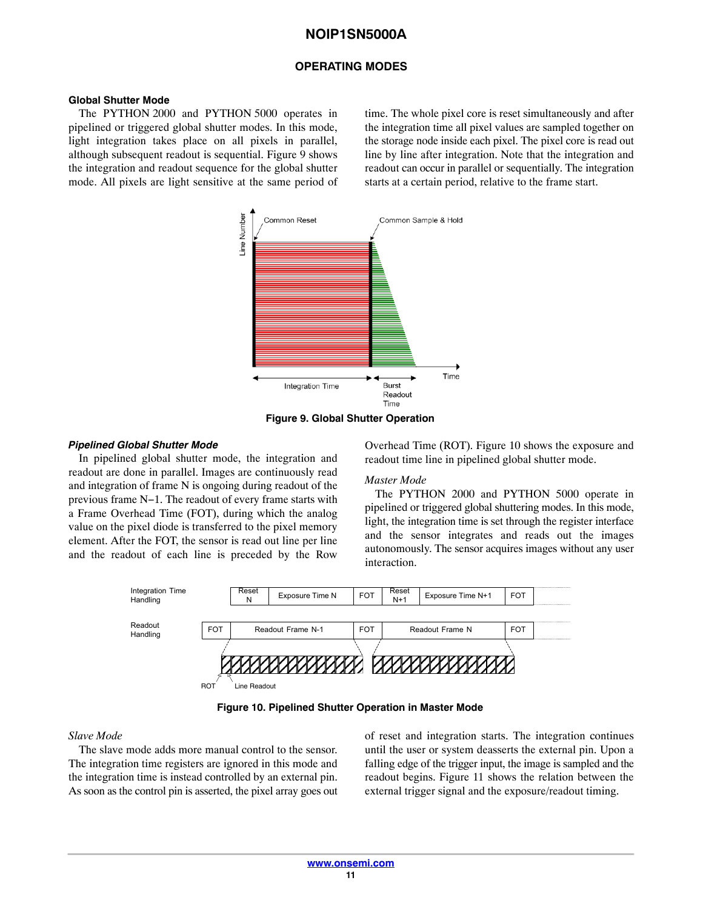#### **OPERATING MODES**

#### **Global Shutter Mode**

The PYTHON 2000 and PYTHON 5000 operates in pipelined or triggered global shutter modes. In this mode, light integration takes place on all pixels in parallel, although subsequent readout is sequential. Figure 9 shows the integration and readout sequence for the global shutter mode. All pixels are light sensitive at the same period of

time. The whole pixel core is reset simultaneously and after the integration time all pixel values are sampled together on the storage node inside each pixel. The pixel core is read out line by line after integration. Note that the integration and readout can occur in parallel or sequentially. The integration starts at a certain period, relative to the frame start.



**Figure 9. Global Shutter Operation**

#### *Pipelined Global Shutter Mode*

In pipelined global shutter mode, the integration and readout are done in parallel. Images are continuously read and integration of frame N is ongoing during readout of the previous frame N−1. The readout of every frame starts with a Frame Overhead Time (FOT), during which the analog value on the pixel diode is transferred to the pixel memory element. After the FOT, the sensor is read out line per line and the readout of each line is preceded by the Row

Overhead Time (ROT). Figure 10 shows the exposure and readout time line in pipelined global shutter mode.

#### *Master Mode*

The PYTHON 2000 and PYTHON 5000 operate in pipelined or triggered global shuttering modes. In this mode, light, the integration time is set through the register interface and the sensor integrates and reads out the images autonomously. The sensor acquires images without any user interaction.



**Figure 10. Pipelined Shutter Operation in Master Mode**

#### *Slave Mode*

The slave mode adds more manual control to the sensor. The integration time registers are ignored in this mode and the integration time is instead controlled by an external pin. As soon as the control pin is asserted, the pixel array goes out

of reset and integration starts. The integration continues until the user or system deasserts the external pin. Upon a falling edge of the trigger input, the image is sampled and the readout begins. Figure [11](#page-11-0) shows the relation between the external trigger signal and the exposure/readout timing.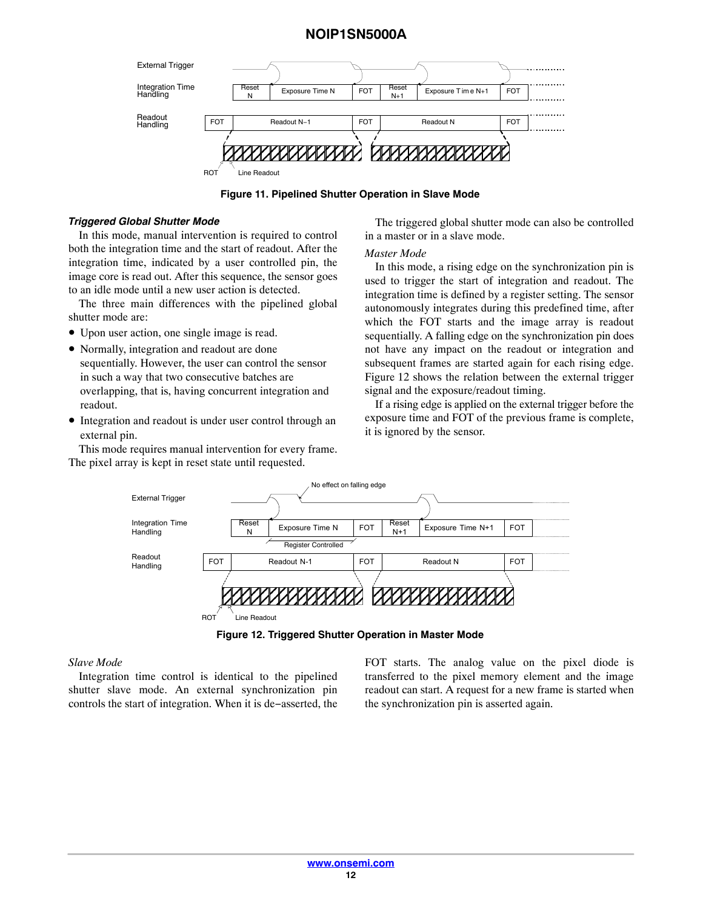<span id="page-11-0"></span>

**Figure 11. Pipelined Shutter Operation in Slave Mode**

#### *Triggered Global Shutter Mode*

In this mode, manual intervention is required to control both the integration time and the start of readout. After the integration time, indicated by a user controlled pin, the image core is read out. After this sequence, the sensor goes to an idle mode until a new user action is detected.

The three main differences with the pipelined global shutter mode are:

- Upon user action, one single image is read.
- Normally, integration and readout are done sequentially. However, the user can control the sensor in such a way that two consecutive batches are overlapping, that is, having concurrent integration and readout.
- Integration and readout is under user control through an external pin.

This mode requires manual intervention for every frame. The pixel array is kept in reset state until requested.

The triggered global shutter mode can also be controlled in a master or in a slave mode.

#### *Master Mode*

In this mode, a rising edge on the synchronization pin is used to trigger the start of integration and readout. The integration time is defined by a register setting. The sensor autonomously integrates during this predefined time, after which the FOT starts and the image array is readout sequentially. A falling edge on the synchronization pin does not have any impact on the readout or integration and subsequent frames are started again for each rising edge. Figure 12 shows the relation between the external trigger signal and the exposure/readout timing.

If a rising edge is applied on the external trigger before the exposure time and FOT of the previous frame is complete, it is ignored by the sensor.



**Figure 12. Triggered Shutter Operation in Master Mode**

#### *Slave Mode*

Integration time control is identical to the pipelined shutter slave mode. An external synchronization pin controls the start of integration. When it is de−asserted, the

FOT starts. The analog value on the pixel diode is transferred to the pixel memory element and the image readout can start. A request for a new frame is started when the synchronization pin is asserted again.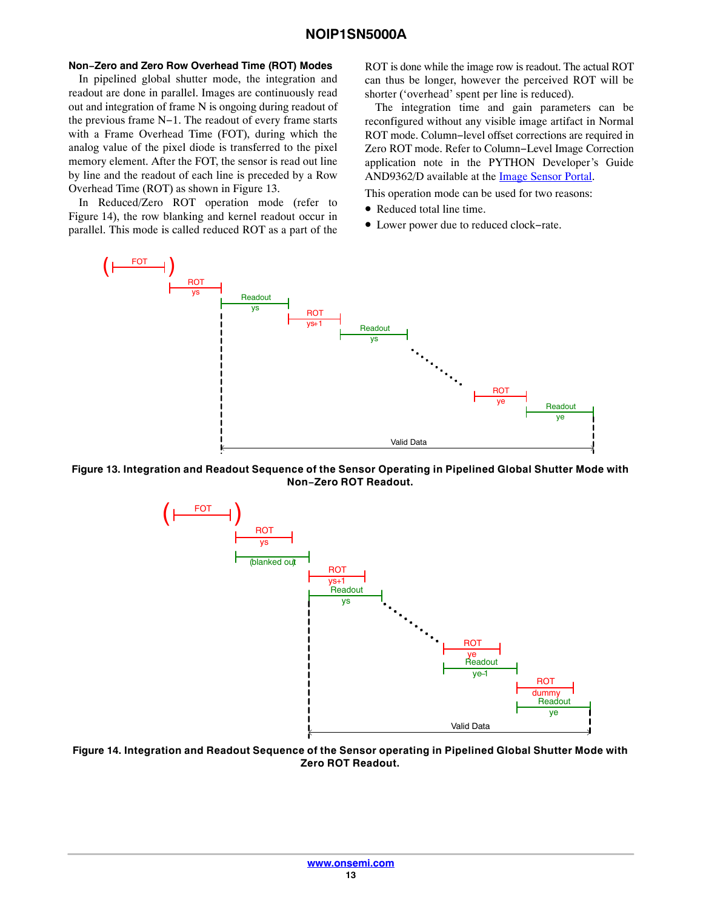#### **Non−Zero and Zero Row Overhead Time (ROT) Modes**

In pipelined global shutter mode, the integration and readout are done in parallel. Images are continuously read out and integration of frame N is ongoing during readout of the previous frame N−1. The readout of every frame starts with a Frame Overhead Time (FOT), during which the analog value of the pixel diode is transferred to the pixel memory element. After the FOT, the sensor is read out line by line and the readout of each line is preceded by a Row Overhead Time (ROT) as shown in Figure 13.

In Reduced/Zero ROT operation mode (refer to Figure 14), the row blanking and kernel readout occur in parallel. This mode is called reduced ROT as a part of the ROT is done while the image row is readout. The actual ROT can thus be longer, however the perceived ROT will be shorter ('overhead' spent per line is reduced).

The integration time and gain parameters can be reconfigured without any visible image artifact in Normal ROT mode. Column−level offset corrections are required in Zero ROT mode. Refer to Column−Level Image Correction application note in the PYTHON Developer's Guide AND9362/D available at the [Image Sensor Portal.](https://www.onsemi.com/PowerSolutions/myon/erCispFol)

This operation mode can be used for two reasons:

- Reduced total line time.
- Lower power due to reduced clock−rate.



#### **Figure 13. Integration and Readout Sequence of the Sensor Operating in Pipelined Global Shutter Mode with Non−Zero ROT Readout.**



**Figure 14. Integration and Readout Sequence of the Sensor operating in Pipelined Global Shutter Mode with Zero ROT Readout.**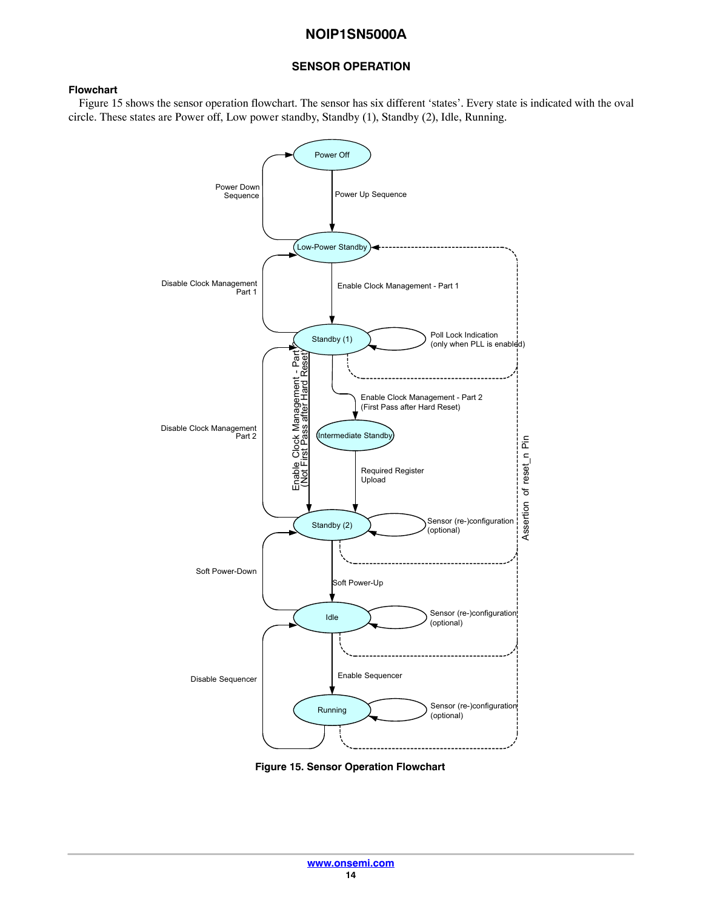#### **SENSOR OPERATION**

#### <span id="page-13-0"></span>**Flowchart**

Figure 15 shows the sensor operation flowchart. The sensor has six different 'states'. Every state is indicated with the oval circle. These states are Power off, Low power standby, Standby (1), Standby (2), Idle, Running.



**Figure 15. Sensor Operation Flowchart**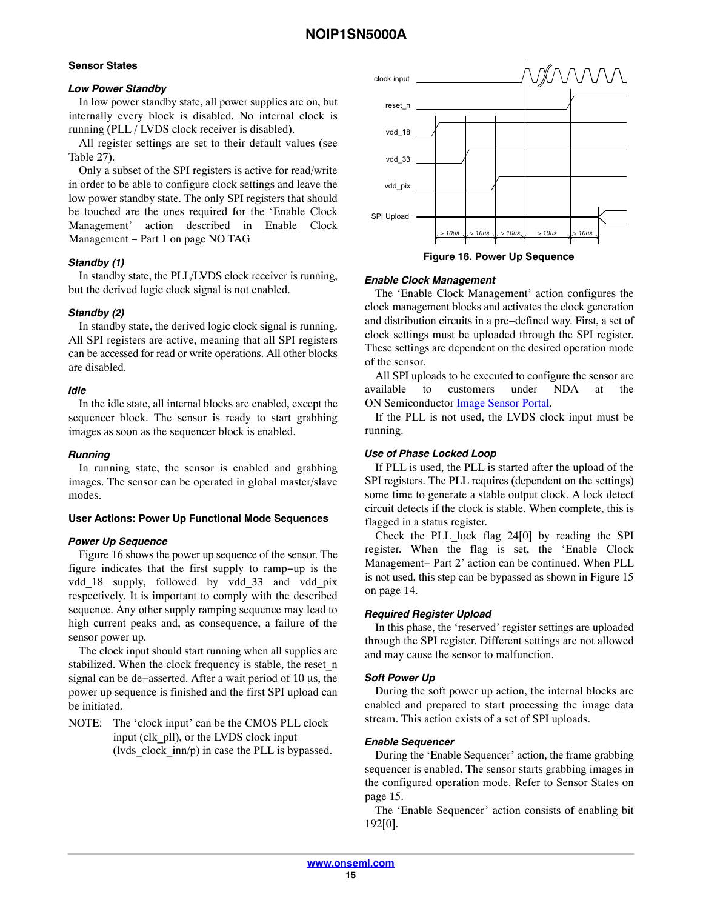#### **Sensor States**

#### *Low Power Standby*

In low power standby state, all power supplies are on, but internally every block is disabled. No internal clock is running (PLL / LVDS clock receiver is disabled).

All register settings are set to their default values (see Table [27](#page-45-0)).

Only a subset of the SPI registers is active for read/write in order to be able to configure clock settings and leave the low power standby state. The only SPI registers that should be touched are the ones required for the 'Enable Clock Management' action described in Enable Clock Management − Part 1 on page NO TAG

#### *Standby (1)*

In standby state, the PLL/LVDS clock receiver is running, but the derived logic clock signal is not enabled.

#### *Standby (2)*

In standby state, the derived logic clock signal is running. All SPI registers are active, meaning that all SPI registers can be accessed for read or write operations. All other blocks are disabled.

#### *Idle*

In the idle state, all internal blocks are enabled, except the sequencer block. The sensor is ready to start grabbing images as soon as the sequencer block is enabled.

#### *Running*

In running state, the sensor is enabled and grabbing images. The sensor can be operated in global master/slave modes.

#### **User Actions: Power Up Functional Mode Sequences**

#### *Power Up Sequence*

Figure 16 shows the power up sequence of the sensor. The figure indicates that the first supply to ramp−up is the vdd\_18 supply, followed by vdd\_33 and vdd\_pix respectively. It is important to comply with the described sequence. Any other supply ramping sequence may lead to high current peaks and, as consequence, a failure of the sensor power up.

The clock input should start running when all supplies are stabilized. When the clock frequency is stable, the reset\_n signal can be de–asserted. After a wait period of 10 µs, the power up sequence is finished and the first SPI upload can be initiated.

NOTE: The 'clock input' can be the CMOS PLL clock input (clk\_pll), or the LVDS clock input (lvds clock  $inn/p$ ) in case the PLL is bypassed.



**Figure 16. Power Up Sequence**

#### *Enable Clock Management*

The 'Enable Clock Management' action configures the clock management blocks and activates the clock generation and distribution circuits in a pre−defined way. First, a set of clock settings must be uploaded through the SPI register. These settings are dependent on the desired operation mode of the sensor.

All SPI uploads to be executed to configure the sensor are available to customers under NDA at the ON Semiconductor [Image Sensor Portal.](https://www.onsemi.com/PowerSolutions/myon/erCispFol)

If the PLL is not used, the LVDS clock input must be running.

#### *Use of Phase Locked Loop*

If PLL is used, the PLL is started after the upload of the SPI registers. The PLL requires (dependent on the settings) some time to generate a stable output clock. A lock detect circuit detects if the clock is stable. When complete, this is flagged in a status register.

Check the PLL\_lock flag 24[0] by reading the SPI register. When the flag is set, the 'Enable Clock Management− Part 2' action can be continued. When PLL is not used, this step can be bypassed as shown in Figure [15](#page-13-0) on page [14.](#page-13-0)

#### *Required Register Upload*

In this phase, the 'reserved' register settings are uploaded through the SPI register. Different settings are not allowed and may cause the sensor to malfunction.

#### *Soft Power Up*

During the soft power up action, the internal blocks are enabled and prepared to start processing the image data stream. This action exists of a set of SPI uploads.

#### *Enable Sequencer*

During the 'Enable Sequencer' action, the frame grabbing sequencer is enabled. The sensor starts grabbing images in the configured operation mode. Refer to Sensor States on page 15.

The 'Enable Sequencer' action consists of enabling bit 192[0].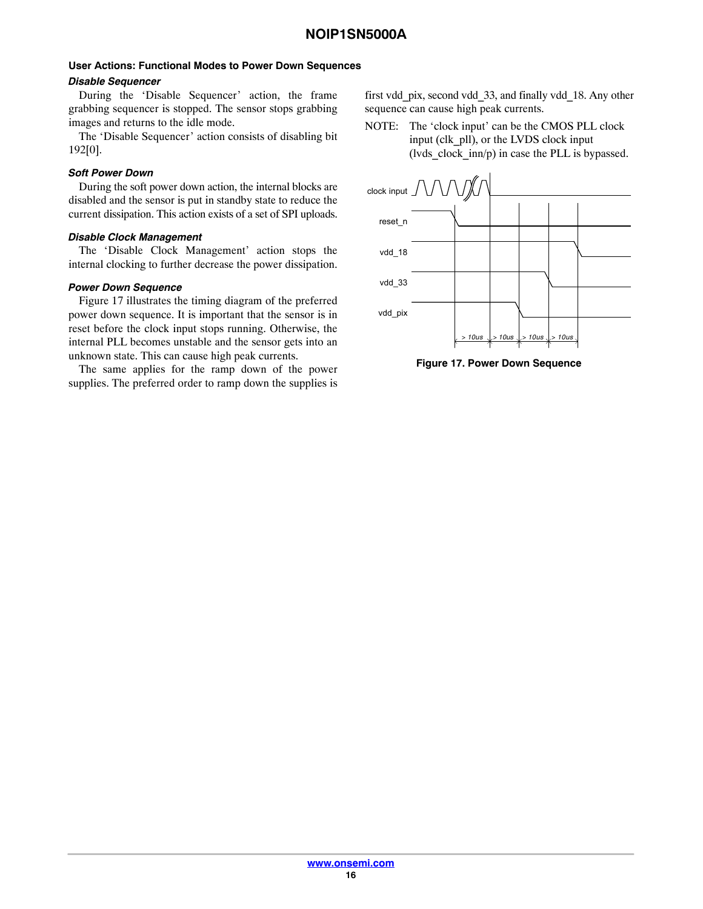#### **User Actions: Functional Modes to Power Down Sequences**

#### *Disable Sequencer*

During the 'Disable Sequencer' action, the frame grabbing sequencer is stopped. The sensor stops grabbing images and returns to the idle mode.

The 'Disable Sequencer' action consists of disabling bit 192[0].

#### *Soft Power Down*

During the soft power down action, the internal blocks are disabled and the sensor is put in standby state to reduce the current dissipation. This action exists of a set of SPI uploads.

#### *Disable Clock Management*

The 'Disable Clock Management' action stops the internal clocking to further decrease the power dissipation.

#### *Power Down Sequence*

Figure 17 illustrates the timing diagram of the preferred power down sequence. It is important that the sensor is in reset before the clock input stops running. Otherwise, the internal PLL becomes unstable and the sensor gets into an unknown state. This can cause high peak currents.

The same applies for the ramp down of the power supplies. The preferred order to ramp down the supplies is first vdd\_pix, second vdd\_33, and finally vdd\_18. Any other sequence can cause high peak currents.

NOTE: The 'clock input' can be the CMOS PLL clock input (clk\_pll), or the LVDS clock input (lvds clock  $\text{inn/p}$ ) in case the PLL is bypassed.



**Figure 17. Power Down Sequence**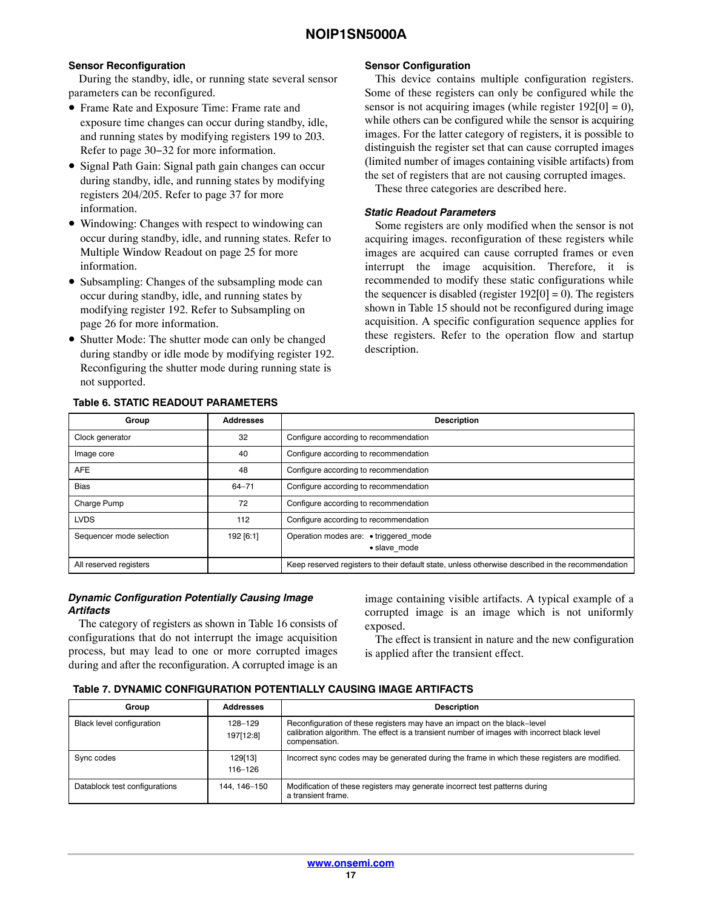#### **Sensor Reconfiguration**

During the standby, idle, or running state several sensor parameters can be reconfigured.

- Frame Rate and Exposure Time: Frame rate and exposure time changes can occur during standby, idle, and running states by modifying registers 199 to 203. Refer to page 30−32 for more information.
- Signal Path Gain: Signal path gain changes can occur during standby, idle, and running states by modifying registers 204/205. Refer to page 37 for more information.
- Windowing: Changes with respect to windowing can occur during standby, idle, and running states. Refer to Multiple Window Readout on page [25](#page-24-0) for more information.
- Subsampling: Changes of the subsampling mode can occur during standby, idle, and running states by modifying register 192. Refer to Subsampling on page [26](#page-25-0) for more information.
- Shutter Mode: The shutter mode can only be changed during standby or idle mode by modifying register 192. Reconfiguring the shutter mode during running state is not supported.

#### **Sensor Configuration**

This device contains multiple configuration registers. Some of these registers can only be configured while the sensor is not acquiring images (while register  $192[0] = 0$ ), while others can be configured while the sensor is acquiring images. For the latter category of registers, it is possible to distinguish the register set that can cause corrupted images (limited number of images containing visible artifacts) from the set of registers that are not causing corrupted images.

These three categories are described here.

#### *Static Readout Parameters*

Some registers are only modified when the sensor is not acquiring images. reconfiguration of these registers while images are acquired can cause corrupted frames or even interrupt the image acquisition. Therefore, it is recommended to modify these static configurations while the sequencer is disabled (register  $192[0] = 0$ ). The registers shown in Table 15 should not be reconfigured during image acquisition. A specific configuration sequence applies for these registers. Refer to the operation flow and startup description.

| Group                    | <b>Addresses</b> | <b>Description</b>                                                                               |
|--------------------------|------------------|--------------------------------------------------------------------------------------------------|
| Clock generator          | 32               | Configure according to recommendation                                                            |
| Image core               | 40               | Configure according to recommendation                                                            |
| <b>AFE</b>               | 48               | Configure according to recommendation                                                            |
| <b>Bias</b>              | $64 - 71$        | Configure according to recommendation                                                            |
| Charge Pump              | 72               | Configure according to recommendation                                                            |
| <b>LVDS</b>              | 112              | Configure according to recommendation                                                            |
| Sequencer mode selection | 192 [6:1]        | Operation modes are: • triggered mode<br>· slave mode                                            |
| All reserved registers   |                  | Keep reserved registers to their default state, unless otherwise described in the recommendation |

#### **Table 6. STATIC READOUT PARAMETERS**

#### *Dynamic Configuration Potentially Causing Image Artifacts*

The category of registers as shown in Table 16 consists of configurations that do not interrupt the image acquisition process, but may lead to one or more corrupted images during and after the reconfiguration. A corrupted image is an

image containing visible artifacts. A typical example of a corrupted image is an image which is not uniformly exposed.

The effect is transient in nature and the new configuration is applied after the transient effect.

#### **Table 7. DYNAMIC CONFIGURATION POTENTIALLY CAUSING IMAGE ARTIFACTS**

| Group                            | <b>Addresses</b>       | <b>Description</b>                                                                                                                                                                        |
|----------------------------------|------------------------|-------------------------------------------------------------------------------------------------------------------------------------------------------------------------------------------|
| <b>Black level configuration</b> | 128-129<br>197[12:8]   | Reconfiguration of these registers may have an impact on the black-level<br>calibration algorithm. The effect is a transient number of images with incorrect black level<br>compensation. |
| Sync codes                       | 129[13]<br>$116 - 126$ | Incorrect sync codes may be generated during the frame in which these registers are modified.                                                                                             |
| Datablock test configurations    | 144.146-150            | Modification of these registers may generate incorrect test patterns during<br>a transient frame.                                                                                         |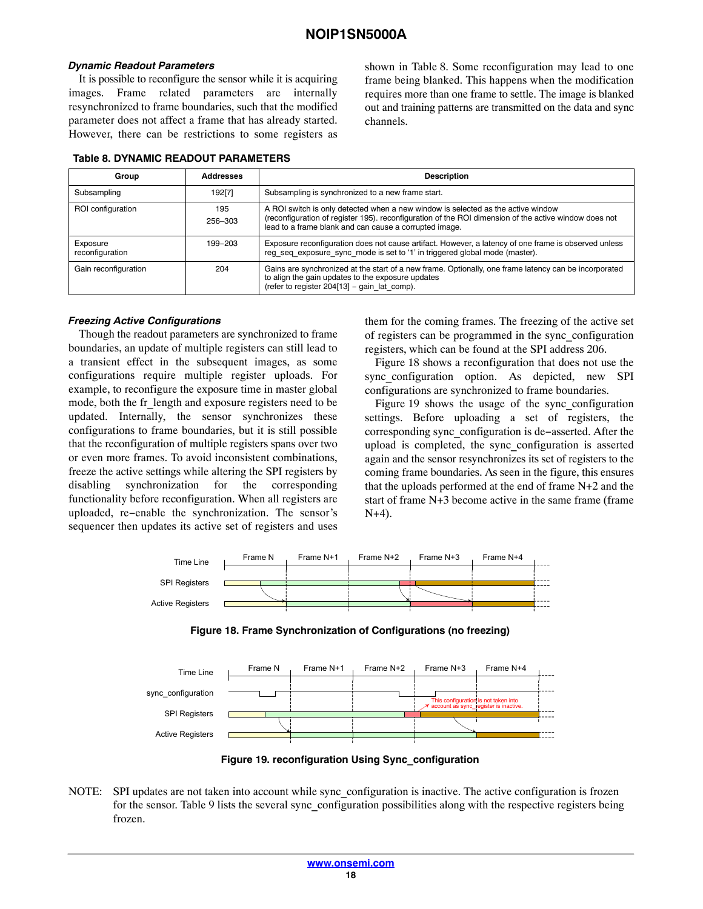#### *Dynamic Readout Parameters*

It is possible to reconfigure the sensor while it is acquiring images. Frame related parameters are internally resynchronized to frame boundaries, such that the modified parameter does not affect a frame that has already started. However, there can be restrictions to some registers as shown in Table 8. Some reconfiguration may lead to one frame being blanked. This happens when the modification requires more than one frame to settle. The image is blanked out and training patterns are transmitted on the data and sync channels.

| Group                       | <b>Addresses</b> | <b>Description</b>                                                                                                                                                                                                                                  |  |  |
|-----------------------------|------------------|-----------------------------------------------------------------------------------------------------------------------------------------------------------------------------------------------------------------------------------------------------|--|--|
| Subsampling                 | 192[7]           | Subsampling is synchronized to a new frame start.                                                                                                                                                                                                   |  |  |
| ROI configuration           | 195<br>256-303   | A ROI switch is only detected when a new window is selected as the active window<br>(reconfiguration of register 195). reconfiguration of the ROI dimension of the active window does not<br>lead to a frame blank and can cause a corrupted image. |  |  |
| Exposure<br>reconfiguration | 199-203          | Exposure reconfiguration does not cause artifact. However, a latency of one frame is observed unless<br>reg seq exposure sync mode is set to '1' in triggered global mode (master).                                                                 |  |  |
| Gain reconfiguration        | 204              | Gains are synchronized at the start of a new frame. Optionally, one frame latency can be incorporated<br>to align the gain updates to the exposure updates<br>(refer to register 204[13] - gain lat comp).                                          |  |  |

#### **Table 8. DYNAMIC READOUT PARAMETERS**

#### *Freezing Active Configurations*

Though the readout parameters are synchronized to frame boundaries, an update of multiple registers can still lead to a transient effect in the subsequent images, as some configurations require multiple register uploads. For example, to reconfigure the exposure time in master global mode, both the fr\_length and exposure registers need to be updated. Internally, the sensor synchronizes these configurations to frame boundaries, but it is still possible that the reconfiguration of multiple registers spans over two or even more frames. To avoid inconsistent combinations, freeze the active settings while altering the SPI registers by disabling synchronization for the corresponding functionality before reconfiguration. When all registers are uploaded, re−enable the synchronization. The sensor's sequencer then updates its active set of registers and uses them for the coming frames. The freezing of the active set of registers can be programmed in the sync\_configuration registers, which can be found at the SPI address 206.

Figure 18 shows a reconfiguration that does not use the sync\_configuration option. As depicted, new SPI configurations are synchronized to frame boundaries.

Figure 19 shows the usage of the sync\_configuration settings. Before uploading a set of registers, the corresponding sync\_configuration is de−asserted. After the upload is completed, the sync\_configuration is asserted again and the sensor resynchronizes its set of registers to the coming frame boundaries. As seen in the figure, this ensures that the uploads performed at the end of frame N+2 and the start of frame N+3 become active in the same frame (frame N+4).



**Figure 18. Frame Synchronization of Configurations (no freezing)**



**Figure 19. reconfiguration Using Sync\_configuration**

NOTE: SPI updates are not taken into account while sync\_configuration is inactive. The active configuration is frozen for the sensor. Table [9](#page-18-0) lists the several sync\_configuration possibilities along with the respective registers being frozen.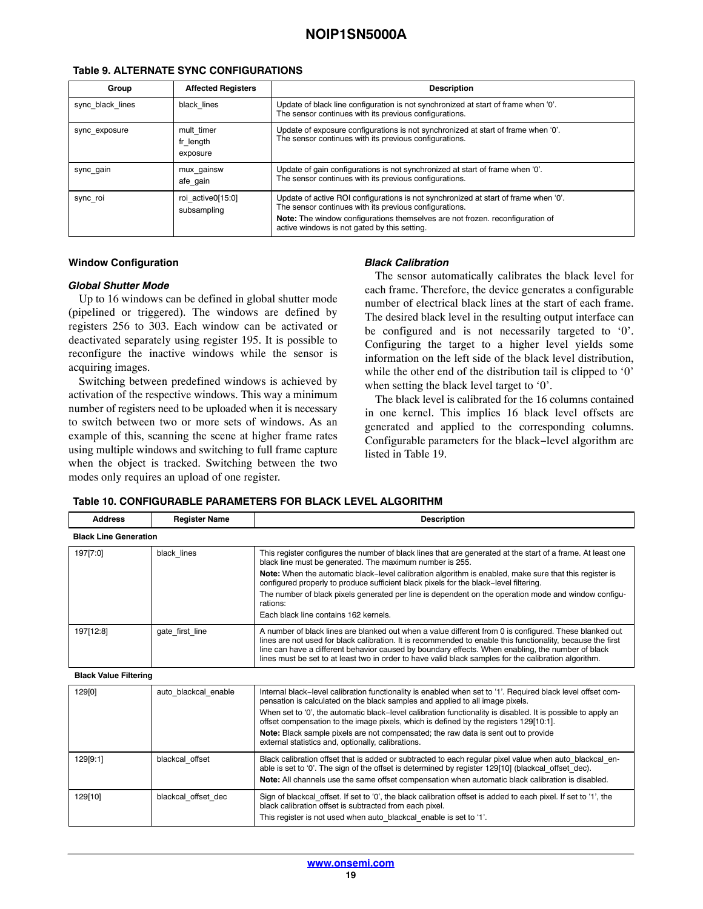| Group            | <b>Affected Registers</b>           | <b>Description</b>                                                                                                                                                                                                                                                             |
|------------------|-------------------------------------|--------------------------------------------------------------------------------------------------------------------------------------------------------------------------------------------------------------------------------------------------------------------------------|
| sync black lines | black lines                         | Update of black line configuration is not synchronized at start of frame when '0'.<br>The sensor continues with its previous configurations.                                                                                                                                   |
| sync exposure    | mult timer<br>fr length<br>exposure | Update of exposure configurations is not synchronized at start of frame when '0'.<br>The sensor continues with its previous configurations.                                                                                                                                    |
| sync gain        | mux gainsw<br>afe gain              | Update of gain configurations is not synchronized at start of frame when '0'.<br>The sensor continues with its previous configurations.                                                                                                                                        |
| sync roi         | roi active0[15:0]<br>subsampling    | Update of active ROI configurations is not synchronized at start of frame when '0'.<br>The sensor continues with its previous configurations.<br>Note: The window configurations themselves are not frozen. reconfiguration of<br>active windows is not gated by this setting. |

#### <span id="page-18-0"></span>**Table 9. ALTERNATE SYNC CONFIGURATIONS**

#### **Window Configuration**

#### *Global Shutter Mode*

Up to 16 windows can be defined in global shutter mode (pipelined or triggered). The windows are defined by registers 256 to 303. Each window can be activated or deactivated separately using register 195. It is possible to reconfigure the inactive windows while the sensor is acquiring images.

Switching between predefined windows is achieved by activation of the respective windows. This way a minimum number of registers need to be uploaded when it is necessary to switch between two or more sets of windows. As an example of this, scanning the scene at higher frame rates using multiple windows and switching to full frame capture when the object is tracked. Switching between the two modes only requires an upload of one register.

#### *Black Calibration*

The sensor automatically calibrates the black level for each frame. Therefore, the device generates a configurable number of electrical black lines at the start of each frame. The desired black level in the resulting output interface can be configured and is not necessarily targeted to '0'. Configuring the target to a higher level yields some information on the left side of the black level distribution, while the other end of the distribution tail is clipped to '0' when setting the black level target to '0'.

The black level is calibrated for the 16 columns contained in one kernel. This implies 16 black level offsets are generated and applied to the corresponding columns. Configurable parameters for the black−level algorithm are listed in Table 19.

#### **Table 10. CONFIGURABLE PARAMETERS FOR BLACK LEVEL ALGORITHM**

| <b>Address</b>               | <b>Register Name</b> | <b>Description</b>                                                                                                                                                                                                                                                                                                                                                                                                                  |
|------------------------------|----------------------|-------------------------------------------------------------------------------------------------------------------------------------------------------------------------------------------------------------------------------------------------------------------------------------------------------------------------------------------------------------------------------------------------------------------------------------|
| <b>Black Line Generation</b> |                      |                                                                                                                                                                                                                                                                                                                                                                                                                                     |
| 197[7:0]                     | black lines          | This register configures the number of black lines that are generated at the start of a frame. At least one<br>black line must be generated. The maximum number is 255.                                                                                                                                                                                                                                                             |
|                              |                      | Note: When the automatic black–level calibration algorithm is enabled, make sure that this register is<br>configured properly to produce sufficient black pixels for the black–level filtering.                                                                                                                                                                                                                                     |
|                              |                      | The number of black pixels generated per line is dependent on the operation mode and window configu-<br>rations:                                                                                                                                                                                                                                                                                                                    |
|                              |                      | Each black line contains 162 kernels.                                                                                                                                                                                                                                                                                                                                                                                               |
| 197[12:8]                    | gate first line      | A number of black lines are blanked out when a value different from 0 is configured. These blanked out<br>lines are not used for black calibration. It is recommended to enable this functionality, because the first<br>line can have a different behavior caused by boundary effects. When enabling, the number of black<br>lines must be set to at least two in order to have valid black samples for the calibration algorithm. |
| <b>Black Value Filtering</b> |                      |                                                                                                                                                                                                                                                                                                                                                                                                                                     |
| 129[0]                       | auto blackcal enable | Internal black-level calibration functionality is enabled when set to '1'. Required black level offset com-<br>pensation is calculated on the black samples and applied to all image pixels.                                                                                                                                                                                                                                        |
|                              |                      | When set to '0', the automatic black–level calibration functionality is disabled. It is possible to apply an<br>offset compensation to the image pixels, which is defined by the registers 129[10:1].                                                                                                                                                                                                                               |
|                              |                      | Note: Black sample pixels are not compensated; the raw data is sent out to provide<br>external statistics and, optionally, calibrations.                                                                                                                                                                                                                                                                                            |
| 129[9:1]                     | blackcal offset      | Black calibration offset that is added or subtracted to each regular pixel value when auto blackcal en-<br>able is set to '0'. The sign of the offset is determined by register 129[10] (blackcal offset dec).                                                                                                                                                                                                                      |
|                              |                      | Note: All channels use the same offset compensation when automatic black calibration is disabled.                                                                                                                                                                                                                                                                                                                                   |
| 129[10]                      | blackcal offset dec  | Sign of blackcal offset. If set to '0', the black calibration offset is added to each pixel. If set to '1', the<br>black calibration offset is subtracted from each pixel.                                                                                                                                                                                                                                                          |
|                              |                      | This register is not used when auto blackcal enable is set to '1'.                                                                                                                                                                                                                                                                                                                                                                  |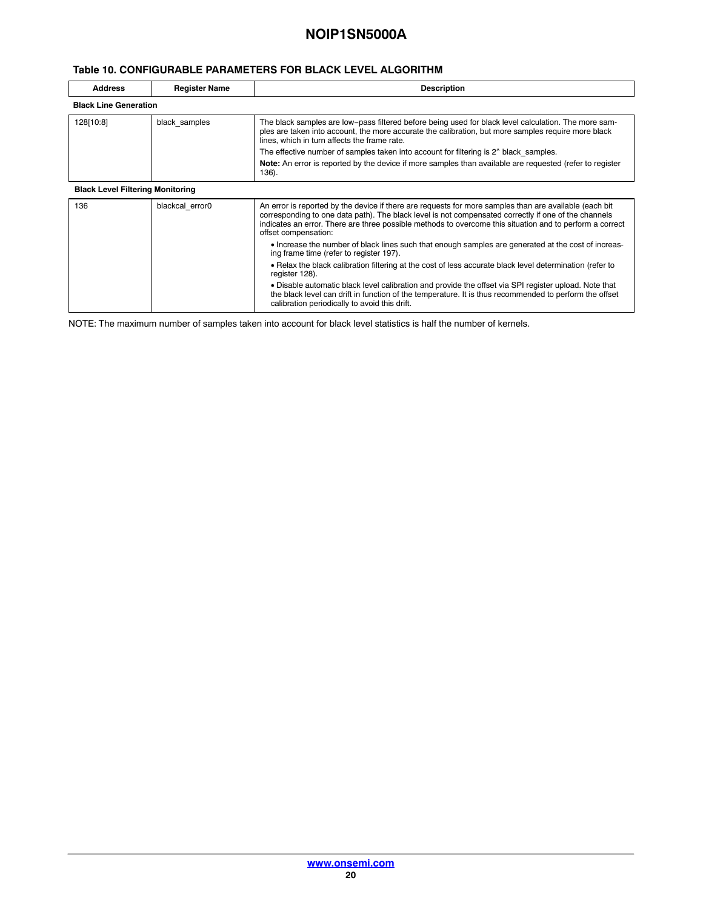#### **Table [10](#page-18-0). CONFIGURABLE PARAMETERS FOR BLACK LEVEL ALGORITHM**

| <b>Address</b>                          | <b>Register Name</b> | <b>Description</b>                                                                                                                                                                                                                                                                                                                                 |
|-----------------------------------------|----------------------|----------------------------------------------------------------------------------------------------------------------------------------------------------------------------------------------------------------------------------------------------------------------------------------------------------------------------------------------------|
| <b>Black Line Generation</b>            |                      |                                                                                                                                                                                                                                                                                                                                                    |
| 128[10:8]                               | black samples        | The black samples are low-pass filtered before being used for black level calculation. The more sam-<br>ples are taken into account, the more accurate the calibration, but more samples require more black<br>lines, which in turn affects the frame rate.                                                                                        |
|                                         |                      | The effective number of samples taken into account for filtering is 2 <sup>^</sup> black samples.                                                                                                                                                                                                                                                  |
|                                         |                      | Note: An error is reported by the device if more samples than available are requested (refer to register<br>136).                                                                                                                                                                                                                                  |
| <b>Black Level Filtering Monitoring</b> |                      |                                                                                                                                                                                                                                                                                                                                                    |
| 136                                     | blackcal error0      | An error is reported by the device if there are requests for more samples than are available (each bit<br>corresponding to one data path). The black level is not compensated correctly if one of the channels<br>indicates an error. There are three possible methods to overcome this situation and to perform a correct<br>offset compensation: |
|                                         |                      | • Increase the number of black lines such that enough samples are generated at the cost of increas-<br>ing frame time (refer to register 197).                                                                                                                                                                                                     |
|                                         |                      | • Relax the black calibration filtering at the cost of less accurate black level determination (refer to<br>register 128).                                                                                                                                                                                                                         |
|                                         |                      | . Disable automatic black level calibration and provide the offset via SPI register upload. Note that<br>the black level can drift in function of the temperature. It is thus recommended to perform the offset<br>calibration periodically to avoid this drift.                                                                                   |

NOTE: The maximum number of samples taken into account for black level statistics is half the number of kernels.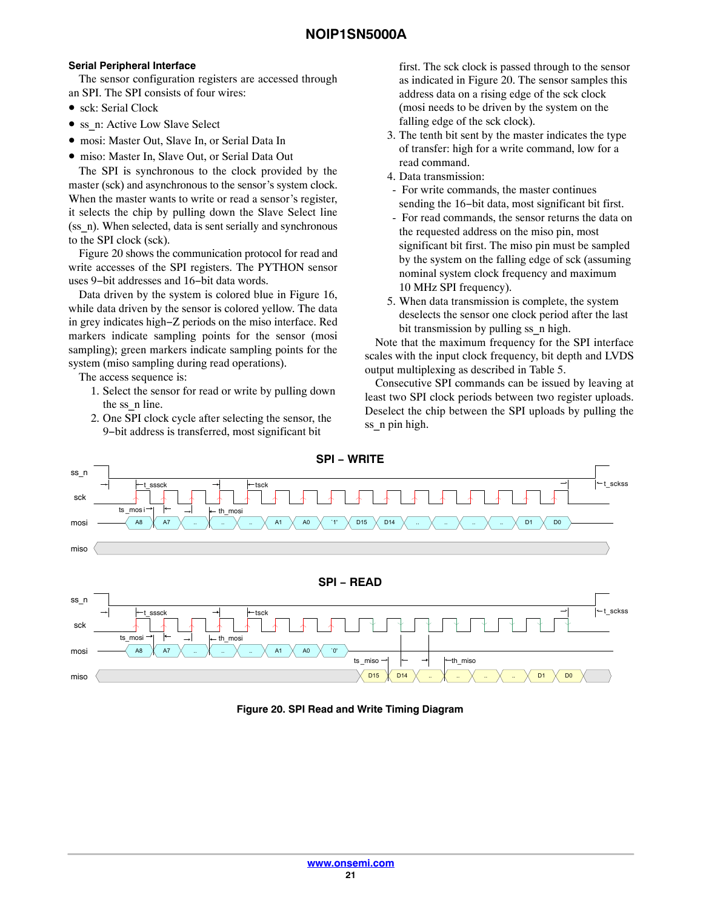#### **Serial Peripheral Interface**

The sensor configuration registers are accessed through an SPI. The SPI consists of four wires:

- sck: Serial Clock
- ss\_n: Active Low Slave Select
- mosi: Master Out, Slave In, or Serial Data In
- miso: Master In, Slave Out, or Serial Data Out

The SPI is synchronous to the clock provided by the master (sck) and asynchronous to the sensor's system clock. When the master wants to write or read a sensor's register, it selects the chip by pulling down the Slave Select line (ss\_n). When selected, data is sent serially and synchronous to the SPI clock (sck).

Figure 20 shows the communication protocol for read and write accesses of the SPI registers. The PYTHON sensor uses 9−bit addresses and 16−bit data words.

Data driven by the system is colored blue in Figure 16, while data driven by the sensor is colored yellow. The data in grey indicates high−Z periods on the miso interface. Red markers indicate sampling points for the sensor (mosi sampling); green markers indicate sampling points for the system (miso sampling during read operations).

The access sequence is:

- 1. Select the sensor for read or write by pulling down the ss\_n line.
- 2. One SPI clock cycle after selecting the sensor, the 9−bit address is transferred, most significant bit

first. The sck clock is passed through to the sensor as indicated in Figure 20. The sensor samples this address data on a rising edge of the sck clock (mosi needs to be driven by the system on the falling edge of the sck clock).

- 3. The tenth bit sent by the master indicates the type of transfer: high for a write command, low for a read command.
- 4. Data transmission:
- For write commands, the master continues sending the 16−bit data, most significant bit first.
- For read commands, the sensor returns the data on the requested address on the miso pin, most significant bit first. The miso pin must be sampled by the system on the falling edge of sck (assuming nominal system clock frequency and maximum 10 MHz SPI frequency).
- 5. When data transmission is complete, the system deselects the sensor one clock period after the last bit transmission by pulling ss\_n high.

Note that the maximum frequency for the SPI interface scales with the input clock frequency, bit depth and LVDS output multiplexing as described in Table [5.](#page-3-0)

Consecutive SPI commands can be issued by leaving at least two SPI clock periods between two register uploads. Deselect the chip between the SPI uploads by pulling the ss n pin high.



**Figure 20. SPI Read and Write Timing Diagram**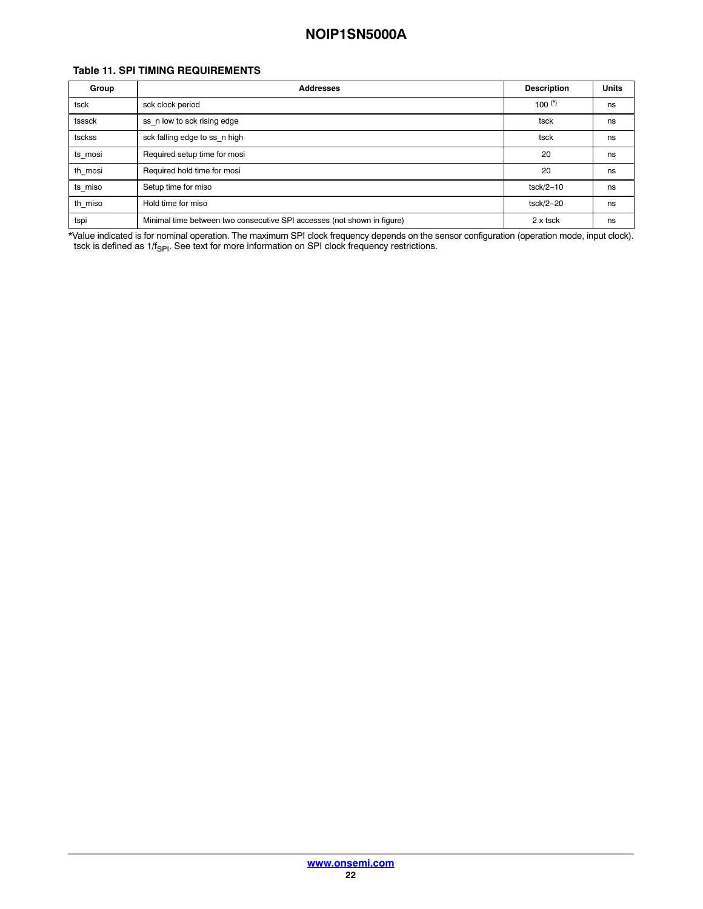#### **Table 11. SPI TIMING REQUIREMENTS**

| Group   | <b>Addresses</b>                                                        | <b>Description</b> | <b>Units</b> |
|---------|-------------------------------------------------------------------------|--------------------|--------------|
| tsck    | sck clock period                                                        | 100 $(*)$          | ns           |
| tsssck  | ss n low to sck rising edge                                             | tsck               | ns           |
| tsckss  | sck falling edge to ss n high                                           | tsck               | ns           |
| ts mosi | Required setup time for mosi                                            | 20                 | ns           |
| th_mosi | Required hold time for mosi                                             | 20                 | ns           |
| ts miso | Setup time for miso                                                     | $tsck/2-10$        | ns           |
| th miso | Hold time for miso                                                      | $tsck/2-20$        | ns           |
| tspi    | Minimal time between two consecutive SPI accesses (not shown in figure) | 2 x tsck           | ns           |

\*Value indicated is for nominal operation. The maximum SPI clock frequency depends on the sensor configuration (operation mode, input clock). tsck is defined as 1/f $_{\mathsf{SPI}}$ . See text for more information on SPI clock frequency restrictions.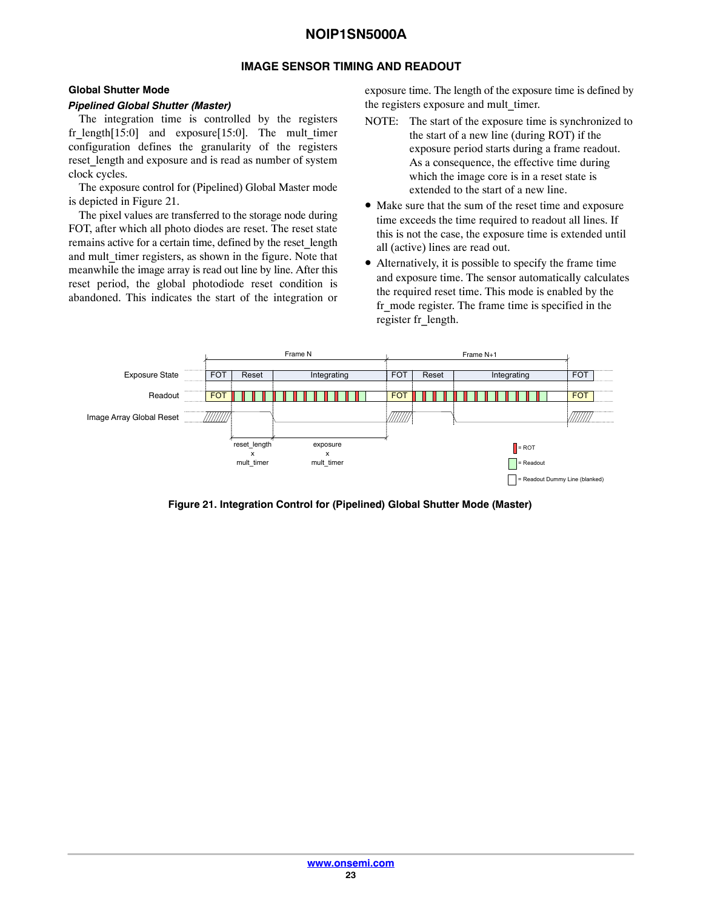#### **IMAGE SENSOR TIMING AND READOUT**

#### **Global Shutter Mode**

#### *Pipelined Global Shutter (Master)*

The integration time is controlled by the registers fr\_length[15:0] and exposure[15:0]. The mult\_timer configuration defines the granularity of the registers reset length and exposure and is read as number of system clock cycles.

The exposure control for (Pipelined) Global Master mode is depicted in Figure 21.

The pixel values are transferred to the storage node during FOT, after which all photo diodes are reset. The reset state remains active for a certain time, defined by the reset\_length and mult timer registers, as shown in the figure. Note that meanwhile the image array is read out line by line. After this reset period, the global photodiode reset condition is abandoned. This indicates the start of the integration or

exposure time. The length of the exposure time is defined by the registers exposure and mult\_timer.

- NOTE: The start of the exposure time is synchronized to the start of a new line (during ROT) if the exposure period starts during a frame readout. As a consequence, the effective time during which the image core is in a reset state is extended to the start of a new line.
- Make sure that the sum of the reset time and exposure time exceeds the time required to readout all lines. If this is not the case, the exposure time is extended until all (active) lines are read out.
- Alternatively, it is possible to specify the frame time and exposure time. The sensor automatically calculates the required reset time. This mode is enabled by the fr mode register. The frame time is specified in the register fr\_length.



**Figure 21. Integration Control for (Pipelined) Global Shutter Mode (Master)**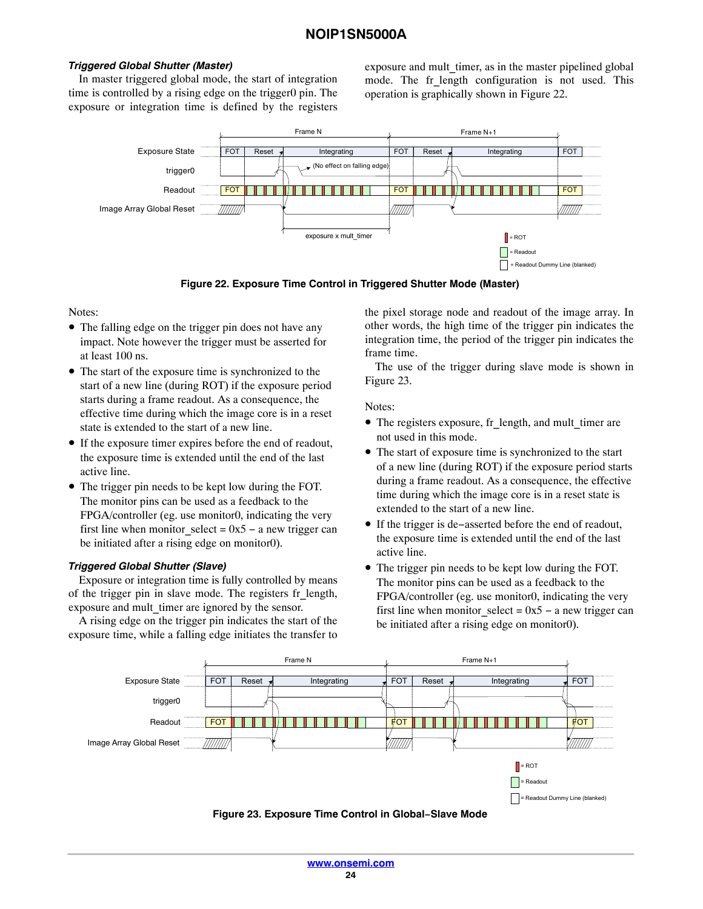#### *Triggered Global Shutter (Master)*

In master triggered global mode, the start of integration time is controlled by a rising edge on the trigger0 pin. The exposure or integration time is defined by the registers

exposure and mult timer, as in the master pipelined global mode. The fr\_length configuration is not used. This operation is graphically shown in Figure 22.



**Figure 22. Exposure Time Control in Triggered Shutter Mode (Master)**

Notes:

- The falling edge on the trigger pin does not have any impact. Note however the trigger must be asserted for at least 100 ns.
- The start of the exposure time is synchronized to the start of a new line (during ROT) if the exposure period starts during a frame readout. As a consequence, the effective time during which the image core is in a reset state is extended to the start of a new line.
- If the exposure timer expires before the end of readout, the exposure time is extended until the end of the last active line.
- The trigger pin needs to be kept low during the FOT. The monitor pins can be used as a feedback to the FPGA/controller (eg. use monitor0, indicating the very first line when monitor select =  $0x5 - a$  new trigger can be initiated after a rising edge on monitor0).

#### *Triggered Global Shutter (Slave)*

Exposure or integration time is fully controlled by means of the trigger pin in slave mode. The registers fr\_length, exposure and mult timer are ignored by the sensor.

A rising edge on the trigger pin indicates the start of the exposure time, while a falling edge initiates the transfer to the pixel storage node and readout of the image array. In other words, the high time of the trigger pin indicates the integration time, the period of the trigger pin indicates the frame time.

The use of the trigger during slave mode is shown in Figure 23.

Notes:

- The registers exposure, fr\_length, and mult\_timer are not used in this mode.
- The start of exposure time is synchronized to the start of a new line (during ROT) if the exposure period starts during a frame readout. As a consequence, the effective time during which the image core is in a reset state is extended to the start of a new line.
- If the trigger is de−asserted before the end of readout, the exposure time is extended until the end of the last active line.
- The trigger pin needs to be kept low during the FOT. The monitor pins can be used as a feedback to the FPGA/controller (eg. use monitor0, indicating the very first line when monitor select =  $0x5 - a$  new trigger can be initiated after a rising edge on monitor0).



**Figure 23. Exposure Time Control in Global−Slave Mode**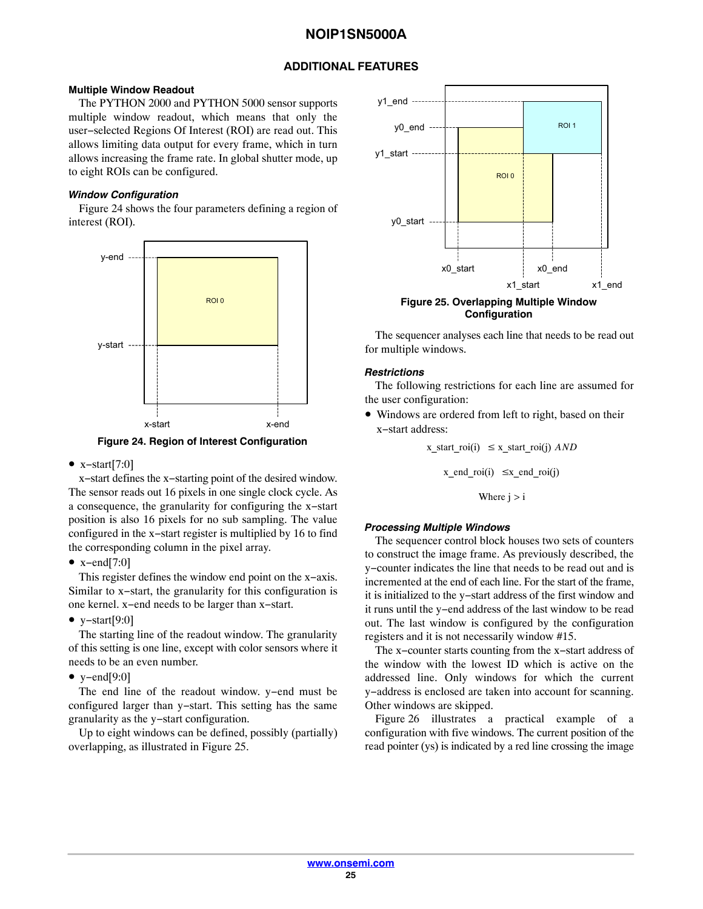#### **ADDITIONAL FEATURES**

#### <span id="page-24-0"></span>**Multiple Window Readout**

The PYTHON 2000 and PYTHON 5000 sensor supports multiple window readout, which means that only the user−selected Regions Of Interest (ROI) are read out. This allows limiting data output for every frame, which in turn allows increasing the frame rate. In global shutter mode, up to eight ROIs can be configured.

#### *Window Configuration*

Figure 24 shows the four parameters defining a region of interest (ROI).



**Figure 24. Region of Interest Configuration**

#### • x−start[7:0]

x−start defines the x−starting point of the desired window. The sensor reads out 16 pixels in one single clock cycle. As a consequence, the granularity for configuring the x−start position is also 16 pixels for no sub sampling. The value configured in the x−start register is multiplied by 16 to find the corresponding column in the pixel array.

#### • x−end[7:0]

This register defines the window end point on the x−axis. Similar to x−start, the granularity for this configuration is one kernel. x−end needs to be larger than x−start.

• y−start[9:0]

The starting line of the readout window. The granularity of this setting is one line, except with color sensors where it needs to be an even number.

#### • y−end[9:0]

The end line of the readout window. y−end must be configured larger than y−start. This setting has the same granularity as the y−start configuration.

Up to eight windows can be defined, possibly (partially) overlapping, as illustrated in Figure 25.



The sequencer analyses each line that needs to be read out for multiple windows.

#### *Restrictions*

The following restrictions for each line are assumed for the user configuration:

• Windows are ordered from left to right, based on their x−start address:

$$
x\_start\_roi(i) \leq x\_start\_roi(j) \, AND
$$
\n
$$
x\_end\_roi(i) \leq x\_end\_roi(j)
$$
\n
$$
Where \, i > i
$$

#### *Processing Multiple Windows*

The sequencer control block houses two sets of counters to construct the image frame. As previously described, the y−counter indicates the line that needs to be read out and is incremented at the end of each line. For the start of the frame, it is initialized to the y−start address of the first window and it runs until the y−end address of the last window to be read out. The last window is configured by the configuration registers and it is not necessarily window #15.

The x−counter starts counting from the x−start address of the window with the lowest ID which is active on the addressed line. Only windows for which the current y−address is enclosed are taken into account for scanning. Other windows are skipped.

Figure [26](#page-25-0) illustrates a practical example of a configuration with five windows. The current position of the read pointer (ys) is indicated by a red line crossing the image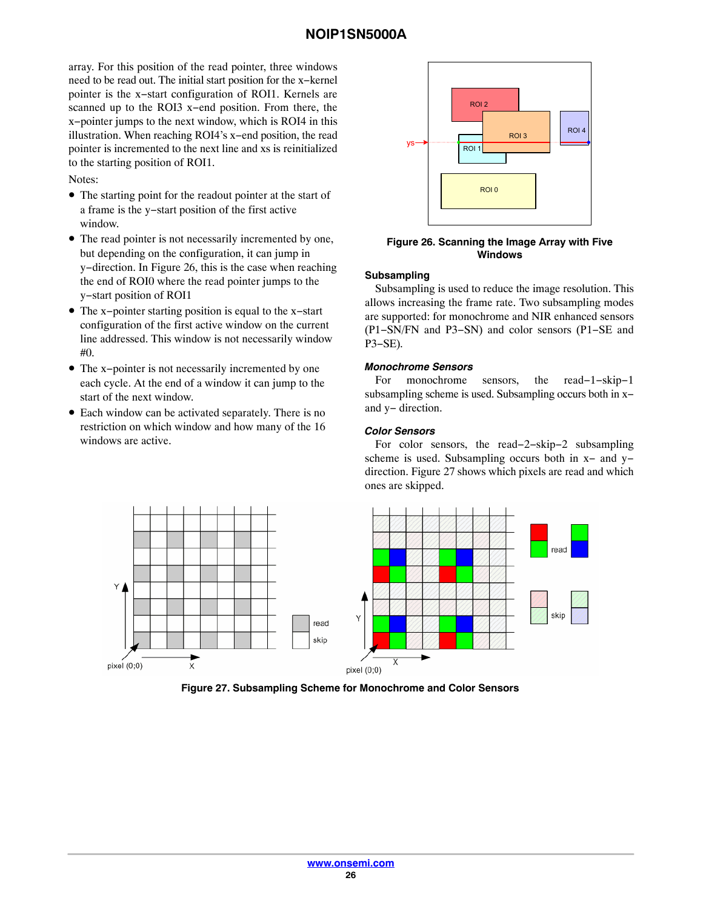<span id="page-25-0"></span>array. For this position of the read pointer, three windows need to be read out. The initial start position for the x−kernel pointer is the x−start configuration of ROI1. Kernels are scanned up to the ROI3 x−end position. From there, the x−pointer jumps to the next window, which is ROI4 in this illustration. When reaching ROI4's x−end position, the read pointer is incremented to the next line and xs is reinitialized to the starting position of ROI1.

Notes:

- The starting point for the readout pointer at the start of a frame is the y−start position of the first active window.
- The read pointer is not necessarily incremented by one, but depending on the configuration, it can jump in y−direction. In Figure 26, this is the case when reaching the end of ROI0 where the read pointer jumps to the y−start position of ROI1
- The x−pointer starting position is equal to the x−start configuration of the first active window on the current line addressed. This window is not necessarily window #0.
- The x−pointer is not necessarily incremented by one each cycle. At the end of a window it can jump to the start of the next window.
- Each window can be activated separately. There is no restriction on which window and how many of the 16 windows are active.



**Figure 26. Scanning the Image Array with Five Windows**

#### **Subsampling**

Subsampling is used to reduce the image resolution. This allows increasing the frame rate. Two subsampling modes are supported: for monochrome and NIR enhanced sensors (P1−SN/FN and P3−SN) and color sensors (P1−SE and P3−SE).

#### *Monochrome Sensors*

For monochrome sensors, the read−1−skip−1 subsampling scheme is used. Subsampling occurs both in x− and y− direction.

#### *Color Sensors*

For color sensors, the read−2−skip−2 subsampling scheme is used. Subsampling occurs both in x– and y– direction. Figure 27 shows which pixels are read and which ones are skipped.



**Figure 27. Subsampling Scheme for Monochrome and Color Sensors**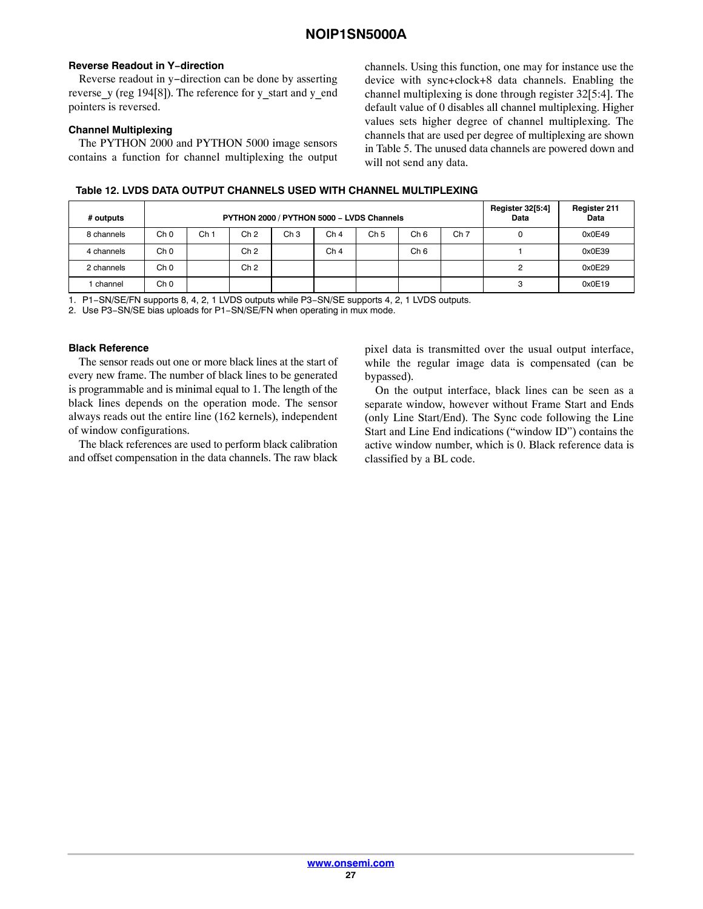#### **Reverse Readout in Y−direction**

Reverse readout in y−direction can be done by asserting reverse  $y$  (reg 194[8]). The reference for y\_start and y\_end pointers is reversed.

#### **Channel Multiplexing**

The PYTHON 2000 and PYTHON 5000 image sensors contains a function for channel multiplexing the output channels. Using this function, one may for instance use the device with sync+clock+8 data channels. Enabling the channel multiplexing is done through register 32[5:4]. The default value of 0 disables all channel multiplexing. Higher values sets higher degree of channel multiplexing. The channels that are used per degree of multiplexing are shown in Table 5. The unused data channels are powered down and will not send any data.

| Table 12. LVDS DATA OUTPUT CHANNELS USED WITH CHANNEL MULTIPLEXING |  |
|--------------------------------------------------------------------|--|
|                                                                    |  |

| # outputs  |                 |                 | PYTHON 2000 / PYTHON 5000 - LVDS Channels |                 |                 |      |                 |                 | <b>Register 32[5:4]</b><br>Data | Register 211<br>Data |
|------------|-----------------|-----------------|-------------------------------------------|-----------------|-----------------|------|-----------------|-----------------|---------------------------------|----------------------|
| 8 channels | Ch <sub>0</sub> | Ch <sub>1</sub> | Ch <sub>2</sub>                           | Ch <sub>3</sub> | Ch <sub>4</sub> | Ch 5 | Ch <sub>6</sub> | Ch <sub>7</sub> | 0                               | 0x0E49               |
| 4 channels | Ch <sub>0</sub> |                 | Ch <sub>2</sub>                           |                 | Ch <sub>4</sub> |      | Ch <sub>6</sub> |                 |                                 | 0x0E39               |
| 2 channels | Ch <sub>0</sub> |                 | Ch <sub>2</sub>                           |                 |                 |      |                 |                 | 2                               | 0x0E29               |
| channel    | Ch <sub>0</sub> |                 |                                           |                 |                 |      |                 |                 | з                               | 0x0E19               |

1. P1−SN/SE/FN supports 8, 4, 2, 1 LVDS outputs while P3−SN/SE supports 4, 2, 1 LVDS outputs.

2. Use P3−SN/SE bias uploads for P1−SN/SE/FN when operating in mux mode.

#### **Black Reference**

The sensor reads out one or more black lines at the start of every new frame. The number of black lines to be generated is programmable and is minimal equal to 1. The length of the black lines depends on the operation mode. The sensor always reads out the entire line (162 kernels), independent of window configurations.

The black references are used to perform black calibration and offset compensation in the data channels. The raw black pixel data is transmitted over the usual output interface, while the regular image data is compensated (can be bypassed).

On the output interface, black lines can be seen as a separate window, however without Frame Start and Ends (only Line Start/End). The Sync code following the Line Start and Line End indications ("window ID") contains the active window number, which is 0. Black reference data is classified by a BL code.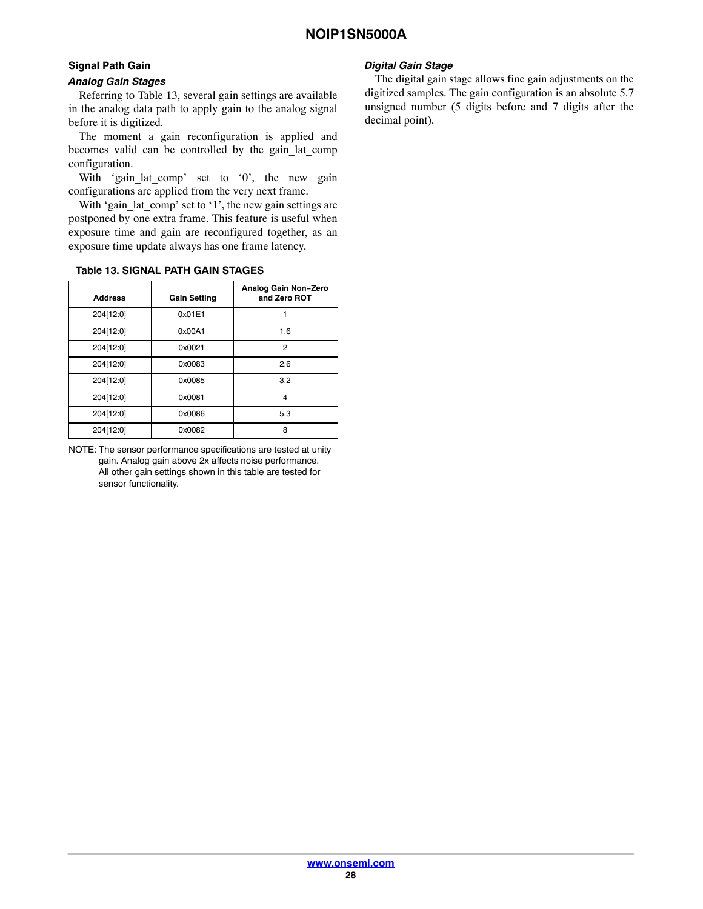#### **Signal Path Gain**

#### *Analog Gain Stages*

Referring to Table 13, several gain settings are available in the analog data path to apply gain to the analog signal before it is digitized.

The moment a gain reconfiguration is applied and becomes valid can be controlled by the gain\_lat\_comp configuration.

With 'gain lat comp' set to '0', the new gain configurations are applied from the very next frame.

With 'gain lat comp' set to '1', the new gain settings are postponed by one extra frame. This feature is useful when exposure time and gain are reconfigured together, as an exposure time update always has one frame latency.

#### **Table 13. SIGNAL PATH GAIN STAGES**

| <b>Address</b> | <b>Gain Setting</b> | Analog Gain Non-Zero<br>and Zero ROT |
|----------------|---------------------|--------------------------------------|
| 204[12:0]      | 0x01E1              |                                      |
| 204[12:0]      | 0x00A1              | 1.6                                  |
| 204[12:0]      | 0x0021              | $\overline{2}$                       |
| 204[12:0]      | 0x0083              | 2.6                                  |
| 204[12:0]      | 0x0085              | 3.2                                  |
| 204[12:0]      | 0x0081              | 4                                    |
| 204[12:0]      | 0x0086              | 5.3                                  |
| 204[12:0]      | 0x0082              | 8                                    |

NOTE: The sensor performance specifications are tested at unity gain. Analog gain above 2x affects noise performance. All other gain settings shown in this table are tested for sensor functionality.

#### *Digital Gain Stage*

The digital gain stage allows fine gain adjustments on the digitized samples. The gain configuration is an absolute 5.7 unsigned number (5 digits before and 7 digits after the decimal point).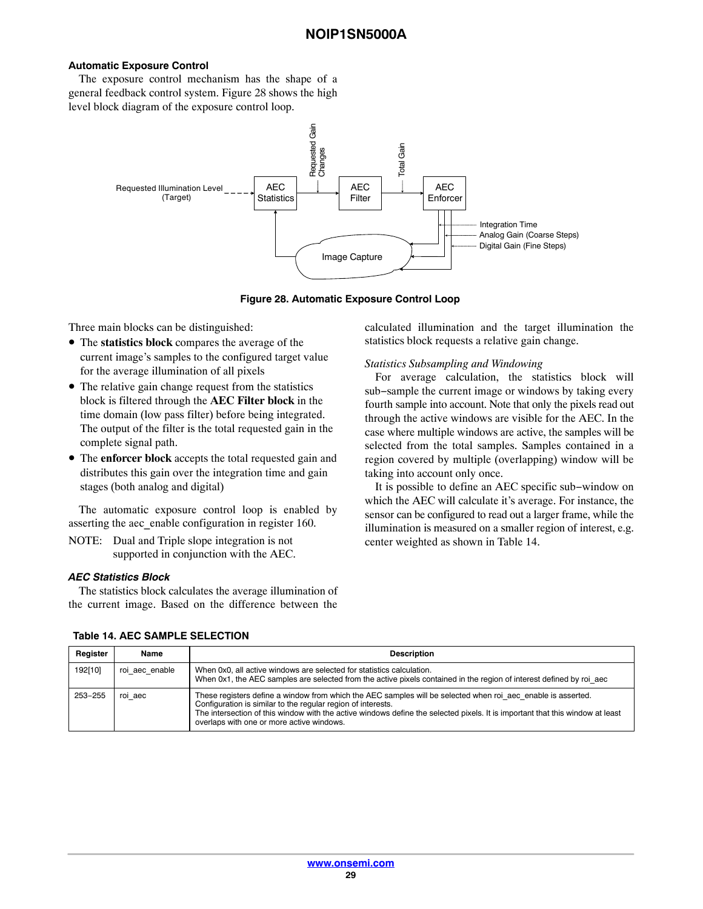#### **Automatic Exposure Control**

The exposure control mechanism has the shape of a general feedback control system. Figure 28 shows the high level block diagram of the exposure control loop.



**Figure 28. Automatic Exposure Control Loop**

Three main blocks can be distinguished:

- The **statistics block** compares the average of the current image's samples to the configured target value for the average illumination of all pixels
- The relative gain change request from the statistics block is filtered through the **AEC Filter block** in the time domain (low pass filter) before being integrated. The output of the filter is the total requested gain in the complete signal path.
- The **enforcer block** accepts the total requested gain and distributes this gain over the integration time and gain stages (both analog and digital)

The automatic exposure control loop is enabled by asserting the aec\_enable configuration in register 160.

NOTE: Dual and Triple slope integration is not supported in conjunction with the AEC.

#### *AEC Statistics Block*

The statistics block calculates the average illumination of the current image. Based on the difference between the

calculated illumination and the target illumination the statistics block requests a relative gain change.

#### *Statistics Subsampling and Windowing*

For average calculation, the statistics block will sub−sample the current image or windows by taking every fourth sample into account. Note that only the pixels read out through the active windows are visible for the AEC. In the case where multiple windows are active, the samples will be selected from the total samples. Samples contained in a region covered by multiple (overlapping) window will be taking into account only once.

It is possible to define an AEC specific sub−window on which the AEC will calculate it's average. For instance, the sensor can be configured to read out a larger frame, while the illumination is measured on a smaller region of interest, e.g. center weighted as shown in Table 14.

| Register | Name           | <b>Description</b>                                                                                                                                                                                                                                                                                                                                         |
|----------|----------------|------------------------------------------------------------------------------------------------------------------------------------------------------------------------------------------------------------------------------------------------------------------------------------------------------------------------------------------------------------|
| 192[10]  | roi aec enable | When 0x0, all active windows are selected for statistics calculation.<br>When 0x1, the AEC samples are selected from the active pixels contained in the region of interest defined by roi aec                                                                                                                                                              |
| 253-255  | roi aec        | These registers define a window from which the AEC samples will be selected when roi aec enable is asserted.<br>Configuration is similar to the regular region of interests.<br>The intersection of this window with the active windows define the selected pixels. It is important that this window at least<br>overlaps with one or more active windows. |

#### **Table 14. AEC SAMPLE SELECTION**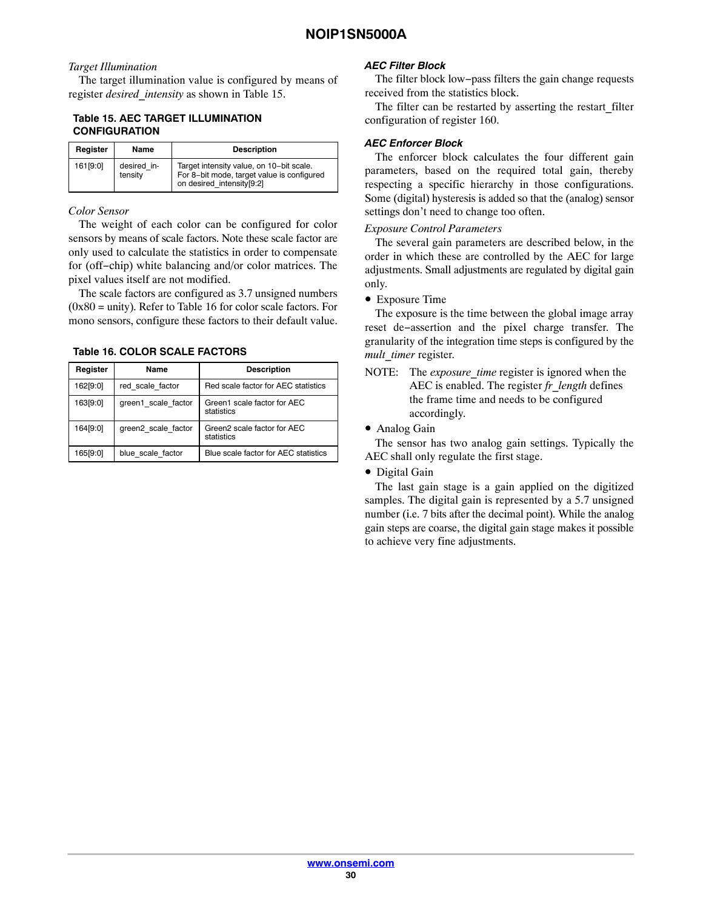#### *Target Illumination*

The target illumination value is configured by means of register *desired\_intensity* as shown in Table 15.

#### **Table 15. AEC TARGET ILLUMINATION CONFIGURATION**

| Register | Name                   | <b>Description</b>                                                                                                  |
|----------|------------------------|---------------------------------------------------------------------------------------------------------------------|
| 161[9:0] | desired in-<br>tensity | Target intensity value, on 10-bit scale.<br>For 8-bit mode, target value is configured<br>on desired intensity[9:2] |

#### *Color Sensor*

The weight of each color can be configured for color sensors by means of scale factors. Note these scale factor are only used to calculate the statistics in order to compensate for (off−chip) white balancing and/or color matrices. The pixel values itself are not modified.

The scale factors are configured as 3.7 unsigned numbers  $(0x80 =$  unity). Refer to Table 16 for color scale factors. For mono sensors, configure these factors to their default value.

**Table 16. COLOR SCALE FACTORS**

| Register | Name                | <b>Description</b>                        |
|----------|---------------------|-------------------------------------------|
| 162[9:0] | red scale factor    | Red scale factor for AEC statistics       |
| 163[9:0] | green1 scale factor | Green1 scale factor for AEC<br>statistics |
| 164[9:0] | green2 scale factor | Green2 scale factor for AEC<br>statistics |
| 165[9:0] | blue scale factor   | Blue scale factor for AEC statistics      |

#### *AEC Filter Block*

The filter block low−pass filters the gain change requests received from the statistics block.

The filter can be restarted by asserting the restart filter configuration of register 160.

#### *AEC Enforcer Block*

The enforcer block calculates the four different gain parameters, based on the required total gain, thereby respecting a specific hierarchy in those configurations. Some (digital) hysteresis is added so that the (analog) sensor settings don't need to change too often.

#### *Exposure Control Parameters*

The several gain parameters are described below, in the order in which these are controlled by the AEC for large adjustments. Small adjustments are regulated by digital gain only.

• Exposure Time

The exposure is the time between the global image array reset de−assertion and the pixel charge transfer. The granularity of the integration time steps is configured by the *mult\_timer* register.

• Analog Gain

The sensor has two analog gain settings. Typically the AEC shall only regulate the first stage.

• Digital Gain

The last gain stage is a gain applied on the digitized samples. The digital gain is represented by a 5.7 unsigned number (i.e. 7 bits after the decimal point). While the analog gain steps are coarse, the digital gain stage makes it possible to achieve very fine adjustments.

NOTE: The *exposure\_time* register is ignored when the AEC is enabled. The register *fr\_length* defines the frame time and needs to be configured accordingly.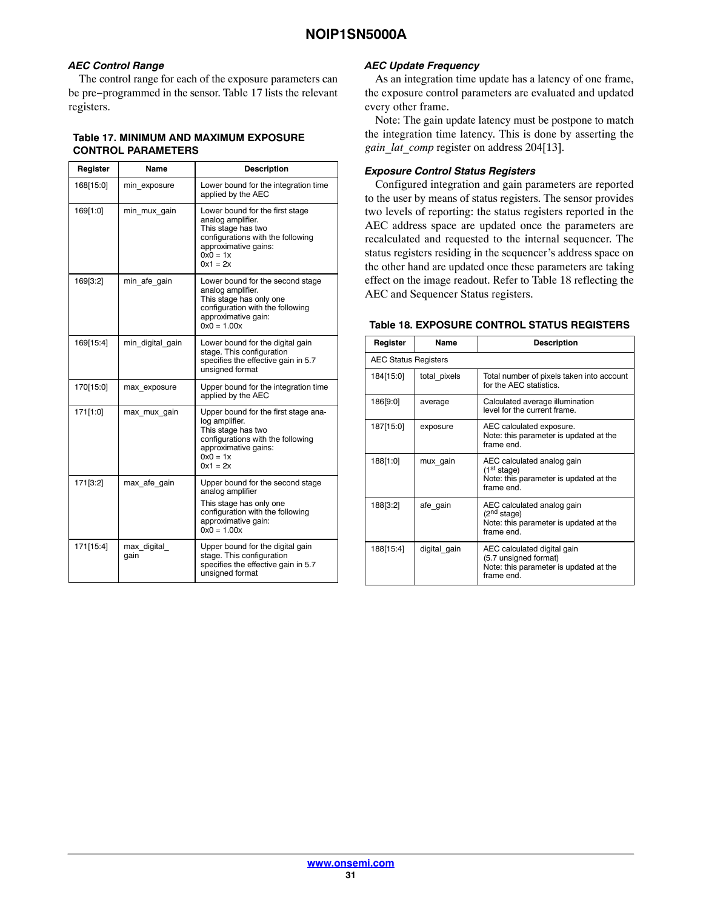#### <span id="page-30-0"></span>*AEC Control Range*

The control range for each of the exposure parameters can be pre−programmed in the sensor. Table 17 lists the relevant registers.

#### **Table 17. MINIMUM AND MAXIMUM EXPOSURE CONTROL PARAMETERS**

| Register  | Name                | <b>Description</b>                                                                                                                                                    |
|-----------|---------------------|-----------------------------------------------------------------------------------------------------------------------------------------------------------------------|
| 168[15:0] | min exposure        | Lower bound for the integration time<br>applied by the AEC                                                                                                            |
| 169[1:0]  | min mux gain        | Lower bound for the first stage<br>analog amplifier.<br>This stage has two<br>configurations with the following<br>approximative gains:<br>$0x0 = 1x$<br>$0x1 = 2x$   |
| 169[3:2]  | min afe gain        | Lower bound for the second stage<br>analog amplifier.<br>This stage has only one<br>configuration with the following<br>approximative gain:<br>$0x0 = 1.00x$          |
| 169[15:4] | min digital gain    | Lower bound for the digital gain<br>stage. This configuration<br>specifies the effective gain in 5.7<br>unsigned format                                               |
| 170[15:0] | max exposure        | Upper bound for the integration time<br>applied by the AEC                                                                                                            |
| 171[1:0]  | max mux gain        | Upper bound for the first stage ana-<br>log amplifier.<br>This stage has two<br>configurations with the following<br>approximative gains:<br>$0x0 = 1x$<br>$0x1 = 2x$ |
| 171[3:2]  | max afe gain        | Upper bound for the second stage<br>analog amplifier<br>This stage has only one<br>configuration with the following<br>approximative gain:<br>$0x0 = 1.00x$           |
| 171[15:4] | max digital<br>gain | Upper bound for the digital gain<br>stage. This configuration<br>specifies the effective gain in 5.7<br>unsigned format                                               |

#### *AEC Update Frequency*

As an integration time update has a latency of one frame, the exposure control parameters are evaluated and updated every other frame.

Note: The gain update latency must be postpone to match the integration time latency. This is done by asserting the *gain lat comp* register on address 204[13].

#### *Exposure Control Status Registers*

Configured integration and gain parameters are reported to the user by means of status registers. The sensor provides two levels of reporting: the status registers reported in the AEC address space are updated once the parameters are recalculated and requested to the internal sequencer. The status registers residing in the sequencer's address space on the other hand are updated once these parameters are taking effect on the image readout. Refer to Table 18 reflecting the AEC and Sequencer Status registers.

| Register                    | <b>Name</b>  | Description                                                                                                  |
|-----------------------------|--------------|--------------------------------------------------------------------------------------------------------------|
| <b>AEC Status Registers</b> |              |                                                                                                              |
| 184[15:0]                   | total pixels | Total number of pixels taken into account<br>for the AEC statistics.                                         |
| 186[9:0]                    | average      | Calculated average illumination<br>level for the current frame.                                              |
| 187[15:0]                   | exposure     | AEC calculated exposure.<br>Note: this parameter is updated at the<br>frame end.                             |
| 188[1:0]                    | mux gain     | AEC calculated analog gain<br>(1 <sup>st</sup> stage)<br>Note: this parameter is updated at the<br>frame end |
| 188[3:2]                    | afe gain     | AEC calculated analog gain<br>(2 <sup>nd</sup> stage)<br>Note: this parameter is updated at the<br>frame end |
| 188[15:4]                   | digital gain | AEC calculated digital gain<br>(5.7 unsigned format)<br>Note: this parameter is updated at the<br>frame end. |

#### **Table 18. EXPOSURE CONTROL STATUS REGISTERS**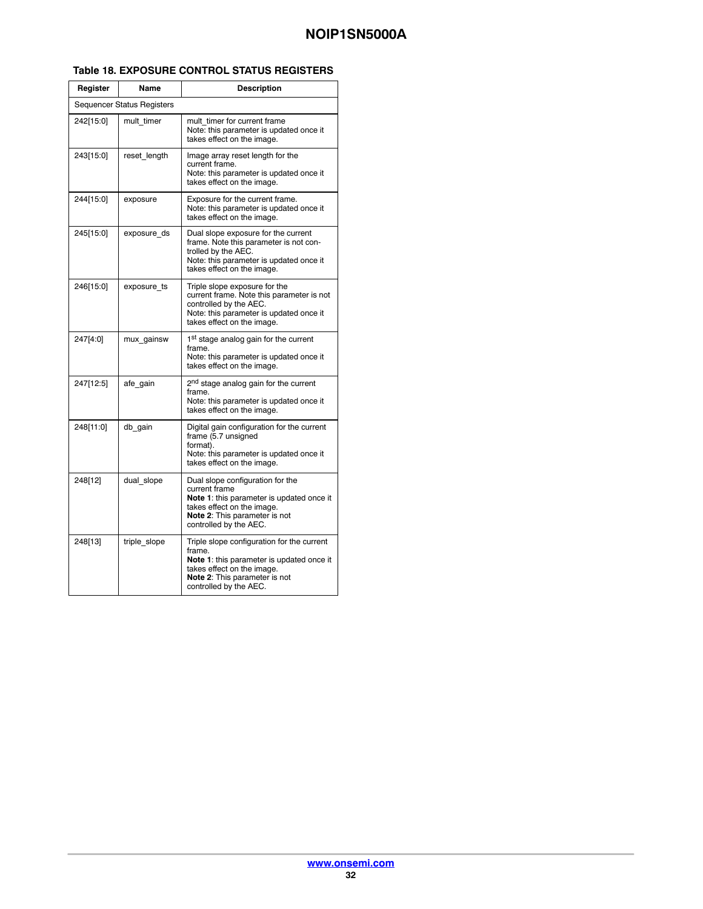#### **Table [18.](#page-30-0) EXPOSURE CONTROL STATUS REGISTERS**

| Register  | Name                       | <b>Description</b>                                                                                                                                                                         |  |  |
|-----------|----------------------------|--------------------------------------------------------------------------------------------------------------------------------------------------------------------------------------------|--|--|
|           | Sequencer Status Registers |                                                                                                                                                                                            |  |  |
| 242[15:0] | mult timer                 | mult timer for current frame<br>Note: this parameter is updated once it<br>takes effect on the image.                                                                                      |  |  |
| 243[15:0] | reset_length               | Image array reset length for the<br>current frame.<br>Note: this parameter is updated once it<br>takes effect on the image.                                                                |  |  |
| 244[15:0] | exposure                   | Exposure for the current frame.<br>Note: this parameter is updated once it<br>takes effect on the image.                                                                                   |  |  |
| 245[15:0] | exposure ds                | Dual slope exposure for the current<br>frame. Note this parameter is not con-<br>trolled by the AEC.<br>Note: this parameter is updated once it<br>takes effect on the image.              |  |  |
| 246[15:0] | exposure ts                | Triple slope exposure for the<br>current frame. Note this parameter is not<br>controlled by the AEC.<br>Note: this parameter is updated once it<br>takes effect on the image.              |  |  |
| 247[4:0]  | mux gainsw                 | 1 <sup>st</sup> stage analog gain for the current<br>frame.<br>Note: this parameter is updated once it<br>takes effect on the image.                                                       |  |  |
| 247[12:5] | afe gain                   | 2 <sup>nd</sup> stage analog gain for the current<br>frame.<br>Note: this parameter is updated once it<br>takes effect on the image.                                                       |  |  |
| 248[11:0] | db gain                    | Digital gain configuration for the current<br>frame (5.7 unsigned<br>format).<br>Note: this parameter is updated once it<br>takes effect on the image.                                     |  |  |
| 248[12]   | dual slope                 | Dual slope configuration for the<br>current frame<br>Note 1: this parameter is updated once it<br>takes effect on the image.<br>Note 2: This parameter is not<br>controlled by the AEC.    |  |  |
| 248[13]   | triple slope               | Triple slope configuration for the current<br>frame.<br>Note 1: this parameter is updated once it<br>takes effect on the image.<br>Note 2: This parameter is not<br>controlled by the AEC. |  |  |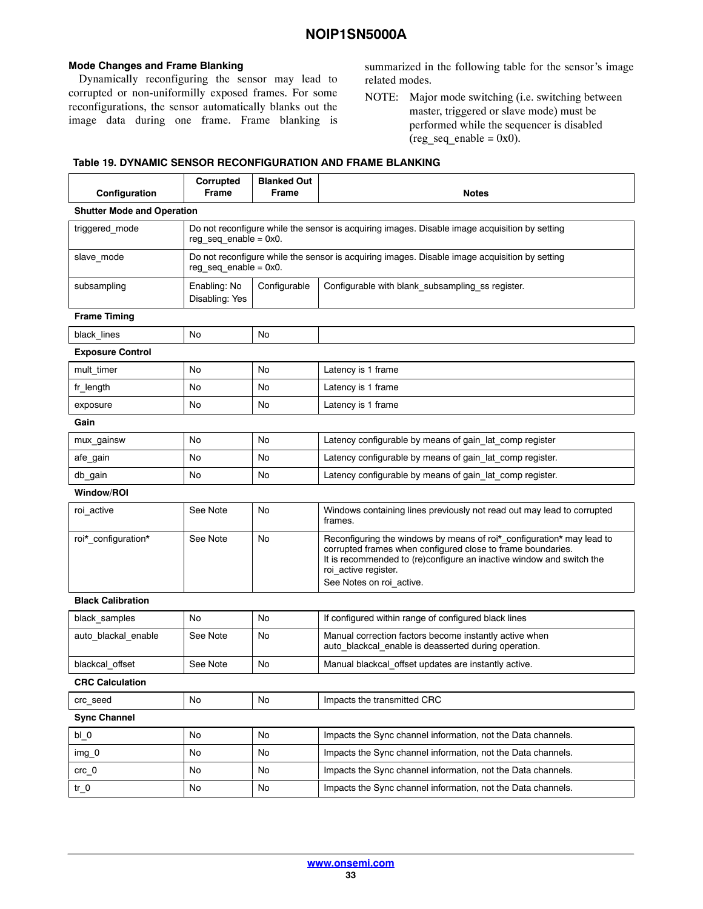#### **Mode Changes and Frame Blanking**

Dynamically reconfiguring the sensor may lead to corrupted or non-uniformilly exposed frames. For some reconfigurations, the sensor automatically blanks out the image data during one frame. Frame blanking is

summarized in the following table for the sensor's image related modes.

NOTE: Major mode switching (i.e. switching between master, triggered or slave mode) must be performed while the sequencer is disabled  $reg\_seq\_enable = 0x0$ .

#### **Table 19. DYNAMIC SENSOR RECONFIGURATION AND FRAME BLANKING**

| Configuration                     | Corrupted<br><b>Frame</b>      | <b>Blanked Out</b><br><b>Frame</b>                                                                                         | Notes                                                                                                                                                                                                                                                            |  |
|-----------------------------------|--------------------------------|----------------------------------------------------------------------------------------------------------------------------|------------------------------------------------------------------------------------------------------------------------------------------------------------------------------------------------------------------------------------------------------------------|--|
| <b>Shutter Mode and Operation</b> |                                |                                                                                                                            |                                                                                                                                                                                                                                                                  |  |
| triggered mode                    |                                | Do not reconfigure while the sensor is acquiring images. Disable image acquisition by setting<br>reg seq enable = $0x0$ .  |                                                                                                                                                                                                                                                                  |  |
| slave mode                        |                                | Do not reconfigure while the sensor is acquiring images. Disable image acquisition by setting<br>$reg\_seq\_enable = 0x0.$ |                                                                                                                                                                                                                                                                  |  |
| subsampling                       | Enabling: No<br>Disabling: Yes | Configurable                                                                                                               | Configurable with blank subsampling ss register.                                                                                                                                                                                                                 |  |
| <b>Frame Timing</b>               |                                |                                                                                                                            |                                                                                                                                                                                                                                                                  |  |
| black lines                       | No                             | No                                                                                                                         |                                                                                                                                                                                                                                                                  |  |
| <b>Exposure Control</b>           |                                |                                                                                                                            |                                                                                                                                                                                                                                                                  |  |
| mult timer                        | No                             | No                                                                                                                         | Latency is 1 frame                                                                                                                                                                                                                                               |  |
| fr length                         | No                             | No                                                                                                                         | Latency is 1 frame                                                                                                                                                                                                                                               |  |
| exposure                          | No                             | No                                                                                                                         | Latency is 1 frame                                                                                                                                                                                                                                               |  |
| Gain                              |                                |                                                                                                                            |                                                                                                                                                                                                                                                                  |  |
| mux_gainsw                        | No                             | No                                                                                                                         | Latency configurable by means of gain lat comp register                                                                                                                                                                                                          |  |
| afe_gain                          | No                             | No                                                                                                                         | Latency configurable by means of gain_lat_comp register.                                                                                                                                                                                                         |  |
| db_gain                           | No                             | No                                                                                                                         | Latency configurable by means of gain_lat_comp register.                                                                                                                                                                                                         |  |
| Window/ROI                        |                                |                                                                                                                            |                                                                                                                                                                                                                                                                  |  |
| roi_active                        | See Note                       | No                                                                                                                         | Windows containing lines previously not read out may lead to corrupted<br>frames.                                                                                                                                                                                |  |
| roi* configuration*               | See Note                       | No                                                                                                                         | Reconfiguring the windows by means of roi* configuration* may lead to<br>corrupted frames when configured close to frame boundaries.<br>It is recommended to (re)configure an inactive window and switch the<br>roi active register.<br>See Notes on roi_active. |  |
| <b>Black Calibration</b>          |                                |                                                                                                                            |                                                                                                                                                                                                                                                                  |  |
| black_samples                     | No                             | No                                                                                                                         | If configured within range of configured black lines                                                                                                                                                                                                             |  |
| auto_blackal_enable               | See Note                       | No                                                                                                                         | Manual correction factors become instantly active when<br>auto blackcal enable is deasserted during operation.                                                                                                                                                   |  |
| blackcal offset                   | See Note                       | No                                                                                                                         | Manual blackcal_offset updates are instantly active.                                                                                                                                                                                                             |  |
| <b>CRC Calculation</b>            |                                |                                                                                                                            |                                                                                                                                                                                                                                                                  |  |
| crc_seed                          | No                             | No                                                                                                                         | Impacts the transmitted CRC                                                                                                                                                                                                                                      |  |
| <b>Sync Channel</b>               |                                |                                                                                                                            |                                                                                                                                                                                                                                                                  |  |
| $bl_0$                            | No                             | No                                                                                                                         | Impacts the Sync channel information, not the Data channels.                                                                                                                                                                                                     |  |
| img 0                             | No                             | No                                                                                                                         | Impacts the Sync channel information, not the Data channels.                                                                                                                                                                                                     |  |
| $\text{crc}_0$                    | No                             | No                                                                                                                         | Impacts the Sync channel information, not the Data channels.                                                                                                                                                                                                     |  |
| $tr_0$                            | No                             | No                                                                                                                         | Impacts the Sync channel information, not the Data channels.                                                                                                                                                                                                     |  |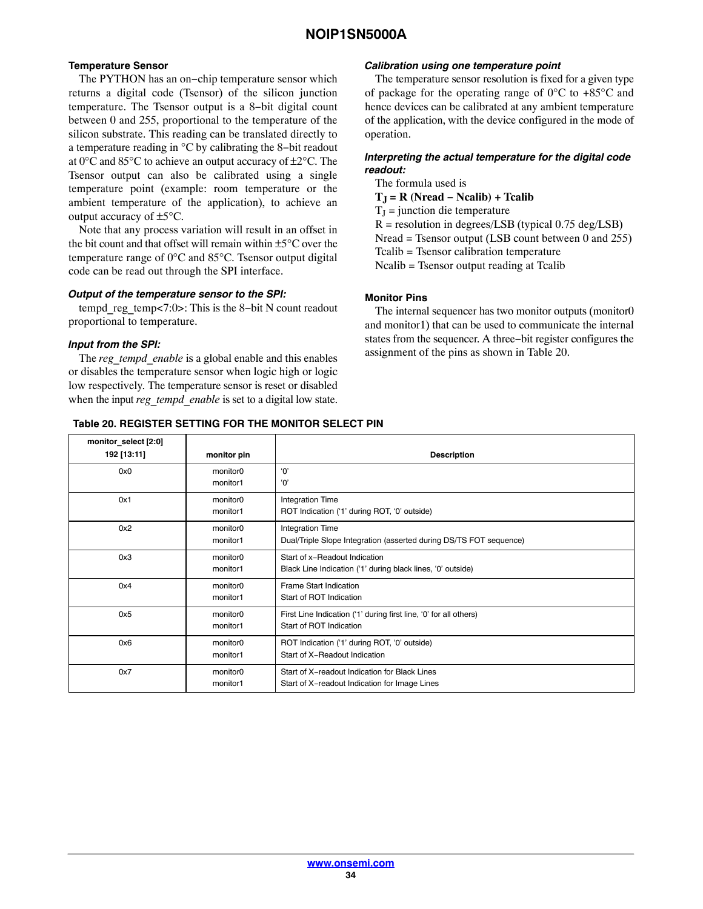#### **Temperature Sensor**

The PYTHON has an on−chip temperature sensor which returns a digital code (Tsensor) of the silicon junction temperature. The Tsensor output is a 8−bit digital count between 0 and 255, proportional to the temperature of the silicon substrate. This reading can be translated directly to a temperature reading in °C by calibrating the 8−bit readout at 0°C and 85°C to achieve an output accuracy of ±2°C. The Tsensor output can also be calibrated using a single temperature point (example: room temperature or the ambient temperature of the application), to achieve an output accuracy of ±5°C.

Note that any process variation will result in an offset in the bit count and that offset will remain within ±5°C over the temperature range of 0°C and 85°C. Tsensor output digital code can be read out through the SPI interface.

#### *Output of the temperature sensor to the SPI:*

tempd reg\_temp<7:0>: This is the 8–bit N count readout proportional to temperature.

#### *Input from the SPI:*

The *reg\_tempd\_enable* is a global enable and this enables or disables the temperature sensor when logic high or logic low respectively. The temperature sensor is reset or disabled when the input *reg\_tempd\_enable* is set to a digital low state.

#### *Calibration using one temperature point*

The temperature sensor resolution is fixed for a given type of package for the operating range of  $0^{\circ}$ C to +85 $^{\circ}$ C and hence devices can be calibrated at any ambient temperature of the application, with the device configured in the mode of operation.

#### *Interpreting the actual temperature for the digital code readout:*

The formula used is

- $T_I = R$  (Nread Ncalib) + Tcalib
- $T_I$  = junction die temperature

 $R =$  resolution in degrees/LSB (typical 0.75 deg/LSB)

Nread = Tsensor output (LSB count between 0 and 255)

Tcalib = Tsensor calibration temperature

Ncalib = Tsensor output reading at Tcalib

#### **Monitor Pins**

The internal sequencer has two monitor outputs (monitor0 and monitor1) that can be used to communicate the internal states from the sequencer. A three−bit register configures the assignment of the pins as shown in Table 20.

#### **Table 20. REGISTER SETTING FOR THE MONITOR SELECT PIN**

| monitor select [2:0]<br>192 [13:11] | monitor pin                      | <b>Description</b>                                                                             |
|-------------------------------------|----------------------------------|------------------------------------------------------------------------------------------------|
| 0x0                                 | monitor <sub>0</sub><br>monitor1 | '0'<br>'0'                                                                                     |
| 0x1                                 | monitor <sub>0</sub><br>monitor1 | <b>Integration Time</b><br>ROT Indication ('1' during ROT, '0' outside)                        |
| 0x2                                 | monitor <sub>0</sub><br>monitor1 | Integration Time<br>Dual/Triple Slope Integration (asserted during DS/TS FOT sequence)         |
| 0x3                                 | monitor <sub>0</sub><br>monitor1 | Start of x-Readout Indication<br>Black Line Indication ('1' during black lines, '0' outside)   |
| 0x4                                 | monitor <sub>0</sub><br>monitor1 | Frame Start Indication<br>Start of ROT Indication                                              |
| 0x5                                 | monitor <sub>0</sub><br>monitor1 | First Line Indication ('1' during first line, '0' for all others)<br>Start of ROT Indication   |
| 0x6                                 | monitor <sub>0</sub><br>monitor1 | ROT Indication ('1' during ROT, '0' outside)<br>Start of X-Readout Indication                  |
| 0x7                                 | monitor <sub>0</sub><br>monitor1 | Start of X-readout Indication for Black Lines<br>Start of X-readout Indication for Image Lines |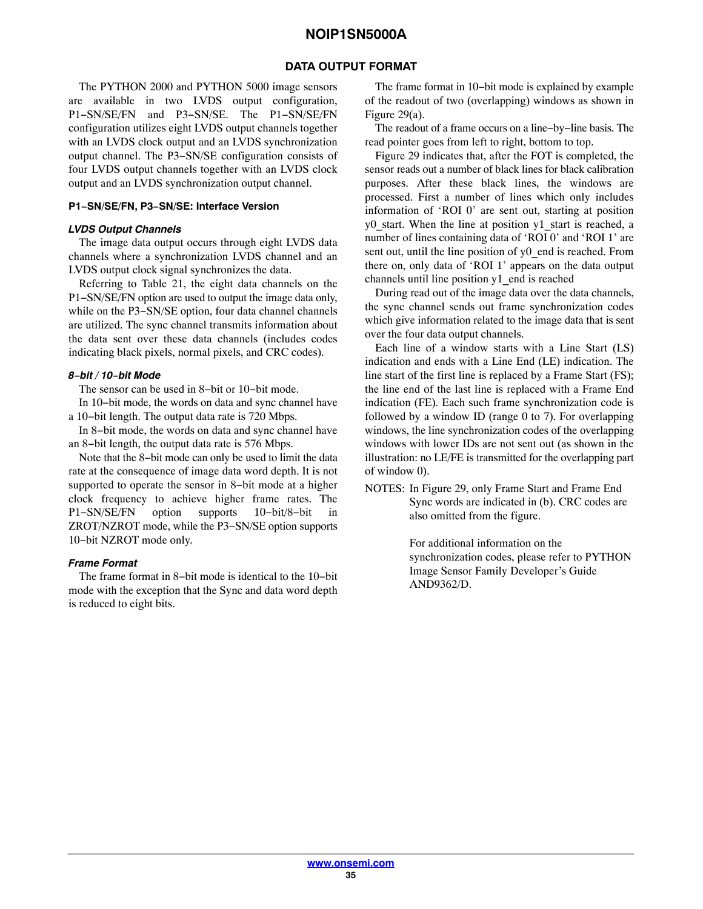#### **DATA OUTPUT FORMAT**

The PYTHON 2000 and PYTHON 5000 image sensors are available in two LVDS output configuration, P1−SN/SE/FN and P3−SN/SE. The P1−SN/SE/FN configuration utilizes eight LVDS output channels together with an LVDS clock output and an LVDS synchronization output channel. The P3−SN/SE configuration consists of four LVDS output channels together with an LVDS clock output and an LVDS synchronization output channel.

#### **P1−SN/SE/FN, P3−SN/SE: Interface Version**

#### *LVDS Output Channels*

The image data output occurs through eight LVDS data channels where a synchronization LVDS channel and an LVDS output clock signal synchronizes the data.

Referring to Table 21, the eight data channels on the P1−SN/SE/FN option are used to output the image data only, while on the P3−SN/SE option, four data channel channels are utilized. The sync channel transmits information about the data sent over these data channels (includes codes indicating black pixels, normal pixels, and CRC codes).

#### *8−bit / 10−bit Mode*

The sensor can be used in 8−bit or 10−bit mode.

In 10−bit mode, the words on data and sync channel have a 10−bit length. The output data rate is 720 Mbps.

In 8−bit mode, the words on data and sync channel have an 8−bit length, the output data rate is 576 Mbps.

Note that the 8−bit mode can only be used to limit the data rate at the consequence of image data word depth. It is not supported to operate the sensor in 8−bit mode at a higher clock frequency to achieve higher frame rates. The P1−SN/SE/FN option supports 10−bit/8−bit in ZROT/NZROT mode, while the P3−SN/SE option supports 10−bit NZROT mode only.

#### *Frame Format*

The frame format in 8−bit mode is identical to the 10−bit mode with the exception that the Sync and data word depth is reduced to eight bits.

The frame format in 10−bit mode is explained by example of the readout of two (overlapping) windows as shown in Figure [29](#page-35-0)(a).

The readout of a frame occurs on a line−by−line basis. The read pointer goes from left to right, bottom to top.

Figure [29](#page-35-0) indicates that, after the FOT is completed, the sensor reads out a number of black lines for black calibration purposes. After these black lines, the windows are processed. First a number of lines which only includes information of 'ROI 0' are sent out, starting at position y0\_start. When the line at position y1\_start is reached, a number of lines containing data of 'ROI 0' and 'ROI 1' are sent out, until the line position of y0 end is reached. From there on, only data of 'ROI 1' appears on the data output channels until line position y1\_end is reached

During read out of the image data over the data channels, the sync channel sends out frame synchronization codes which give information related to the image data that is sent over the four data output channels.

Each line of a window starts with a Line Start (LS) indication and ends with a Line End (LE) indication. The line start of the first line is replaced by a Frame Start (FS); the line end of the last line is replaced with a Frame End indication (FE). Each such frame synchronization code is followed by a window ID (range 0 to 7). For overlapping windows, the line synchronization codes of the overlapping windows with lower IDs are not sent out (as shown in the illustration: no LE/FE is transmitted for the overlapping part of window 0).

NOTES: In Figure [29](#page-35-0), only Frame Start and Frame End Sync words are indicated in (b). CRC codes are also omitted from the figure.

> For additional information on the synchronization codes, please refer to PYTHON Image Sensor Family Developer's Guide AND9362/D.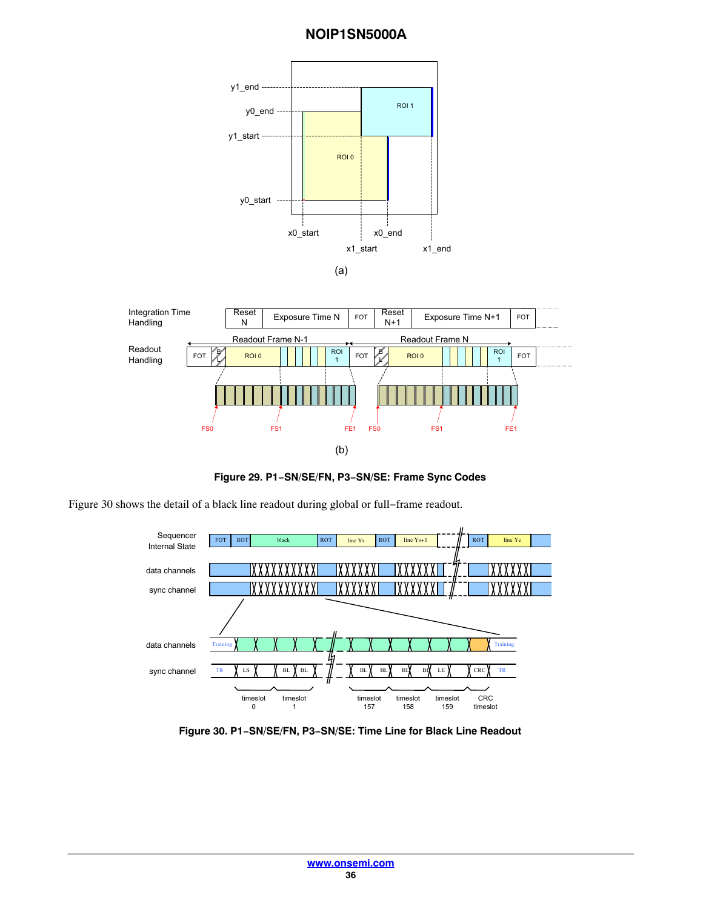<span id="page-35-0"></span>



**Figure 29. P1−SN/SE/FN, P3−SN/SE: Frame Sync Codes**

Figure 30 shows the detail of a black line readout during global or full−frame readout.



**Figure 30. P1−SN/SE/FN, P3−SN/SE: Time Line for Black Line Readout**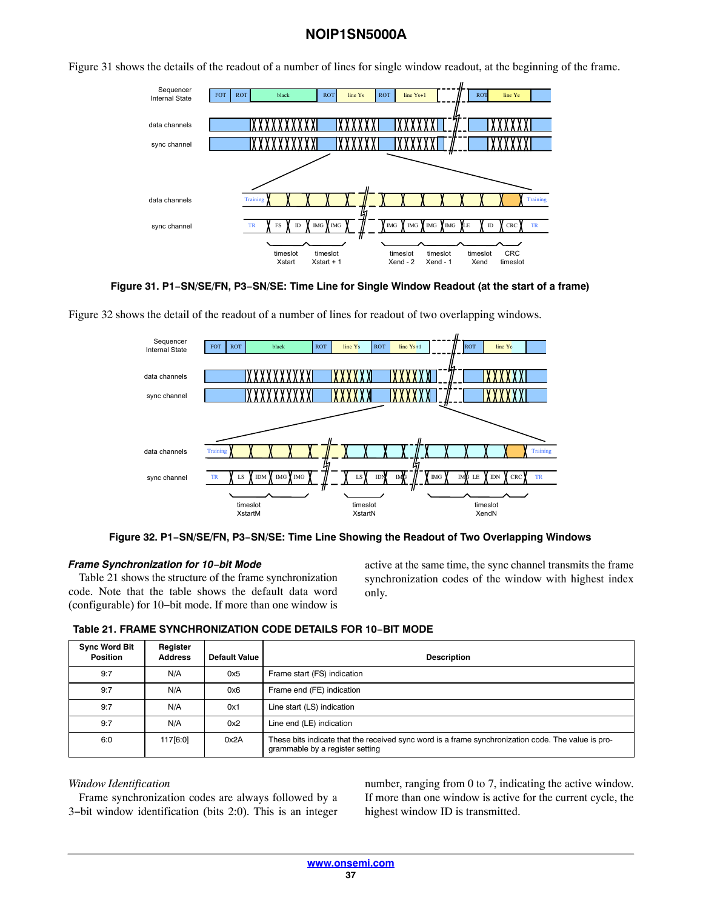

Figure 31 shows the details of the readout of a number of lines for single window readout, at the beginning of the frame.

**Figure 31. P1−SN/SE/FN, P3−SN/SE: Time Line for Single Window Readout (at the start of a frame)**



Figure 32 shows the detail of the readout of a number of lines for readout of two overlapping windows.

**Figure 32. P1−SN/SE/FN, P3−SN/SE: Time Line Showing the Readout of Two Overlapping Windows**

#### *Frame Synchronization for 10−bit Mode*

Table 21 shows the structure of the frame synchronization code. Note that the table shows the default data word (configurable) for 10−bit mode. If more than one window is

active at the same time, the sync channel transmits the frame synchronization codes of the window with highest index only.

#### **Table 21. FRAME SYNCHRONIZATION CODE DETAILS FOR 10−BIT MODE**

| <b>Sync Word Bit</b><br><b>Position</b> | Register<br><b>Address</b> | Default Value | <b>Description</b>                                                                                                                    |
|-----------------------------------------|----------------------------|---------------|---------------------------------------------------------------------------------------------------------------------------------------|
| 9:7                                     | N/A                        | 0x5           | Frame start (FS) indication                                                                                                           |
| 9:7                                     | N/A                        | 0x6           | Frame end (FE) indication                                                                                                             |
| 9:7                                     | N/A                        | 0x1           | Line start (LS) indication                                                                                                            |
| 9:7                                     | N/A                        | 0x2           | Line end (LE) indication                                                                                                              |
| 6:0                                     | 117[6:0]                   | 0x2A          | These bits indicate that the received sync word is a frame synchronization code. The value is pro-<br>grammable by a register setting |

#### *Window Identification*

Frame synchronization codes are always followed by a 3−bit window identification (bits 2:0). This is an integer

number, ranging from 0 to 7, indicating the active window. If more than one window is active for the current cycle, the highest window ID is transmitted.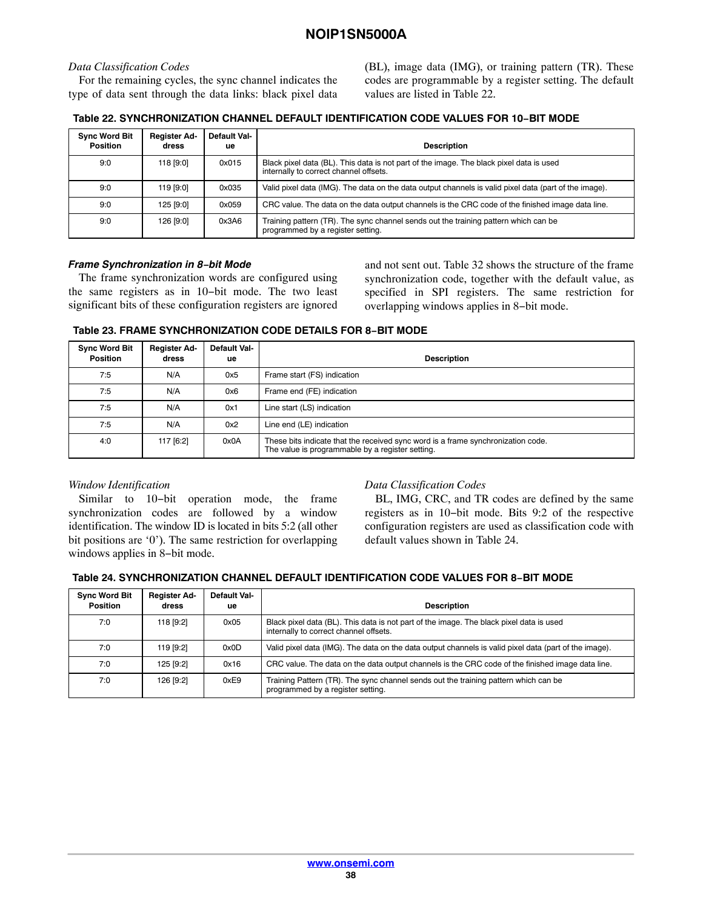### *Data Classification Codes*

For the remaining cycles, the sync channel indicates the type of data sent through the data links: black pixel data

(BL), image data (IMG), or training pattern (TR). These codes are programmable by a register setting. The default values are listed in Table 22.

### **Table 22. SYNCHRONIZATION CHANNEL DEFAULT IDENTIFICATION CODE VALUES FOR 10−BIT MODE**

| <b>Sync Word Bit</b><br><b>Position</b> | <b>Register Ad-</b><br>dress | Default Val-<br>ue | <b>Description</b>                                                                                                                |
|-----------------------------------------|------------------------------|--------------------|-----------------------------------------------------------------------------------------------------------------------------------|
| 9:0                                     | 118 [9:0]                    | 0x015              | Black pixel data (BL). This data is not part of the image. The black pixel data is used<br>internally to correct channel offsets. |
| 9:0                                     | 119 [9:0]                    | 0x035              | Valid pixel data (IMG). The data on the data output channels is valid pixel data (part of the image).                             |
| 9:0                                     | 125 [9:0]                    | 0x059              | CRC value. The data on the data output channels is the CRC code of the finished image data line.                                  |
| 9:0                                     | 126 [9:0]                    | 0x3A6              | Training pattern (TR). The sync channel sends out the training pattern which can be<br>programmed by a register setting.          |

#### *Frame Synchronization in 8−bit Mode*

The frame synchronization words are configured using the same registers as in 10−bit mode. The two least significant bits of these configuration registers are ignored

and not sent out. Table 32 shows the structure of the frame synchronization code, together with the default value, as specified in SPI registers. The same restriction for overlapping windows applies in 8−bit mode.

### **Table 23. FRAME SYNCHRONIZATION CODE DETAILS FOR 8−BIT MODE**

| <b>Sync Word Bit</b><br><b>Position</b> | <b>Register Ad-</b><br>dress | Default Val-<br>ue | <b>Description</b>                                                                                                                   |
|-----------------------------------------|------------------------------|--------------------|--------------------------------------------------------------------------------------------------------------------------------------|
| 7:5                                     | N/A                          | 0x5                | Frame start (FS) indication                                                                                                          |
| 7:5                                     | N/A                          | 0x6                | Frame end (FE) indication                                                                                                            |
| 7:5                                     | N/A                          | 0x1                | Line start (LS) indication                                                                                                           |
| 7:5                                     | N/A                          | 0x2                | Line end (LE) indication                                                                                                             |
| 4:0                                     | 117 [6:2]                    | 0x0A               | These bits indicate that the received sync word is a frame synchronization code.<br>The value is programmable by a register setting. |

### *Window Identification*

Similar to 10−bit operation mode, the frame synchronization codes are followed by a window identification. The window ID is located in bits 5:2 (all other bit positions are '0'). The same restriction for overlapping windows applies in 8−bit mode.

### *Data Classification Codes*

BL, IMG, CRC, and TR codes are defined by the same registers as in 10−bit mode. Bits 9:2 of the respective configuration registers are used as classification code with default values shown in Table 24.

| Table 24. SYNCHRONIZATION CHANNEL DEFAULT IDENTIFICATION CODE VALUES FOR 8-BIT MODE |  |  |
|-------------------------------------------------------------------------------------|--|--|
|                                                                                     |  |  |

| <b>Sync Word Bit</b><br><b>Position</b> | <b>Register Ad-</b><br>dress | Default Val-<br>ue | <b>Description</b>                                                                                                                |
|-----------------------------------------|------------------------------|--------------------|-----------------------------------------------------------------------------------------------------------------------------------|
| 7:0                                     | 118 [9:2]                    | 0x05               | Black pixel data (BL). This data is not part of the image. The black pixel data is used<br>internally to correct channel offsets. |
| 7:0                                     | 119 [9:2]                    | 0x0D               | Valid pixel data (IMG). The data on the data output channels is valid pixel data (part of the image).                             |
| 7:0                                     | 125 [9:2]                    | 0x16               | CRC value. The data on the data output channels is the CRC code of the finished image data line.                                  |
| 7:0                                     | 126 [9:2]                    | 0xE9               | Training Pattern (TR). The sync channel sends out the training pattern which can be<br>programmed by a register setting.          |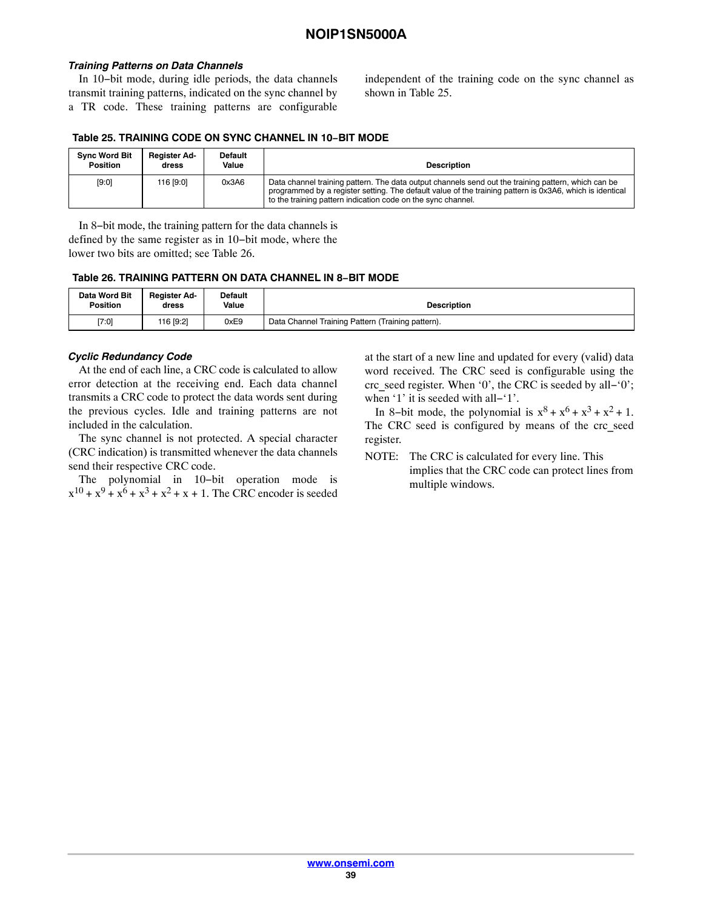#### *Training Patterns on Data Channels*

In 10−bit mode, during idle periods, the data channels transmit training patterns, indicated on the sync channel by a TR code. These training patterns are configurable independent of the training code on the sync channel as shown in Table 25.

#### **Table 25. TRAINING CODE ON SYNC CHANNEL IN 10−BIT MODE**

| <b>Sync Word Bit</b> | <b>Register Ad-</b> | <b>Default</b> | <b>Description</b>                                                                                                                                                                                                                                                              |
|----------------------|---------------------|----------------|---------------------------------------------------------------------------------------------------------------------------------------------------------------------------------------------------------------------------------------------------------------------------------|
| <b>Position</b>      | dress               | Value          |                                                                                                                                                                                                                                                                                 |
| [9:0]                | 116 [9:0]           | 0x3A6          | Data channel training pattern. The data output channels send out the training pattern, which can be<br>programmed by a register setting. The default value of the training pattern is 0x3A6, which is identical<br>to the training pattern indication code on the sync channel. |

In 8−bit mode, the training pattern for the data channels is defined by the same register as in 10−bit mode, where the lower two bits are omitted; see Table 26.

### **Table 26. TRAINING PATTERN ON DATA CHANNEL IN 8−BIT MODE**

| Data Word Bit   | <b>Reaister Ad-</b> | <b>Default</b> | <b>Description</b>                                |
|-----------------|---------------------|----------------|---------------------------------------------------|
| <b>Position</b> | dress               | Value          |                                                   |
| [7:0]           | 116 [9:2]           | 0xE9           | Data Channel Training Pattern (Training pattern). |

#### *Cyclic Redundancy Code*

At the end of each line, a CRC code is calculated to allow error detection at the receiving end. Each data channel transmits a CRC code to protect the data words sent during the previous cycles. Idle and training patterns are not included in the calculation.

The sync channel is not protected. A special character (CRC indication) is transmitted whenever the data channels send their respective CRC code.

The polynomial in 10−bit operation mode is  $x^{10} + x^9 + x^6 + x^3 + x^2 + x + 1$ . The CRC encoder is seeded at the start of a new line and updated for every (valid) data word received. The CRC seed is configurable using the crc\_seed register. When '0', the CRC is seeded by all−'0'; when '1' it is seeded with all−'1'.

In 8–bit mode, the polynomial is  $x^8 + x^6 + x^3 + x^2 + 1$ . The CRC seed is configured by means of the crc seed register.

NOTE: The CRC is calculated for every line. This implies that the CRC code can protect lines from multiple windows.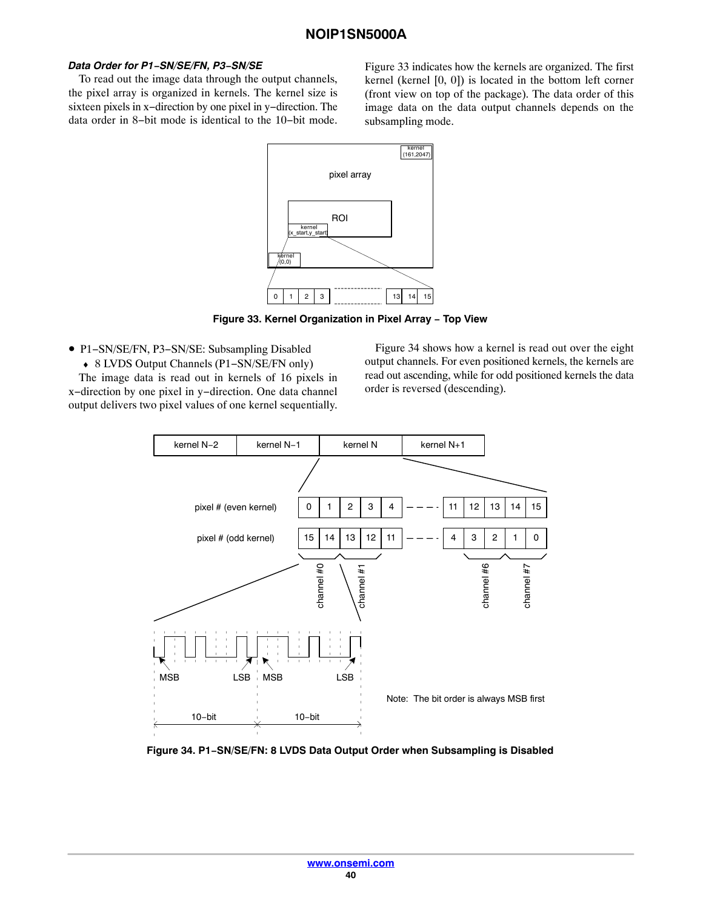### *Data Order for P1−SN/SE/FN, P3−SN/SE*

To read out the image data through the output channels, the pixel array is organized in kernels. The kernel size is sixteen pixels in x−direction by one pixel in y−direction. The data order in 8−bit mode is identical to the 10−bit mode.

Figure 33 indicates how the kernels are organized. The first kernel (kernel [0, 0]) is located in the bottom left corner (front view on top of the package). The data order of this image data on the data output channels depends on the subsampling mode.



**Figure 33. Kernel Organization in Pixel Array − Top View**

• P1−SN/SE/FN, P3−SN/SE: Subsampling Disabled

♦ 8 LVDS Output Channels (P1−SN/SE/FN only)

The image data is read out in kernels of 16 pixels in x−direction by one pixel in y−direction. One data channel output delivers two pixel values of one kernel sequentially.

Figure 34 shows how a kernel is read out over the eight output channels. For even positioned kernels, the kernels are read out ascending, while for odd positioned kernels the data order is reversed (descending).



**Figure 34. P1−SN/SE/FN: 8 LVDS Data Output Order when Subsampling is Disabled**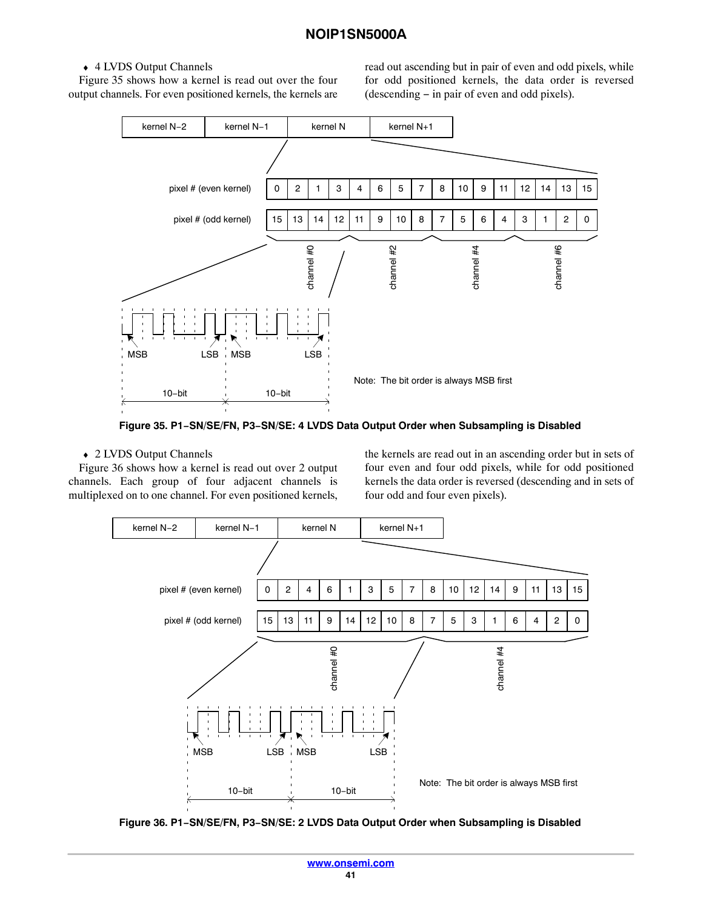#### ♦ 4 LVDS Output Channels

Figure 35 shows how a kernel is read out over the four output channels. For even positioned kernels, the kernels are read out ascending but in pair of even and odd pixels, while for odd positioned kernels, the data order is reversed (descending − in pair of even and odd pixels).



**Figure 35. P1−SN/SE/FN, P3−SN/SE: 4 LVDS Data Output Order when Subsampling is Disabled**

#### ♦ 2 LVDS Output Channels

Figure 36 shows how a kernel is read out over 2 output channels. Each group of four adjacent channels is multiplexed on to one channel. For even positioned kernels, the kernels are read out in an ascending order but in sets of four even and four odd pixels, while for odd positioned kernels the data order is reversed (descending and in sets of four odd and four even pixels).



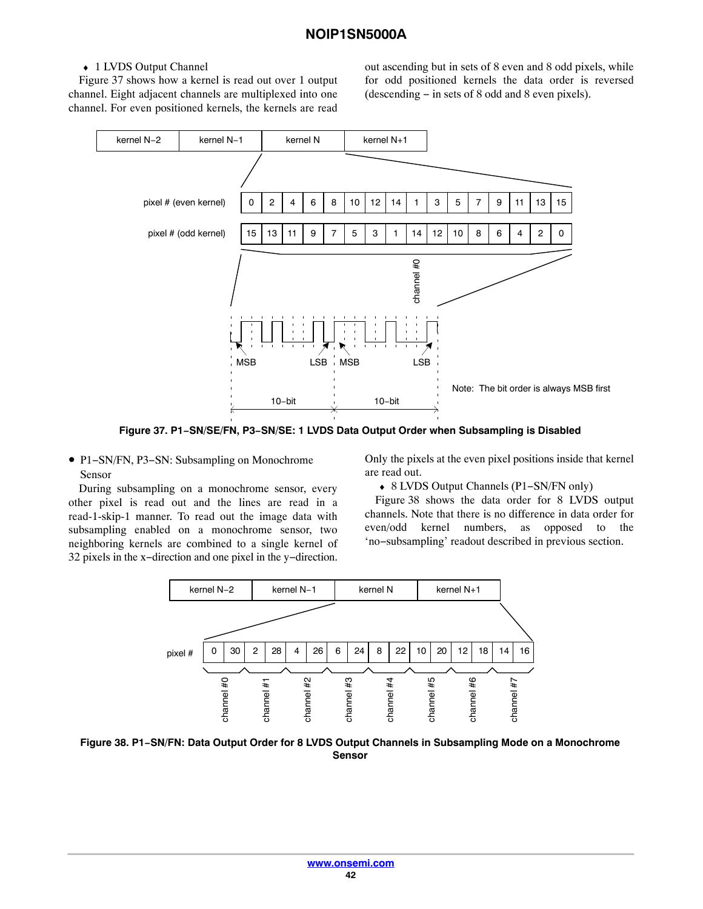### ◆ 1 LVDS Output Channel

Figure 37 shows how a kernel is read out over 1 output channel. Eight adjacent channels are multiplexed into one channel. For even positioned kernels, the kernels are read out ascending but in sets of 8 even and 8 odd pixels, while for odd positioned kernels the data order is reversed (descending − in sets of 8 odd and 8 even pixels).



**Figure 37. P1−SN/SE/FN, P3−SN/SE: 1 LVDS Data Output Order when Subsampling is Disabled**

• P1−SN/FN, P3−SN: Subsampling on Monochrome Sensor

During subsampling on a monochrome sensor, every other pixel is read out and the lines are read in a read-1-skip-1 manner. To read out the image data with subsampling enabled on a monochrome sensor, two neighboring kernels are combined to a single kernel of 32 pixels in the x−direction and one pixel in the y−direction.

Only the pixels at the even pixel positions inside that kernel are read out.

♦ 8 LVDS Output Channels (P1−SN/FN only)

Figure 38 shows the data order for 8 LVDS output channels. Note that there is no difference in data order for even/odd kernel numbers, as opposed to the 'no−subsampling' readout described in previous section.



**Figure 38. P1−SN/FN: Data Output Order for 8 LVDS Output Channels in Subsampling Mode on a Monochrome Sensor**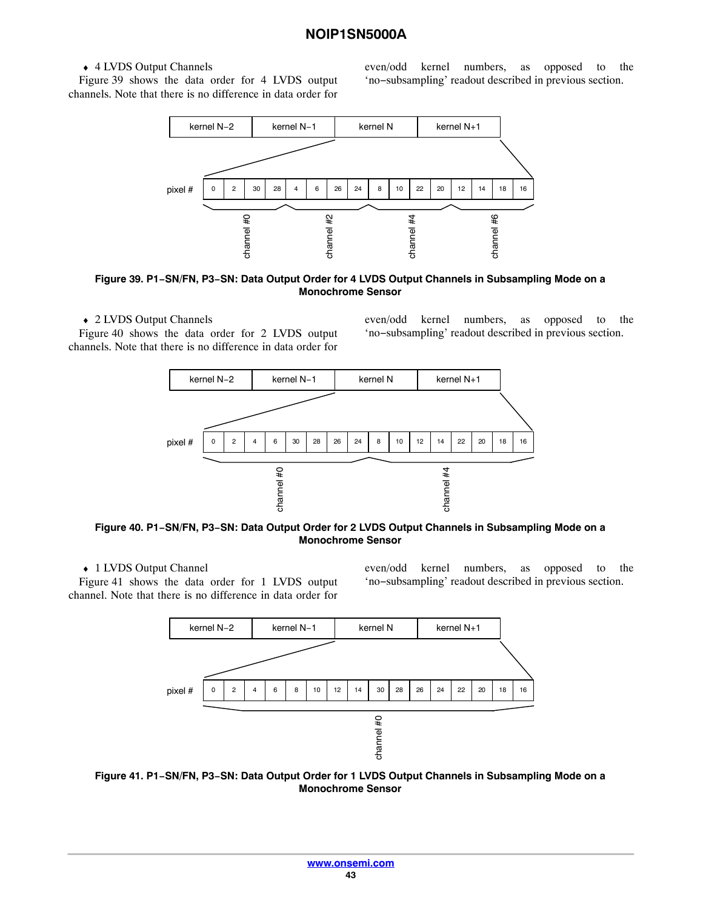#### ♦ 4 LVDS Output Channels

Figure 39 shows the data order for 4 LVDS output channels. Note that there is no difference in data order for

even/odd kernel numbers, as opposed to the 'no−subsampling' readout described in previous section.



**Figure 39. P1−SN/FN, P3−SN: Data Output Order for 4 LVDS Output Channels in Subsampling Mode on a Monochrome Sensor**

#### ♦ 2 LVDS Output Channels

Figure 40 shows the data order for 2 LVDS output channels. Note that there is no difference in data order for

even/odd kernel numbers, as opposed to the 'no−subsampling' readout described in previous section.



**Figure 40. P1−SN/FN, P3−SN: Data Output Order for 2 LVDS Output Channels in Subsampling Mode on a Monochrome Sensor**

### ♦ 1 LVDS Output Channel

Figure 41 shows the data order for 1 LVDS output channel. Note that there is no difference in data order for

even/odd kernel numbers, as opposed to the 'no−subsampling' readout described in previous section.



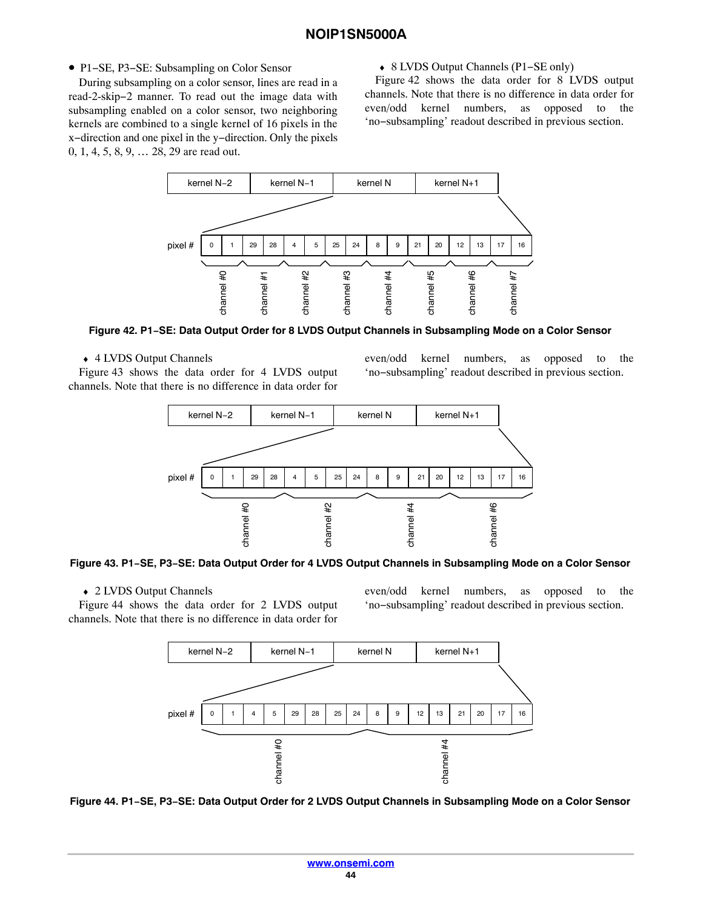### • P1−SE, P3−SE: Subsampling on Color Sensor

During subsampling on a color sensor, lines are read in a read-2-skip−2 manner. To read out the image data with subsampling enabled on a color sensor, two neighboring kernels are combined to a single kernel of 16 pixels in the x−direction and one pixel in the y−direction. Only the pixels 0, 1, 4, 5, 8, 9, … 28, 29 are read out.

#### ♦ 8 LVDS Output Channels (P1−SE only)

Figure 42 shows the data order for 8 LVDS output channels. Note that there is no difference in data order for even/odd kernel numbers, as opposed to the 'no−subsampling' readout described in previous section.



**Figure 42. P1−SE: Data Output Order for 8 LVDS Output Channels in Subsampling Mode on a Color Sensor**

#### ♦ 4 LVDS Output Channels

Figure 43 shows the data order for 4 LVDS output channels. Note that there is no difference in data order for

even/odd kernel numbers, as opposed to the 'no−subsampling' readout described in previous section.





### ♦ 2 LVDS Output Channels

Figure 44 shows the data order for 2 LVDS output channels. Note that there is no difference in data order for

even/odd kernel numbers, as opposed to the 'no−subsampling' readout described in previous section.



**Figure 44. P1−SE, P3−SE: Data Output Order for 2 LVDS Output Channels in Subsampling Mode on a Color Sensor**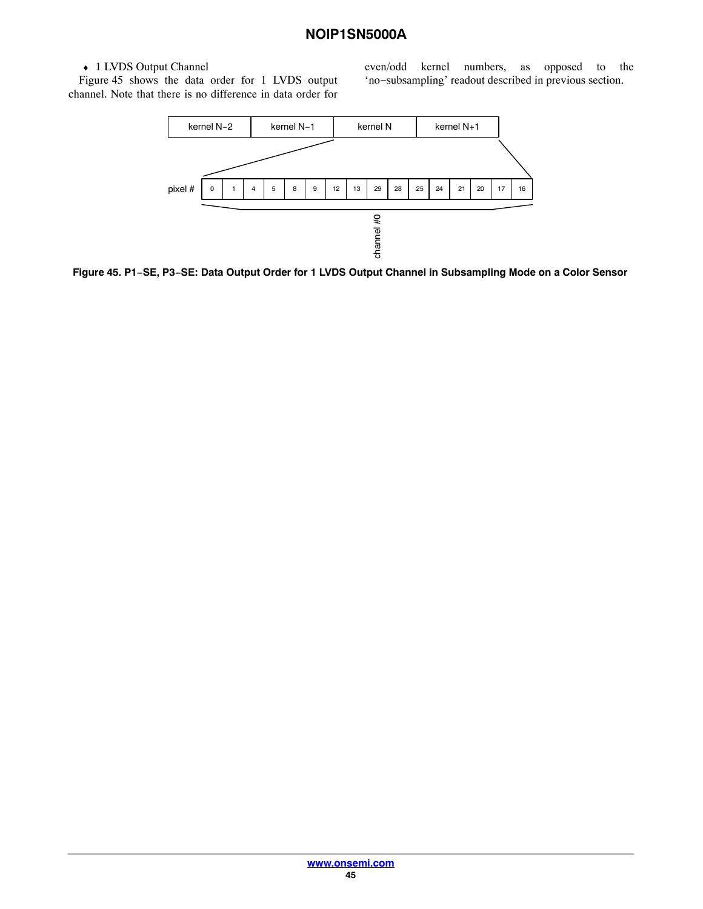#### ♦ 1 LVDS Output Channel

Figure 45 shows the data order for 1 LVDS output channel. Note that there is no difference in data order for

even/odd kernel numbers, as opposed to the 'no−subsampling' readout described in previous section.



**Figure 45. P1−SE, P3−SE: Data Output Order for 1 LVDS Output Channel in Subsampling Mode on a Color Sensor**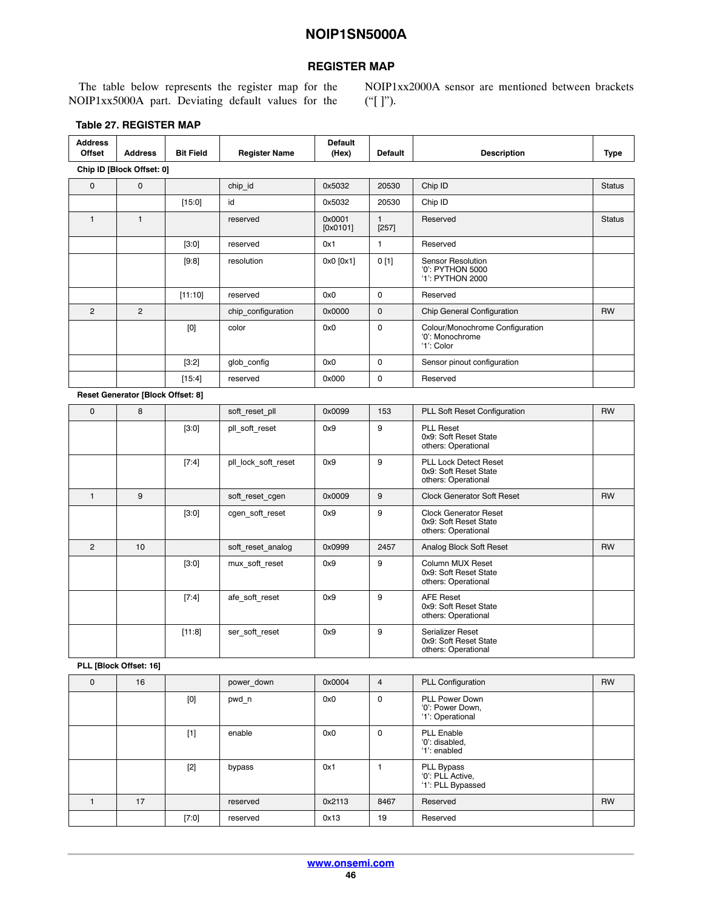## **REGISTER MAP**

<span id="page-45-0"></span>The table below represents the register map for the NOIP1xx5000A part. Deviating default values for the

NOIP1xx2000A sensor are mentioned between brackets ("[ ]").

#### **Table 27. REGISTER MAP**

| <b>Address</b><br><b>Offset</b> | <b>Address</b>                    | <b>Bit Field</b> | <b>Register Name</b> | <b>Default</b><br>(Hex) | <b>Default</b>          | <b>Description</b>                                                           | Type          |
|---------------------------------|-----------------------------------|------------------|----------------------|-------------------------|-------------------------|------------------------------------------------------------------------------|---------------|
|                                 | Chip ID [Block Offset: 0]         |                  |                      |                         |                         |                                                                              |               |
| $\mathbf 0$                     | 0                                 |                  | chip_id              | 0x5032                  | 20530                   | Chip ID                                                                      | <b>Status</b> |
|                                 |                                   | [15:0]           | id                   | 0x5032                  | 20530                   | Chip ID                                                                      |               |
| $\mathbf{1}$                    | 1                                 |                  | reserved             | 0x0001<br>$[0x0101]$    | $\mathbf{1}$<br>$[257]$ | Reserved                                                                     | <b>Status</b> |
|                                 |                                   | $[3:0]$          | reserved             | 0x1                     | $\mathbf{1}$            | Reserved                                                                     |               |
|                                 |                                   | [9:8]            | resolution           | 0x0 [0x1]               | 0[1]                    | Sensor Resolution<br>'0': PYTHON 5000<br>'1': PYTHON 2000                    |               |
|                                 |                                   | [11:10]          | reserved             | 0x0                     | 0                       | Reserved                                                                     |               |
| $\overline{c}$                  | $\overline{c}$                    |                  | chip configuration   | 0x0000                  | $\mathsf{o}$            | Chip General Configuration                                                   | <b>RW</b>     |
|                                 |                                   | [0]              | color                | 0x0                     | 0                       | Colour/Monochrome Configuration<br>'0': Monochrome<br>'1': Color             |               |
|                                 |                                   | [3:2]            | glob config          | 0x0                     | 0                       | Sensor pinout configuration                                                  |               |
|                                 |                                   | [15:4]           | reserved             | 0x000                   | 0                       | Reserved                                                                     |               |
|                                 | Reset Generator [Block Offset: 8] |                  |                      |                         |                         |                                                                              |               |
| $\mathsf{O}$                    | 8                                 |                  | soft reset pll       | 0x0099                  | 153                     | PLL Soft Reset Configuration                                                 | <b>RW</b>     |
|                                 |                                   | [3:0]            | pll_soft_reset       | 0x9                     | 9                       | <b>PLL Reset</b><br>0x9: Soft Reset State<br>others: Operational             |               |
|                                 |                                   | $[7:4]$          | pll_lock_soft_reset  | 0x9                     | 9                       | <b>PLL Lock Detect Reset</b><br>0x9: Soft Reset State<br>others: Operational |               |
| $\mathbf{1}$                    | 9                                 |                  | soft_reset_cgen      | 0x0009                  | 9                       | <b>Clock Generator Soft Reset</b>                                            | <b>RW</b>     |
|                                 |                                   | [3:0]            | cgen_soft_reset      | 0x9                     | 9                       | <b>Clock Generator Reset</b><br>0x9: Soft Reset State<br>others: Operational |               |
| $\overline{c}$                  | 10                                |                  | soft reset analog    | 0x0999                  | 2457                    | Analog Block Soft Reset                                                      | <b>RW</b>     |
|                                 |                                   | $[3:0]$          | mux soft reset       | 0x9                     | 9                       | Column MUX Reset<br>0x9: Soft Reset State<br>others: Operational             |               |
|                                 |                                   | $[7:4]$          | afe_soft_reset       | 0x9                     | 9                       | <b>AFE Reset</b><br>0x9: Soft Reset State<br>others: Operational             |               |
|                                 |                                   | [11:8]           | ser soft reset       | 0x9                     | 9                       | Serializer Reset<br>0x9: Soft Reset State<br>others: Operational             |               |
|                                 | PLL [Block Offset: 16]            |                  |                      |                         |                         |                                                                              |               |
| $\mathsf 0$                     | 16                                |                  | power down           | 0x0004                  | $\overline{4}$          | PLL Configuration                                                            | RW            |
|                                 |                                   | [0]              | pwd n                | 0x0                     | 0                       | PLL Power Down<br>'0': Power Down,<br>'1': Operational                       |               |
|                                 |                                   | $[1]$            | enable               | 0x0                     | 0                       | PLL Enable<br>'0': disabled,<br>'1": enabled                                 |               |
|                                 |                                   | $[2]$            | bypass               | 0x1                     | $\mathbf{1}$            | PLL Bypass<br>'0': PLL Active,<br>'1': PLL Bypassed                          |               |
| $\mathbf{1}$                    | 17                                |                  | reserved             | 0x2113                  | 8467                    | Reserved                                                                     | <b>RW</b>     |
|                                 |                                   | [7:0]            | reserved             | 0x13                    | 19                      | Reserved                                                                     |               |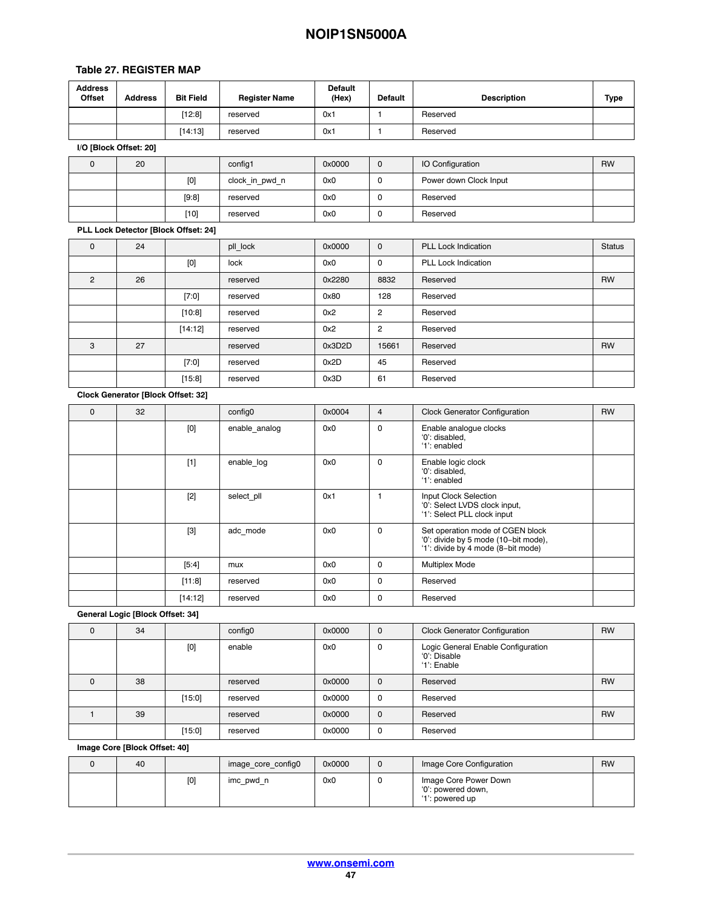### **Table [27](#page-45-0). REGISTER MAP**

| Address<br>Offset   | <b>Address</b>                     | <b>Bit Field</b>                                                                                                                                                                                                                                                                                                                                                                                                                                                                                                                                                                                   | <b>Register Name</b> | <b>Default</b><br>(Hex) | <b>Default</b> | <b>Description</b>                                                                                             | <b>Type</b>   |
|---------------------|------------------------------------|----------------------------------------------------------------------------------------------------------------------------------------------------------------------------------------------------------------------------------------------------------------------------------------------------------------------------------------------------------------------------------------------------------------------------------------------------------------------------------------------------------------------------------------------------------------------------------------------------|----------------------|-------------------------|----------------|----------------------------------------------------------------------------------------------------------------|---------------|
|                     |                                    | $[12:8]$                                                                                                                                                                                                                                                                                                                                                                                                                                                                                                                                                                                           | reserved             | 0x1                     | $\mathbf{1}$   | Reserved                                                                                                       |               |
|                     |                                    | [14:13]                                                                                                                                                                                                                                                                                                                                                                                                                                                                                                                                                                                            | reserved             | 0x1                     | $\mathbf{1}$   | Reserved                                                                                                       |               |
|                     | I/O [Block Offset: 20]             |                                                                                                                                                                                                                                                                                                                                                                                                                                                                                                                                                                                                    |                      |                         |                |                                                                                                                |               |
| 0                   | 20                                 |                                                                                                                                                                                                                                                                                                                                                                                                                                                                                                                                                                                                    | config1              | 0x0000                  | $\mathbf 0$    | IO Configuration                                                                                               | <b>RW</b>     |
|                     |                                    | $[0] % \begin{center} % \includegraphics[width=\linewidth]{imagesSupplemental_3.png} % \end{center} % \caption { % Our method can be used for the use of the image. % Note that the \emph{DefNet}~\cite{bib66} as a function of the \emph{DefNet}~\cite{bib66} as a function of the \emph{DefNet}~\cite{bib66} as a function of the \emph{DefNet}~\cite{bib66} as a function of the \emph{DefNet}~\cite{bib66} as a function of the \emph{DefNet}~\cite{bib66} as a function of the \emph{DefNet}~\cite{bib66} as a function of the \emph{DefNet}~\cite{bib66} as a function of the \emph{DefNet}$ | clock in pwd n       | 0x0                     | 0              | Power down Clock Input                                                                                         |               |
|                     |                                    | [9:8]                                                                                                                                                                                                                                                                                                                                                                                                                                                                                                                                                                                              | reserved             | 0x0                     | 0              | Reserved                                                                                                       |               |
|                     |                                    | $[10]$                                                                                                                                                                                                                                                                                                                                                                                                                                                                                                                                                                                             | reserved             | 0x0                     | 0              | Reserved                                                                                                       |               |
|                     |                                    | PLL Lock Detector [Block Offset: 24]                                                                                                                                                                                                                                                                                                                                                                                                                                                                                                                                                               |                      |                         |                |                                                                                                                |               |
| $\mathbf 0$         | 24                                 |                                                                                                                                                                                                                                                                                                                                                                                                                                                                                                                                                                                                    | pll lock             | 0x0000                  | $\mathbf 0$    | <b>PLL Lock Indication</b>                                                                                     | <b>Status</b> |
|                     |                                    | $[0] % \begin{center} % \includegraphics[width=\linewidth]{imagesSupplemental_3.png} % \end{center} % \caption { % Our method can be used for the use of the image. % Note that the \emph{DefNet}~\cite{bib66} as a function of the \emph{DefNet}~\cite{bib66} as a function of the \emph{DefNet}~\cite{bib66} as a function of the \emph{DefNet}~\cite{bib66} as a function of the \emph{DefNet}~\cite{bib66} as a function of the \emph{DefNet}~\cite{bib66} as a function of the \emph{DefNet}~\cite{bib66} as a function of the \emph{DefNet}~\cite{bib66} as a function of the \emph{DefNet}$ | lock                 | 0x0                     | 0              | PLL Lock Indication                                                                                            |               |
| $\overline{2}$      | 26                                 |                                                                                                                                                                                                                                                                                                                                                                                                                                                                                                                                                                                                    | reserved             | 0x2280                  | 8832           | Reserved                                                                                                       | <b>RW</b>     |
|                     |                                    | $[7:0]$                                                                                                                                                                                                                                                                                                                                                                                                                                                                                                                                                                                            | reserved             | 0x80                    | 128            | Reserved                                                                                                       |               |
|                     |                                    | [10:8]                                                                                                                                                                                                                                                                                                                                                                                                                                                                                                                                                                                             | reserved             | 0x2                     | $\overline{2}$ | Reserved                                                                                                       |               |
|                     |                                    | [14:12]                                                                                                                                                                                                                                                                                                                                                                                                                                                                                                                                                                                            | reserved             | 0x2                     | $\overline{c}$ | Reserved                                                                                                       |               |
| 3                   | 27                                 |                                                                                                                                                                                                                                                                                                                                                                                                                                                                                                                                                                                                    | reserved             | 0x3D2D                  | 15661          | Reserved                                                                                                       | <b>RW</b>     |
|                     |                                    | $[7:0]$                                                                                                                                                                                                                                                                                                                                                                                                                                                                                                                                                                                            | reserved             | 0x2D                    | 45             | Reserved                                                                                                       |               |
|                     |                                    | [15:8]                                                                                                                                                                                                                                                                                                                                                                                                                                                                                                                                                                                             | reserved             | 0x3D                    | 61             | Reserved                                                                                                       |               |
|                     | Clock Generator [Block Offset: 32] |                                                                                                                                                                                                                                                                                                                                                                                                                                                                                                                                                                                                    |                      |                         |                |                                                                                                                |               |
| $\mathbf 0$         | 32                                 |                                                                                                                                                                                                                                                                                                                                                                                                                                                                                                                                                                                                    | config0              | 0x0004                  | $\overline{4}$ | <b>Clock Generator Configuration</b>                                                                           | <b>RW</b>     |
|                     |                                    | $[0] % \begin{center} % \includegraphics[width=\linewidth]{imagesSupplemental_3.png} % \end{center} % \caption { % Our method can be used for the use of the image. % Note that the \emph{DefNet}~\cite{bib66} as a function of the \emph{DefNet}~\cite{bib66} as a function of the \emph{DefNet}~\cite{bib66} as a function of the \emph{DefNet}~\cite{bib66} as a function of the \emph{DefNet}~\cite{bib66} as a function of the \emph{DefNet}~\cite{bib66} as a function of the \emph{DefNet}~\cite{bib66} as a function of the \emph{DefNet}~\cite{bib66} as a function of the \emph{DefNet}$ | enable_analog        | 0x0                     | 0              | Enable analogue clocks<br>'0': disabled,<br>'1': enabled                                                       |               |
|                     |                                    | $[1]$                                                                                                                                                                                                                                                                                                                                                                                                                                                                                                                                                                                              | enable log           | 0x0                     | 0              | Enable logic clock<br>'0': disabled,<br>'1": enabled                                                           |               |
|                     |                                    | $[2]$                                                                                                                                                                                                                                                                                                                                                                                                                                                                                                                                                                                              | select pll           | 0x1                     | $\mathbf{1}$   | Input Clock Selection<br>'0': Select LVDS clock input,<br>'1': Select PLL clock input                          |               |
|                     |                                    | $[3]$                                                                                                                                                                                                                                                                                                                                                                                                                                                                                                                                                                                              | adc mode             | 0x0                     | 0              | Set operation mode of CGEN block<br>'0': divide by 5 mode (10-bit mode),<br>'1': divide by 4 mode (8-bit mode) |               |
|                     |                                    | [5:4]                                                                                                                                                                                                                                                                                                                                                                                                                                                                                                                                                                                              | mux                  | 0x0                     | 0              | <b>Multiplex Mode</b>                                                                                          |               |
|                     |                                    | [11:8]                                                                                                                                                                                                                                                                                                                                                                                                                                                                                                                                                                                             | reserved             | 0x0                     | 0              | Reserved                                                                                                       |               |
|                     |                                    | [14:12]                                                                                                                                                                                                                                                                                                                                                                                                                                                                                                                                                                                            | reserved             | 0x0                     | 0              | Reserved                                                                                                       |               |
|                     | General Logic [Block Offset: 34]   |                                                                                                                                                                                                                                                                                                                                                                                                                                                                                                                                                                                                    |                      |                         |                |                                                                                                                |               |
| $\mathsf 0$         | 34                                 |                                                                                                                                                                                                                                                                                                                                                                                                                                                                                                                                                                                                    | config0              | 0x0000                  | $\mathsf 0$    | <b>Clock Generator Configuration</b>                                                                           | <b>RW</b>     |
|                     |                                    | [0]                                                                                                                                                                                                                                                                                                                                                                                                                                                                                                                                                                                                | enable               | 0x0                     | 0              | Logic General Enable Configuration<br>'0': Disable<br>'1': Enable                                              |               |
| $\mathsf{O}\xspace$ | 38                                 |                                                                                                                                                                                                                                                                                                                                                                                                                                                                                                                                                                                                    | reserved             | 0x0000                  | 0              | Reserved                                                                                                       | <b>RW</b>     |
|                     |                                    | [15:0]                                                                                                                                                                                                                                                                                                                                                                                                                                                                                                                                                                                             | reserved             | 0x0000                  | 0              | Reserved                                                                                                       |               |
| $\mathbf{1}$        | 39                                 |                                                                                                                                                                                                                                                                                                                                                                                                                                                                                                                                                                                                    | reserved             | 0x0000                  | 0              | Reserved                                                                                                       | <b>RW</b>     |
|                     |                                    | [15:0]                                                                                                                                                                                                                                                                                                                                                                                                                                                                                                                                                                                             | reserved             | 0x0000                  | 0              | Reserved                                                                                                       |               |

**Image Core [Block Offset: 40]** 

| 40 |     | image_core_config0 | 0x0000 | Image Core Configuration                                       | <b>RW</b> |
|----|-----|--------------------|--------|----------------------------------------------------------------|-----------|
|    | [0] | imc pwd n          | 0x0    | Image Core Power Down<br>'0': powered down,<br>'1': powered up |           |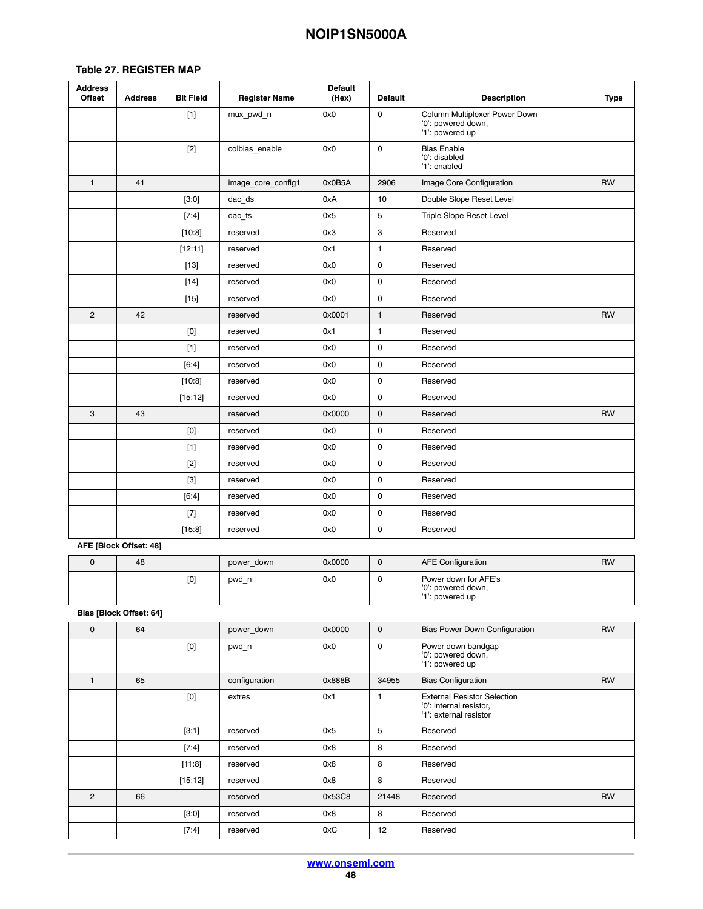| <b>Address</b><br>Offset | <b>Address</b>          | <b>Bit Field</b>                                                                                                                                                                                                                                                                                                                                                                                                                                                                                                                                                                                                                                                                                                  | <b>Register Name</b> | <b>Default</b><br>(Hex) | <b>Default</b>      | <b>Description</b>                                                                      | Type      |
|--------------------------|-------------------------|-------------------------------------------------------------------------------------------------------------------------------------------------------------------------------------------------------------------------------------------------------------------------------------------------------------------------------------------------------------------------------------------------------------------------------------------------------------------------------------------------------------------------------------------------------------------------------------------------------------------------------------------------------------------------------------------------------------------|----------------------|-------------------------|---------------------|-----------------------------------------------------------------------------------------|-----------|
|                          |                         | $[1]$                                                                                                                                                                                                                                                                                                                                                                                                                                                                                                                                                                                                                                                                                                             | mux pwd n            | 0x0                     | 0                   | Column Multiplexer Power Down<br>'0': powered down,<br>'1': powered up                  |           |
|                          |                         | $[2]$                                                                                                                                                                                                                                                                                                                                                                                                                                                                                                                                                                                                                                                                                                             | colbias enable       | 0x0                     | 0                   | <b>Bias Enable</b><br>'0': disabled<br>'1": enabled                                     |           |
| $\mathbf{1}$             | 41                      |                                                                                                                                                                                                                                                                                                                                                                                                                                                                                                                                                                                                                                                                                                                   | image_core_config1   | 0x0B5A                  | 2906                | Image Core Configuration                                                                | <b>RW</b> |
|                          |                         | $[3:0]$                                                                                                                                                                                                                                                                                                                                                                                                                                                                                                                                                                                                                                                                                                           | dac_ds               | 0xA                     | 10                  | Double Slope Reset Level                                                                |           |
|                          |                         | $[7:4]$                                                                                                                                                                                                                                                                                                                                                                                                                                                                                                                                                                                                                                                                                                           | dac_ts               | 0x5                     | 5                   | Triple Slope Reset Level                                                                |           |
|                          |                         | [10:8]                                                                                                                                                                                                                                                                                                                                                                                                                                                                                                                                                                                                                                                                                                            | reserved             | 0x3                     | 3                   | Reserved                                                                                |           |
|                          |                         | [12:11]                                                                                                                                                                                                                                                                                                                                                                                                                                                                                                                                                                                                                                                                                                           | reserved             | 0x1                     | $\mathbf{1}$        | Reserved                                                                                |           |
|                          |                         | $[13]$                                                                                                                                                                                                                                                                                                                                                                                                                                                                                                                                                                                                                                                                                                            | reserved             | 0x0                     | 0                   | Reserved                                                                                |           |
|                          |                         | $[14]$                                                                                                                                                                                                                                                                                                                                                                                                                                                                                                                                                                                                                                                                                                            | reserved             | 0x0                     | 0                   | Reserved                                                                                |           |
|                          |                         | $[15]$                                                                                                                                                                                                                                                                                                                                                                                                                                                                                                                                                                                                                                                                                                            | reserved             | 0x0                     | 0                   | Reserved                                                                                |           |
| $\overline{c}$           | 42                      |                                                                                                                                                                                                                                                                                                                                                                                                                                                                                                                                                                                                                                                                                                                   | reserved             | 0x0001                  | $\mathbf{1}$        | Reserved                                                                                | <b>RW</b> |
|                          |                         | [0]                                                                                                                                                                                                                                                                                                                                                                                                                                                                                                                                                                                                                                                                                                               | reserved             | 0x1                     | $\mathbf{1}$        | Reserved                                                                                |           |
|                          |                         | $[1]$                                                                                                                                                                                                                                                                                                                                                                                                                                                                                                                                                                                                                                                                                                             | reserved             | 0x0                     | 0                   | Reserved                                                                                |           |
|                          |                         | $[6:4]$                                                                                                                                                                                                                                                                                                                                                                                                                                                                                                                                                                                                                                                                                                           | reserved             | 0x0                     | 0                   | Reserved                                                                                |           |
|                          |                         | [10:8]                                                                                                                                                                                                                                                                                                                                                                                                                                                                                                                                                                                                                                                                                                            | reserved             | 0x0                     | 0                   | Reserved                                                                                |           |
|                          |                         | [15:12]                                                                                                                                                                                                                                                                                                                                                                                                                                                                                                                                                                                                                                                                                                           | reserved             | 0x0                     | 0                   | Reserved                                                                                |           |
| 3                        | 43                      |                                                                                                                                                                                                                                                                                                                                                                                                                                                                                                                                                                                                                                                                                                                   | reserved             | 0x0000                  | $\mathsf 0$         | Reserved                                                                                | <b>RW</b> |
|                          |                         | [0]                                                                                                                                                                                                                                                                                                                                                                                                                                                                                                                                                                                                                                                                                                               | reserved             | 0x0                     | 0                   | Reserved                                                                                |           |
|                          |                         | $[1]$                                                                                                                                                                                                                                                                                                                                                                                                                                                                                                                                                                                                                                                                                                             | reserved             | 0x0                     | 0                   | Reserved                                                                                |           |
|                          |                         | $[2]$                                                                                                                                                                                                                                                                                                                                                                                                                                                                                                                                                                                                                                                                                                             | reserved             | 0x0                     | 0                   | Reserved                                                                                |           |
|                          |                         | $[3]$                                                                                                                                                                                                                                                                                                                                                                                                                                                                                                                                                                                                                                                                                                             | reserved             | 0x0                     | 0                   | Reserved                                                                                |           |
|                          |                         | $[6:4]$                                                                                                                                                                                                                                                                                                                                                                                                                                                                                                                                                                                                                                                                                                           | reserved             | 0x0                     | 0                   | Reserved                                                                                |           |
|                          |                         | $^{[7]}$                                                                                                                                                                                                                                                                                                                                                                                                                                                                                                                                                                                                                                                                                                          | reserved             | 0x0                     | 0                   | Reserved                                                                                |           |
|                          |                         | [15:8]                                                                                                                                                                                                                                                                                                                                                                                                                                                                                                                                                                                                                                                                                                            | reserved             | 0x0                     | 0                   | Reserved                                                                                |           |
|                          | AFE [Block Offset: 48]  |                                                                                                                                                                                                                                                                                                                                                                                                                                                                                                                                                                                                                                                                                                                   |                      |                         |                     |                                                                                         |           |
| $\mathsf 0$              | 48                      |                                                                                                                                                                                                                                                                                                                                                                                                                                                                                                                                                                                                                                                                                                                   | power_down           | 0x0000                  | $\mathsf{O}\xspace$ | <b>AFE Configuration</b>                                                                | <b>RW</b> |
|                          |                         | [0]                                                                                                                                                                                                                                                                                                                                                                                                                                                                                                                                                                                                                                                                                                               | pwd_n                | 0x0                     | 0                   | Power down for AFE's<br>'0': powered down,<br>'1': powered up                           |           |
|                          | Bias [Block Offset: 64] |                                                                                                                                                                                                                                                                                                                                                                                                                                                                                                                                                                                                                                                                                                                   |                      |                         |                     |                                                                                         |           |
| $\mathsf 0$              | 64                      |                                                                                                                                                                                                                                                                                                                                                                                                                                                                                                                                                                                                                                                                                                                   | power down           | 0x0000                  | 0                   | <b>Bias Power Down Configuration</b>                                                    | <b>RW</b> |
|                          |                         | $[0] % \begin{center} % \includegraphics[width=\linewidth]{imagesSupplemental_3.png} % \end{center} % \caption { % Our method can be used for the method. % Note that the \emph{exponent} and \emph{exponent} is used in the text. % Note that the \emph{exponent} is used in the text. % Note that the \emph{exponent} is used in the text. % Note that the \emph{exponent} is used in the text. % Note that the \emph{exponent} is used in the text. % Note that the \emph{exponent} is used in the text. % Note that the \emph{exportector} is used in the text. % Note that the \emph{exportector} is used in the text. % Note that the \emph{exportector} is used in the text. % Note that the \emph{export$ | pwd n                | 0x0                     | 0                   | Power down bandgap<br>'0': powered down,<br>'1': powered up                             |           |
| $\mathbf{1}$             | 65                      |                                                                                                                                                                                                                                                                                                                                                                                                                                                                                                                                                                                                                                                                                                                   | configuration        | 0x888B                  | 34955               | <b>Bias Configuration</b>                                                               | <b>RW</b> |
|                          |                         | [0]                                                                                                                                                                                                                                                                                                                                                                                                                                                                                                                                                                                                                                                                                                               | extres               | 0x1                     | $\mathbf{1}$        | <b>External Resistor Selection</b><br>'0': internal resistor,<br>'1': external resistor |           |
|                          |                         | [3:1]                                                                                                                                                                                                                                                                                                                                                                                                                                                                                                                                                                                                                                                                                                             | reserved             | 0x5                     | 5                   | Reserved                                                                                |           |
|                          |                         | [7:4]                                                                                                                                                                                                                                                                                                                                                                                                                                                                                                                                                                                                                                                                                                             | reserved             | 0x8                     | 8                   | Reserved                                                                                |           |
|                          |                         | [11:8]                                                                                                                                                                                                                                                                                                                                                                                                                                                                                                                                                                                                                                                                                                            | reserved             | 0x8                     | 8                   | Reserved                                                                                |           |
|                          |                         | [15:12]                                                                                                                                                                                                                                                                                                                                                                                                                                                                                                                                                                                                                                                                                                           | reserved             | 0x8                     | 8                   | Reserved                                                                                |           |
| $\overline{2}$           | 66                      |                                                                                                                                                                                                                                                                                                                                                                                                                                                                                                                                                                                                                                                                                                                   | reserved             | 0x53C8                  | 21448               | Reserved                                                                                | <b>RW</b> |
|                          |                         | $[3:0]$                                                                                                                                                                                                                                                                                                                                                                                                                                                                                                                                                                                                                                                                                                           | reserved             | 0x8                     | 8                   | Reserved                                                                                |           |
|                          |                         | [7:4]                                                                                                                                                                                                                                                                                                                                                                                                                                                                                                                                                                                                                                                                                                             | reserved             | 0xC                     | 12                  | Reserved                                                                                |           |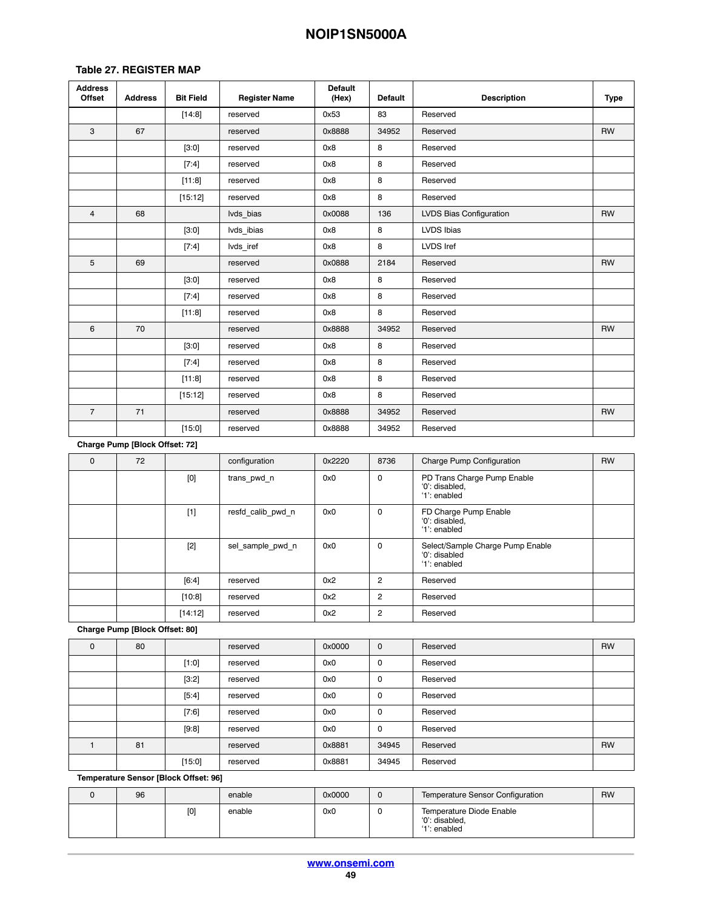#### **Table [27](#page-45-0). REGISTER MAP**

| <b>Address</b><br><b>Offset</b> | <b>Address</b>                 | <b>Bit Field</b> | <b>Register Name</b> | <b>Default</b><br>(Hex) | <b>Default</b> | <b>Description</b>                                                | <b>Type</b> |
|---------------------------------|--------------------------------|------------------|----------------------|-------------------------|----------------|-------------------------------------------------------------------|-------------|
|                                 |                                | [14:8]           | reserved             | 0x53                    | 83             | Reserved                                                          |             |
| 3                               | 67                             |                  | reserved             | 0x8888                  | 34952          | Reserved                                                          | <b>RW</b>   |
|                                 |                                | [3:0]            | reserved             | 0x8                     | 8              | Reserved                                                          |             |
|                                 |                                | $[7:4]$          | reserved             | 0x8                     | 8              | Reserved                                                          |             |
|                                 |                                | [11:8]           | reserved             | 0x8                     | 8              | Reserved                                                          |             |
|                                 |                                | [15:12]          | reserved             | 0x8                     | 8              | Reserved                                                          |             |
| $\overline{4}$                  | 68                             |                  | Ivds bias            | 0x0088                  | 136            | <b>LVDS Bias Configuration</b>                                    | <b>RW</b>   |
|                                 |                                | [3:0]            | Ivds ibias           | 0x8                     | 8              | LVDS Ibias                                                        |             |
|                                 |                                | $[7:4]$          | Ivds iref            | 0x8                     | 8              | LVDS Iref                                                         |             |
| 5                               | 69                             |                  | reserved             | 0x0888                  | 2184           | Reserved                                                          | <b>RW</b>   |
|                                 |                                | [3:0]            | reserved             | 0x8                     | 8              | Reserved                                                          |             |
|                                 |                                | $[7:4]$          | reserved             | 0x8                     | 8              | Reserved                                                          |             |
|                                 |                                | [11:8]           | reserved             | 0x8                     | 8              | Reserved                                                          |             |
| 6                               | 70                             |                  | reserved             | 0x8888                  | 34952          | Reserved                                                          | <b>RW</b>   |
|                                 |                                | $[3:0]$          | reserved             | 0x8                     | 8              | Reserved                                                          |             |
|                                 |                                | $[7:4]$          | reserved             | 0x8                     | 8              | Reserved                                                          |             |
|                                 |                                | [11:8]           | reserved             | 0x8                     | 8              | Reserved                                                          |             |
|                                 |                                | [15:12]          | reserved             | 0x8                     | 8              | Reserved                                                          |             |
| $\overline{7}$                  | 71                             |                  | reserved             | 0x8888                  | 34952          | Reserved                                                          | <b>RW</b>   |
|                                 |                                | [15:0]           | reserved             | 0x8888                  | 34952          | Reserved                                                          |             |
|                                 | Charge Pump [Block Offset: 72] |                  |                      |                         |                |                                                                   |             |
| $\mathbf 0$                     | 72                             |                  | configuration        | 0x2220                  | 8736           | Charge Pump Configuration                                         | <b>RW</b>   |
|                                 |                                | [0]              | trans pwd n          | 0x0                     | $\mathbf 0$    | PD Trans Charge Pump Enable<br>'0': disabled,<br>'1": enabled     |             |
|                                 |                                | $[1]$            | resfd calib pwd n    | 0x0                     | 0              | FD Charge Pump Enable<br>'0': disabled,<br>'1': enabled           |             |
|                                 |                                | $[2]$            | sel sample pwd n     | 0x0                     | 0              | Select/Sample Charge Pump Enable<br>'0': disabled<br>'1': enabled |             |
|                                 |                                | [6:4]            | reserved             | 0x2                     | $\overline{c}$ | Reserved                                                          |             |
|                                 |                                | [10:8]           | reserved             | 0x2                     | $\overline{2}$ | Reserved                                                          |             |

**Charge Pump [Block Offset: 80]** 

| $\mathbf 0$ | 80 |         | reserved | 0x0000 | $\Omega$ | Reserved | <b>RW</b> |
|-------------|----|---------|----------|--------|----------|----------|-----------|
|             |    | [1:0]   | reserved | 0x0    | 0        | Reserved |           |
|             |    | $[3:2]$ | reserved | 0x0    | 0        | Reserved |           |
|             |    | [5:4]   | reserved | 0x0    | $\Omega$ | Reserved |           |
|             |    | [7:6]   | reserved | 0x0    | 0        | Reserved |           |
|             |    | [9:8]   | reserved | 0x0    | $\Omega$ | Reserved |           |
|             | 81 |         | reserved | 0x8881 | 34945    | Reserved | <b>RW</b> |
|             |    | [15:0]  | reserved | 0x8881 | 34945    | Reserved |           |

[14:12] reserved 0x2 2 Reserved

**Temperature Sensor [Block Offset: 96]** 

| 96 |     | enable | 0x0000 | Temperature Sensor Configuration                           | <b>RW</b> |
|----|-----|--------|--------|------------------------------------------------------------|-----------|
|    | [0] | enable | 0x0    | Temperature Diode Enable<br>'0': disabled,<br>'1': enabled |           |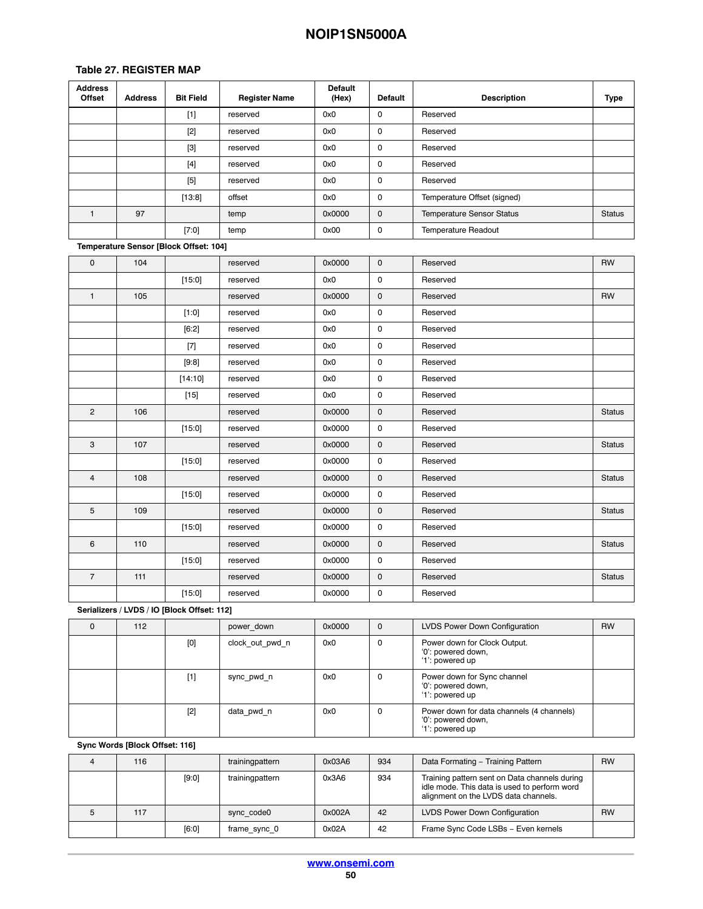#### **Table [27](#page-45-0). REGISTER MAP**

| <b>Address</b><br>Offset | <b>Address</b> | <b>Bit Field</b>                            | <b>Register Name</b> | <b>Default</b><br>(Hex) | <b>Default</b> | <b>Description</b>                                                                 | <b>Type</b>   |
|--------------------------|----------------|---------------------------------------------|----------------------|-------------------------|----------------|------------------------------------------------------------------------------------|---------------|
|                          |                | $[1]$                                       | reserved             | 0x0                     | 0              | Reserved                                                                           |               |
|                          |                | $[2]$                                       | reserved             | 0x0                     | 0              | Reserved                                                                           |               |
|                          |                | $[3]$                                       | reserved             | 0x0                     | 0              | Reserved                                                                           |               |
|                          |                | $[4]$                                       | reserved             | 0x0                     | 0              | Reserved                                                                           |               |
|                          |                | $[5]$                                       | reserved             | 0x0                     | 0              | Reserved                                                                           |               |
|                          |                | [13:8]                                      | offset               | 0x0                     | 0              | Temperature Offset (signed)                                                        |               |
| $\mathbf{1}$             | 97             |                                             | temp                 | 0x0000                  | $\mathsf 0$    | <b>Temperature Sensor Status</b>                                                   | <b>Status</b> |
|                          |                | $[7:0]$                                     | temp                 | 0x00                    | 0              | <b>Temperature Readout</b>                                                         |               |
|                          |                | Temperature Sensor [Block Offset: 104]      |                      |                         |                |                                                                                    |               |
| 0                        | 104            |                                             | reserved             | 0x0000                  | $\mathsf 0$    | Reserved                                                                           | <b>RW</b>     |
|                          |                | [15:0]                                      | reserved             | 0x0                     | 0              | Reserved                                                                           |               |
| $\mathbf{1}$             | 105            |                                             | reserved             | 0x0000                  | $\mathsf 0$    | Reserved                                                                           | <b>RW</b>     |
|                          |                | [1:0]                                       | reserved             | 0x0                     | 0              | Reserved                                                                           |               |
|                          |                | [6:2]                                       | reserved             | 0x0                     | 0              | Reserved                                                                           |               |
|                          |                | $[7]$                                       | reserved             | 0x0                     | 0              | Reserved                                                                           |               |
|                          |                | [9:8]                                       | reserved             | 0x0                     | 0              | Reserved                                                                           |               |
|                          |                | [14:10]                                     | reserved             | 0x0                     | 0              | Reserved                                                                           |               |
|                          |                | $[15]$                                      | reserved             | 0x0                     | 0              | Reserved                                                                           |               |
| $\overline{c}$           | 106            |                                             | reserved             | 0x0000                  | $\mathsf 0$    | Reserved                                                                           | <b>Status</b> |
|                          |                | [15:0]                                      | reserved             | 0x0000                  | 0              | Reserved                                                                           |               |
| 3                        | 107            |                                             | reserved             | 0x0000                  | $\mathsf 0$    | Reserved                                                                           | <b>Status</b> |
|                          |                | [15:0]                                      | reserved             | 0x0000                  | 0              | Reserved                                                                           |               |
| $\overline{4}$           | 108            |                                             | reserved             | 0x0000                  | $\mathsf 0$    | Reserved                                                                           | <b>Status</b> |
|                          |                | $[15:0]$                                    | reserved             | 0x0000                  | 0              | Reserved                                                                           |               |
| 5                        | 109            |                                             | reserved             | 0x0000                  | $\mathsf 0$    | Reserved                                                                           | <b>Status</b> |
|                          |                | [15:0]                                      | reserved             | 0x0000                  | 0              | Reserved                                                                           |               |
| 6                        | 110            |                                             | reserved             | 0x0000                  | $\mathsf 0$    | Reserved                                                                           | <b>Status</b> |
|                          |                | [15:0]                                      | reserved             | 0x0000                  | 0              | Reserved                                                                           |               |
| $\overline{7}$           | 111            |                                             | reserved             | 0x0000                  | $\mathsf 0$    | Reserved                                                                           | <b>Status</b> |
|                          |                | [15:0]                                      | reserved             | 0x0000                  | 0              | Reserved                                                                           |               |
|                          |                | Serializers / LVDS / IO [Block Offset: 112] |                      |                         |                |                                                                                    |               |
| $\mathsf{O}\xspace$      | 112            |                                             | power down           | 0x0000                  | 0              | LVDS Power Down Configuration                                                      | <b>RW</b>     |
|                          |                | [0]                                         | clock out pwd n      | 0x0                     | 0              | Power down for Clock Output.<br>'0': powered down,<br>'1': powered up              |               |
|                          |                | $[1]$                                       | sync pwd n           | 0x0                     | 0              | Power down for Sync channel<br>'0': powered down,<br>'1': powered up               |               |
|                          |                | $[2]$                                       | data_pwd_n           | 0x0                     | 0              | Power down for data channels (4 channels)<br>'0': powered down,<br>'1': powered up |               |

**Sync Words [Block Offset: 116]** 

| 116 |       | trainingpattern | 0x03A6 | 934 | Data Formating - Training Pattern                                                                                                     | <b>RW</b> |
|-----|-------|-----------------|--------|-----|---------------------------------------------------------------------------------------------------------------------------------------|-----------|
|     | [9:0] | trainingpattern | 0x3A6  | 934 | Training pattern sent on Data channels during<br>idle mode. This data is used to perform word<br>alignment on the LVDS data channels. |           |
| 117 |       | sync code0      | 0x002A | 42  | LVDS Power Down Configuration                                                                                                         | <b>RW</b> |
|     | [6:0] | frame sync 0    | 0x02A  | 42  | Frame Sync Code LSBs - Even kernels                                                                                                   |           |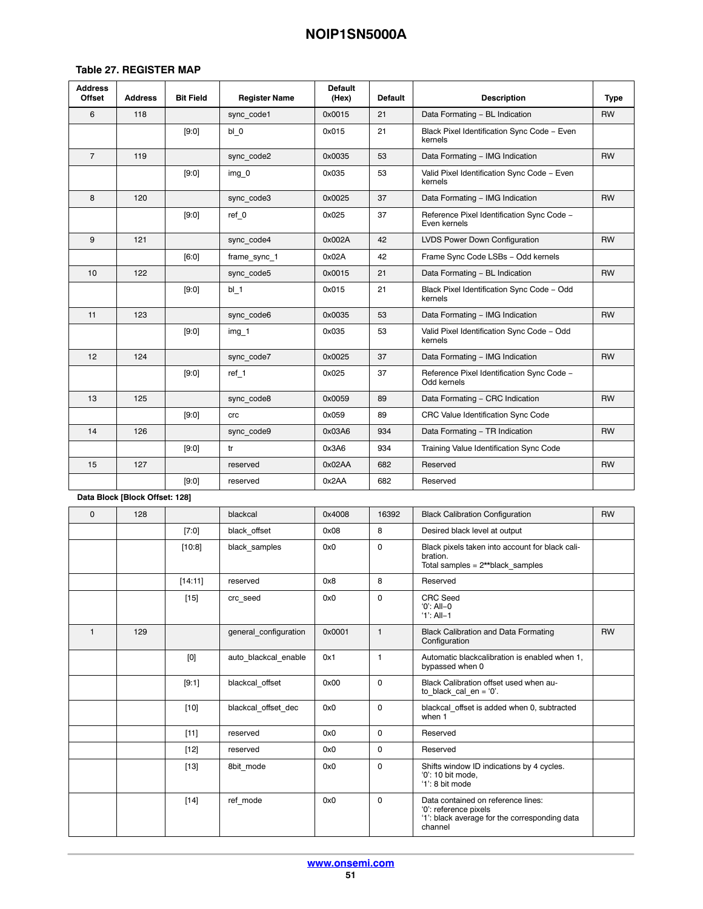| <b>Address</b><br>Offset | <b>Address</b>                 | <b>Bit Field</b> | <b>Register Name</b>  | <b>Default</b><br>(Hex) | <b>Default</b> | <b>Description</b>                                                                                                      | <b>Type</b> |
|--------------------------|--------------------------------|------------------|-----------------------|-------------------------|----------------|-------------------------------------------------------------------------------------------------------------------------|-------------|
| 6                        | 118                            |                  | sync code1            | 0x0015                  | 21             | Data Formating - BL Indication                                                                                          | <b>RW</b>   |
|                          |                                | [9:0]            | $bl_0$                | 0x015                   | 21             | Black Pixel Identification Sync Code - Even<br>kernels                                                                  |             |
| $\overline{7}$           | 119                            |                  | sync code2            | 0x0035                  | 53             | Data Formating - IMG Indication                                                                                         | <b>RW</b>   |
|                          |                                | [9:0]            | img 0                 | 0x035                   | 53             | Valid Pixel Identification Sync Code - Even<br>kernels                                                                  |             |
| 8                        | 120                            |                  | sync_code3            | 0x0025                  | 37             | Data Formating - IMG Indication                                                                                         | <b>RW</b>   |
|                          |                                | [9:0]            | ref 0                 | 0x025                   | 37             | Reference Pixel Identification Sync Code -<br>Even kernels                                                              |             |
| $\overline{9}$           | 121                            |                  | sync code4            | 0x002A                  | 42             | <b>LVDS Power Down Configuration</b>                                                                                    | <b>RW</b>   |
|                          |                                | [6:0]            | frame_sync_1          | 0x02A                   | 42             | Frame Sync Code LSBs - Odd kernels                                                                                      |             |
| 10                       | 122                            |                  | sync code5            | 0x0015                  | 21             | Data Formating - BL Indication                                                                                          | <b>RW</b>   |
|                          |                                | [9:0]            | bl 1                  | 0x015                   | 21             | Black Pixel Identification Sync Code - Odd<br>kernels                                                                   |             |
| 11                       | 123                            |                  | sync code6            | 0x0035                  | 53             | Data Formating - IMG Indication                                                                                         | <b>RW</b>   |
|                          |                                | [9:0]            | img 1                 | 0x035                   | 53             | Valid Pixel Identification Sync Code - Odd<br>kernels                                                                   |             |
| 12                       | 124                            |                  | sync code7            | 0x0025                  | 37             | Data Formating - IMG Indication                                                                                         | <b>RW</b>   |
|                          |                                | [9:0]            | ref 1                 | 0x025                   | 37             | Reference Pixel Identification Sync Code -<br>Odd kernels                                                               |             |
| 13                       | 125                            |                  | sync_code8            | 0x0059                  | 89             | Data Formating - CRC Indication                                                                                         | <b>RW</b>   |
|                          |                                | [9:0]            | crc                   | 0x059                   | 89             | CRC Value Identification Sync Code                                                                                      |             |
| 14                       | 126                            |                  | sync code9            | 0x03A6                  | 934            | Data Formating - TR Indication                                                                                          | <b>RW</b>   |
|                          |                                | [9:0]            | tr                    | 0x3A6                   | 934            | Training Value Identification Sync Code                                                                                 |             |
| 15                       | 127                            |                  | reserved              | 0x02AA                  | 682            | Reserved                                                                                                                | RW          |
|                          |                                | [9:0]            | reserved              | 0x2AA                   | 682            | Reserved                                                                                                                |             |
|                          | Data Block [Block Offset: 128] |                  |                       |                         |                |                                                                                                                         |             |
| $\mathbf 0$              | 128                            |                  | blackcal              | 0x4008                  | 16392          | <b>Black Calibration Configuration</b>                                                                                  | <b>RW</b>   |
|                          |                                | $[7:0]$          | black offset          | 0x08                    | 8              | Desired black level at output                                                                                           |             |
|                          |                                | [10:8]           | black samples         | 0x0                     | 0              | Black pixels taken into account for black cali-<br>bration.<br>Total samples = $2**$ black samples                      |             |
|                          |                                | [14:11]          | reserved              | 0x8                     | 8              | Reserved                                                                                                                |             |
|                          |                                | $[15]$           | crc seed              | 0x0                     | 0              | <b>CRC</b> Seed<br>'0': All-0<br>'1': All-1                                                                             |             |
| $\mathbf{1}$             | 129                            |                  | general configuration | 0x0001                  | $\mathbf{1}$   | <b>Black Calibration and Data Formating</b><br>Configuration                                                            | <b>RW</b>   |
|                          |                                | [0]              | auto blackcal enable  | 0x1                     | 1              | Automatic blackcalibration is enabled when 1,<br>bypassed when 0                                                        |             |
|                          |                                | [9:1]            | blackcal offset       | 0x00                    | 0              | Black Calibration offset used when au-<br>to black cal $en = '0'.$                                                      |             |
|                          |                                | [10]             | blackcal offset dec   | 0x0                     | 0              | blackcal offset is added when 0, subtracted<br>when 1                                                                   |             |
|                          |                                | $[11]$           | reserved              | 0x0                     | 0              | Reserved                                                                                                                |             |
|                          |                                | [12]             | reserved              | 0x0                     | 0              | Reserved                                                                                                                |             |
|                          |                                | $[13]$           | 8bit mode             | 0x0                     | 0              | Shifts window ID indications by 4 cycles.<br>'0': 10 bit mode,<br>'1': 8 bit mode                                       |             |
|                          |                                | $[14]$           | ref mode              | 0x0                     | 0              | Data contained on reference lines:<br>'0': reference pixels<br>'1': black average for the corresponding data<br>channel |             |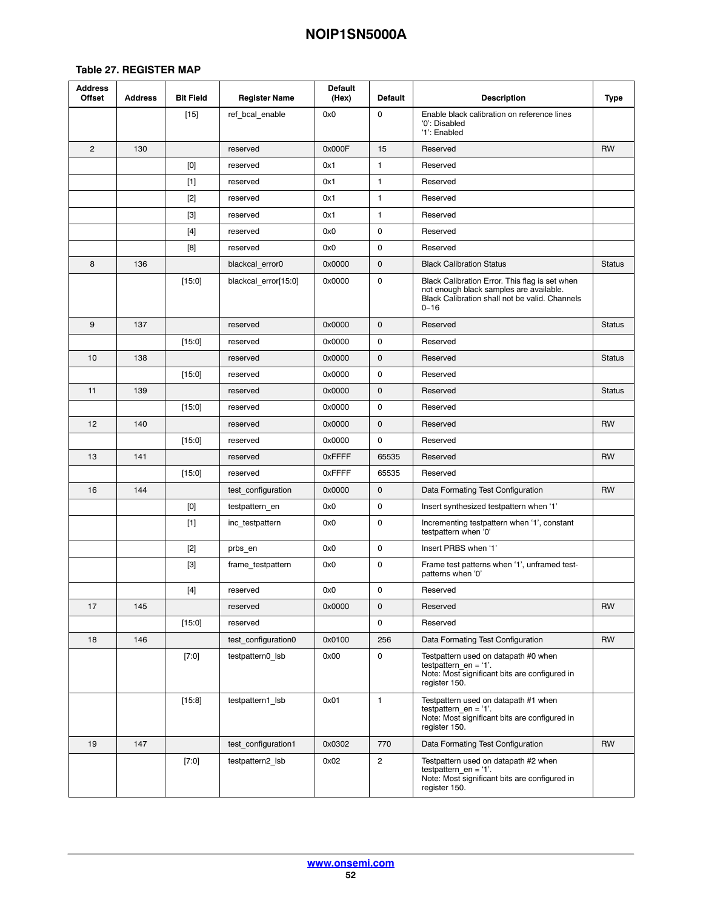| <b>Address</b><br><b>Offset</b> | <b>Address</b> | <b>Bit Field</b> | <b>Register Name</b> | <b>Default</b><br>(Hex) | <b>Default</b> | <b>Description</b>                                                                                                                                      | <b>Type</b>   |
|---------------------------------|----------------|------------------|----------------------|-------------------------|----------------|---------------------------------------------------------------------------------------------------------------------------------------------------------|---------------|
|                                 |                | $[15]$           | ref bcal enable      | 0x0                     | $\mathbf 0$    | Enable black calibration on reference lines<br>'0': Disabled<br>'1': Enabled                                                                            |               |
| $\overline{2}$                  | 130            |                  | reserved             | 0x000F                  | 15             | Reserved                                                                                                                                                | <b>RW</b>     |
|                                 |                | [0]              | reserved             | 0x1                     | 1              | Reserved                                                                                                                                                |               |
|                                 |                | $[1]$            | reserved             | 0x1                     | $\mathbf{1}$   | Reserved                                                                                                                                                |               |
|                                 |                | $[2]$            | reserved             | 0x1                     | 1              | Reserved                                                                                                                                                |               |
|                                 |                | $[3]$            | reserved             | 0x1                     | 1              | Reserved                                                                                                                                                |               |
|                                 |                | $[4]$            | reserved             | 0x0                     | 0              | Reserved                                                                                                                                                |               |
|                                 |                | [8]              | reserved             | 0x0                     | $\mathbf 0$    | Reserved                                                                                                                                                |               |
| 8                               | 136            |                  | blackcal error0      | 0x0000                  | $\mathbf 0$    | <b>Black Calibration Status</b>                                                                                                                         | <b>Status</b> |
|                                 |                | [15:0]           | blackcal error[15:0] | 0x0000                  | 0              | Black Calibration Error. This flag is set when<br>not enough black samples are available.<br>Black Calibration shall not be valid. Channels<br>$0 - 16$ |               |
| 9                               | 137            |                  | reserved             | 0x0000                  | $\mathbf 0$    | Reserved                                                                                                                                                | <b>Status</b> |
|                                 |                | [15:0]           | reserved             | 0x0000                  | 0              | Reserved                                                                                                                                                |               |
| 10                              | 138            |                  | reserved             | 0x0000                  | $\mathbf 0$    | Reserved                                                                                                                                                | <b>Status</b> |
|                                 |                | [15:0]           | reserved             | 0x0000                  | 0              | Reserved                                                                                                                                                |               |
| 11                              | 139            |                  | reserved             | 0x0000                  | $\mathbf 0$    | Reserved                                                                                                                                                | <b>Status</b> |
|                                 |                | [15:0]           | reserved             | 0x0000                  | $\mathbf 0$    | Reserved                                                                                                                                                |               |
| 12                              | 140            |                  | reserved             | 0x0000                  | $\mathsf 0$    | Reserved                                                                                                                                                | RW            |
|                                 |                | [15:0]           | reserved             | 0x0000                  | 0              | Reserved                                                                                                                                                |               |
| 13                              | 141            |                  | reserved             | 0xFFFF                  | 65535          | Reserved                                                                                                                                                | <b>RW</b>     |
|                                 |                | [15:0]           | reserved             | 0xFFFF                  | 65535          | Reserved                                                                                                                                                |               |
| 16                              | 144            |                  | test configuration   | 0x0000                  | 0              | Data Formating Test Configuration                                                                                                                       | <b>RW</b>     |
|                                 |                | [0]              | testpattern en       | 0x0                     | 0              | Insert synthesized testpattern when '1'                                                                                                                 |               |
|                                 |                | $[1]$            | inc testpattern      | 0x0                     | 0              | Incrementing testpattern when '1', constant<br>testpattern when '0'                                                                                     |               |
|                                 |                | $[2]$            | prbs en              | 0x0                     | 0              | Insert PRBS when '1'                                                                                                                                    |               |
|                                 |                | $[3]$            | frame testpattern    | 0x0                     | 0              | Frame test patterns when '1', unframed test-<br>patterns when '0'                                                                                       |               |
|                                 |                | $[4]$            | reserved             | 0x0                     | $\mathbf 0$    | Reserved                                                                                                                                                |               |
| 17                              | 145            |                  | reserved             | 0x0000                  | 0              | Reserved                                                                                                                                                | <b>RW</b>     |
|                                 |                | [15:0]           | reserved             |                         | 0              | Reserved                                                                                                                                                |               |
| 18                              | 146            |                  | test configuration0  | 0x0100                  | 256            | Data Formating Test Configuration                                                                                                                       | <b>RW</b>     |
|                                 |                | $[7:0]$          | testpattern0 lsb     | 0x00                    | 0              | Testpattern used on datapath #0 when<br>testpattern en = $1'$ .<br>Note: Most significant bits are configured in<br>register 150.                       |               |
|                                 |                | [15:8]           | testpattern1 lsb     | 0x01                    | $\mathbf{1}$   | Testpattern used on datapath #1 when<br>testpattern en = $'1'$ .<br>Note: Most significant bits are configured in<br>register 150.                      |               |
| 19                              | 147            |                  | test configuration1  | 0x0302                  | 770            | Data Formating Test Configuration                                                                                                                       | <b>RW</b>     |
|                                 |                | [7:0]            | testpattern2 lsb     | 0x02                    | $\overline{c}$ | Testpattern used on datapath #2 when<br>testpattern en = $1'$ .<br>Note: Most significant bits are configured in<br>register 150.                       |               |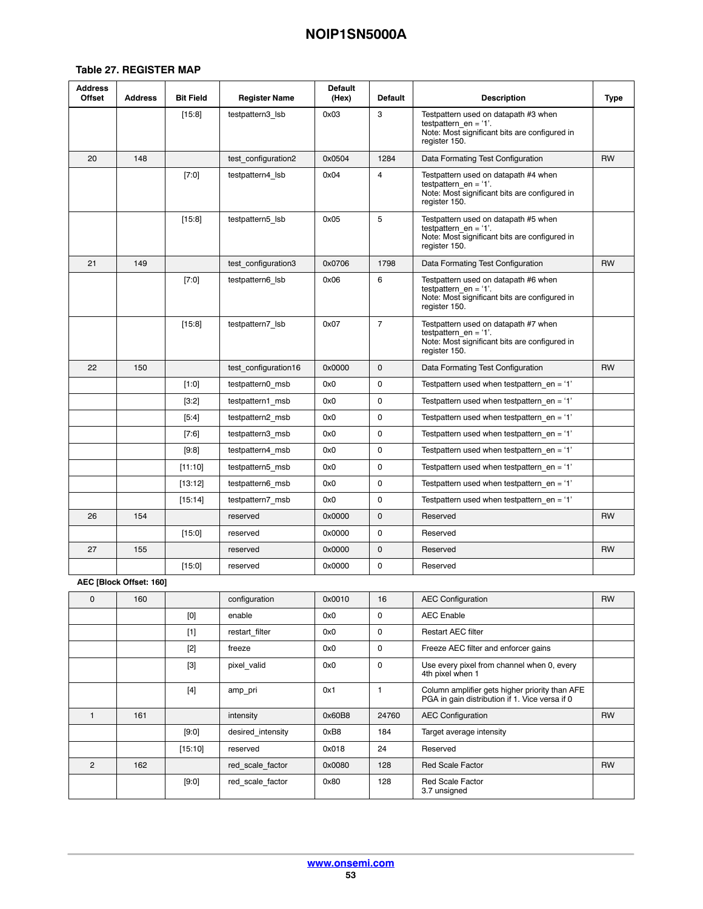| Address<br><b>Offset</b> | Address                 | <b>Bit Field</b> | <b>Register Name</b> | <b>Default</b><br>(Hex) | Default        | <b>Description</b>                                                                                                                | Type      |
|--------------------------|-------------------------|------------------|----------------------|-------------------------|----------------|-----------------------------------------------------------------------------------------------------------------------------------|-----------|
|                          |                         | [15:8]           | testpattern3 lsb     | 0x03                    | 3              | Testpattern used on datapath #3 when<br>testpattern en = $1'$ .<br>Note: Most significant bits are configured in<br>register 150. |           |
| 20                       | 148                     |                  | test configuration2  | 0x0504                  | 1284           | Data Formating Test Configuration                                                                                                 | <b>RW</b> |
|                          |                         | $[7:0]$          | testpattern4 lsb     | 0x04                    | 4              | Testpattern used on datapath #4 when<br>testpattern $en = '1'.$<br>Note: Most significant bits are configured in<br>register 150. |           |
|                          |                         | [15:8]           | testpattern5 lsb     | 0x05                    | 5              | Testpattern used on datapath #5 when<br>testpattern en = $1'$ .<br>Note: Most significant bits are configured in<br>register 150. |           |
| 21                       | 149                     |                  | test configuration3  | 0x0706                  | 1798           | Data Formating Test Configuration                                                                                                 | <b>RW</b> |
|                          |                         | $[7:0]$          | testpattern6 lsb     | 0x06                    | 6              | Testpattern used on datapath #6 when<br>testpattern en $=$ '1'.<br>Note: Most significant bits are configured in<br>register 150. |           |
|                          |                         | [15:8]           | testpattern7 lsb     | 0x07                    | $\overline{7}$ | Testpattern used on datapath #7 when<br>testpattern en = $1'$ .<br>Note: Most significant bits are configured in<br>register 150. |           |
| 22                       | 150                     |                  | test configuration16 | 0x0000                  | $\mathsf 0$    | Data Formating Test Configuration                                                                                                 | <b>RW</b> |
|                          |                         | [1:0]            | testpattern0 msb     | 0x0                     | 0              | Testpattern used when testpattern $en = '1'$                                                                                      |           |
|                          |                         | $[3:2]$          | testpattern1 msb     | 0x0                     | 0              | Testpattern used when testpattern $en = '1'$                                                                                      |           |
|                          |                         | $[5:4]$          | testpattern2_msb     | 0x0                     | 0              | Testpattern used when testpattern $en = '1'$                                                                                      |           |
|                          |                         | [7:6]            | testpattern3 msb     | 0x0                     | 0              | Testpattern used when testpattern_en = '1'                                                                                        |           |
|                          |                         | [9:8]            | testpattern4 msb     | 0x0                     | 0              | Testpattern used when testpattern $en = '1'$                                                                                      |           |
|                          |                         | [11:10]          | testpattern5 msb     | 0x0                     | 0              | Testpattern used when testpattern $en = '1'$                                                                                      |           |
|                          |                         | [13:12]          | testpattern6 msb     | 0x0                     | 0              | Testpattern used when testpattern $en = '1'$                                                                                      |           |
|                          |                         | [15:14]          | testpattern7_msb     | 0x0                     | 0              | Testpattern used when testpattern $en = '1'$                                                                                      |           |
| 26                       | 154                     |                  | reserved             | 0x0000                  | 0              | Reserved                                                                                                                          | <b>RW</b> |
|                          |                         | [15:0]           | reserved             | 0x0000                  | 0              | Reserved                                                                                                                          |           |
| 27                       | 155                     |                  | reserved             | 0x0000                  | 0              | Reserved                                                                                                                          | <b>RW</b> |
|                          |                         | $[15:0]$         | reserved             | 0x0000                  | 0              | Reserved                                                                                                                          |           |
|                          | AEC [Block Offset: 160] |                  |                      |                         |                |                                                                                                                                   |           |
| 0                        | 160                     |                  | configuration        | 0x0010                  | 16             | <b>AEC Configuration</b>                                                                                                          | <b>RW</b> |
|                          |                         | [0]              | enable               | 0x0                     | 0              | <b>AEC Enable</b>                                                                                                                 |           |
|                          |                         | $[1]$            | restart filter       | 0x0                     | 0              | Restart AEC filter                                                                                                                |           |
|                          |                         | $[2]$            | freeze               | 0x0                     | 0              | Freeze AEC filter and enforcer gains                                                                                              |           |
|                          |                         | $[3]$            | pixel_valid          | 0x0                     | 0              | Use every pixel from channel when 0, every<br>4th pixel when 1                                                                    |           |
|                          |                         | $[4]$            | amp pri              | 0x1                     | 1              | Column amplifier gets higher priority than AFE<br>PGA in gain distribution if 1. Vice versa if 0                                  |           |
| $\mathbf{1}$             | 161                     |                  | intensity            | 0x60B8                  | 24760          | <b>AEC Configuration</b>                                                                                                          | <b>RW</b> |
|                          |                         | [9:0]            | desired intensity    | 0xB8                    | 184            | Target average intensity                                                                                                          |           |
|                          |                         | $[15:10]$        | reserved             | 0x018                   | 24             | Reserved                                                                                                                          |           |
| $\mathbf{2}$             | 162                     |                  | red scale factor     | 0x0080                  | 128            | <b>Red Scale Factor</b>                                                                                                           | <b>RW</b> |
|                          |                         | $[9:0]$          | red_scale_factor     | 0x80                    | 128            | <b>Red Scale Factor</b><br>3.7 unsigned                                                                                           |           |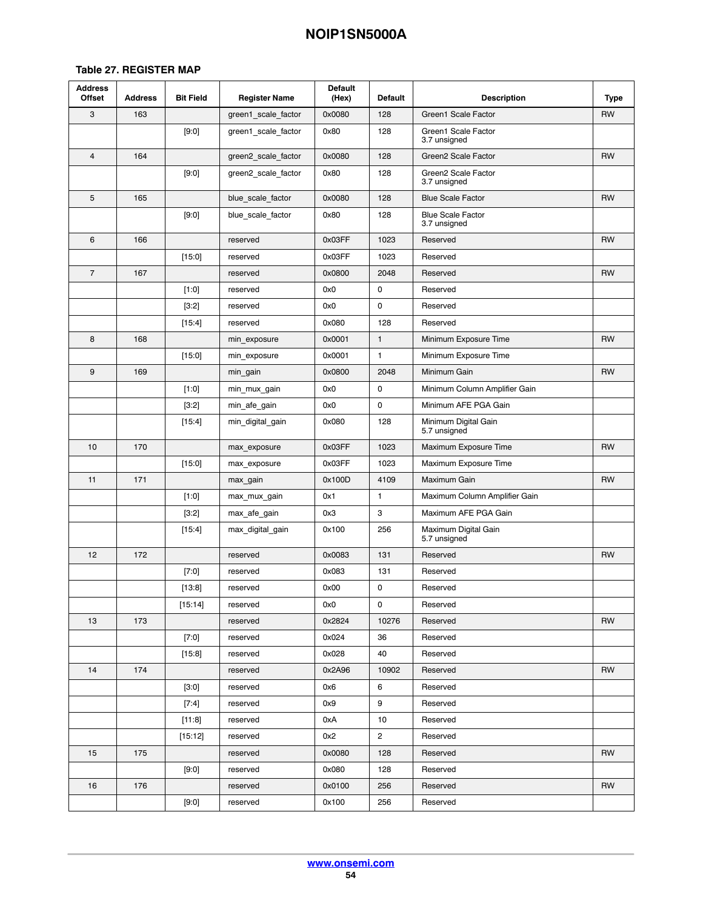| <b>Address</b><br><b>Offset</b> | <b>Address</b> | <b>Bit Field</b> | <b>Register Name</b> | <b>Default</b><br>(Hex) | <b>Default</b> | <b>Description</b>                       | <b>Type</b> |
|---------------------------------|----------------|------------------|----------------------|-------------------------|----------------|------------------------------------------|-------------|
| 3                               | 163            |                  | green1 scale factor  | 0x0080                  | 128            | Green1 Scale Factor                      | <b>RW</b>   |
|                                 |                | [9:0]            | green1_scale_factor  | 0x80                    | 128            | Green1 Scale Factor<br>3.7 unsigned      |             |
| $\overline{4}$                  | 164            |                  | green2 scale factor  | 0x0080                  | 128            | Green2 Scale Factor                      | <b>RW</b>   |
|                                 |                | [9:0]            | green2 scale factor  | 0x80                    | 128            | Green2 Scale Factor<br>3.7 unsigned      |             |
| 5                               | 165            |                  | blue scale factor    | 0x0080                  | 128            | <b>Blue Scale Factor</b>                 | <b>RW</b>   |
|                                 |                | [9:0]            | blue_scale_factor    | 0x80                    | 128            | <b>Blue Scale Factor</b><br>3.7 unsigned |             |
| 6                               | 166            |                  | reserved             | 0x03FF                  | 1023           | Reserved                                 | <b>RW</b>   |
|                                 |                | [15:0]           | reserved             | 0x03FF                  | 1023           | Reserved                                 |             |
| $\overline{7}$                  | 167            |                  | reserved             | 0x0800                  | 2048           | Reserved                                 | <b>RW</b>   |
|                                 |                | [1:0]            | reserved             | 0x0                     | 0              | Reserved                                 |             |
|                                 |                | [3:2]            | reserved             | 0x0                     | 0              | Reserved                                 |             |
|                                 |                | [15:4]           | reserved             | 0x080                   | 128            | Reserved                                 |             |
| 8                               | 168            |                  | min exposure         | 0x0001                  | $\mathbf{1}$   | Minimum Exposure Time                    | <b>RW</b>   |
|                                 |                | [15:0]           | min exposure         | 0x0001                  | 1              | Minimum Exposure Time                    |             |
| $\mathsf g$                     | 169            |                  | min gain             | 0x0800                  | 2048           | Minimum Gain                             | <b>RW</b>   |
|                                 |                | [1:0]            | min_mux_gain         | 0x0                     | $\mathbf 0$    | Minimum Column Amplifier Gain            |             |
|                                 |                | $[3:2]$          | min afe gain         | 0x0                     | 0              | Minimum AFE PGA Gain                     |             |
|                                 |                | [15:4]           | min digital gain     | 0x080                   | 128            | Minimum Digital Gain<br>5.7 unsigned     |             |
| 10                              | 170            |                  | max_exposure         | 0x03FF                  | 1023           | Maximum Exposure Time                    | <b>RW</b>   |
|                                 |                | [15:0]           | max exposure         | 0x03FF                  | 1023           | Maximum Exposure Time                    |             |
| 11                              | 171            |                  | max gain             | 0x100D                  | 4109           | Maximum Gain                             | <b>RW</b>   |
|                                 |                | [1:0]            | max mux gain         | 0x1                     | 1              | Maximum Column Amplifier Gain            |             |
|                                 |                | $[3:2]$          | max afe gain         | 0x3                     | 3              | Maximum AFE PGA Gain                     |             |
|                                 |                | [15:4]           | max digital gain     | 0x100                   | 256            | Maximum Digital Gain<br>5.7 unsigned     |             |
| 12                              | 172            |                  | reserved             | 0x0083                  | 131            | Reserved                                 | <b>RW</b>   |
|                                 |                | $[7:0]$          | reserved             | 0x083                   | 131            | Reserved                                 |             |
|                                 |                | [13:8]           | reserved             | 0x00                    | 0              | Reserved                                 |             |
|                                 |                | [15:14]          | reserved             | 0x0                     | 0              | Reserved                                 |             |
| 13                              | 173            |                  | reserved             | 0x2824                  | 10276          | Reserved                                 | <b>RW</b>   |
|                                 |                | $[7:0]$          | reserved             | 0x024                   | 36             | Reserved                                 |             |
|                                 |                | [15:8]           | reserved             | 0x028                   | 40             | Reserved                                 |             |
| 14                              | 174            |                  | reserved             | 0x2A96                  | 10902          | Reserved                                 | RW          |
|                                 |                | [3:0]            | reserved             | 0x6                     | 6              | Reserved                                 |             |
|                                 |                | $[7:4]$          | reserved             | 0x9                     | 9              | Reserved                                 |             |
|                                 |                | [11:8]           | reserved             | 0xA                     | 10             | Reserved                                 |             |
|                                 |                | $[15:12]$        | reserved             | 0x2                     | $\overline{2}$ | Reserved                                 |             |
| 15                              | 175            |                  | reserved             | 0x0080                  | 128            | Reserved                                 | RW          |
|                                 |                | [9:0]            | reserved             | 0x080                   | 128            | Reserved                                 |             |
| 16                              | 176            |                  | reserved             | 0x0100                  | 256            | Reserved                                 | RW          |
|                                 |                | [9:0]            | reserved             | 0x100                   | 256            | Reserved                                 |             |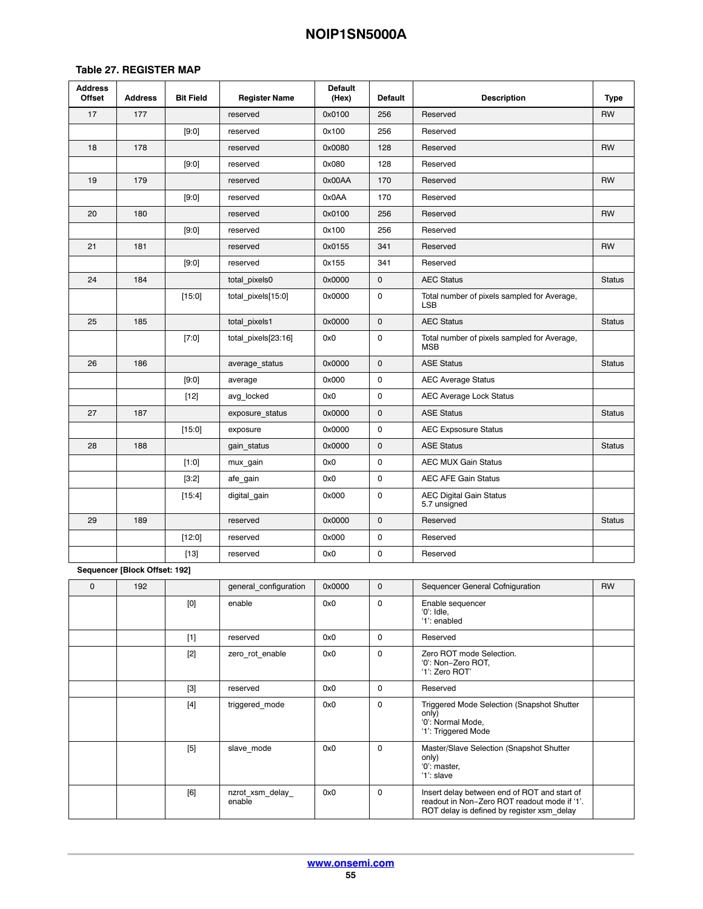| <b>Address</b><br><b>Offset</b> | <b>Address</b>                | <b>Bit Field</b> | <b>Register Name</b>       | <b>Default</b><br>(Hex) | <b>Default</b>      | <b>Description</b>                                                                                                                         | <b>Type</b>   |
|---------------------------------|-------------------------------|------------------|----------------------------|-------------------------|---------------------|--------------------------------------------------------------------------------------------------------------------------------------------|---------------|
| 17                              | 177                           |                  | reserved                   | 0x0100                  | 256                 | Reserved                                                                                                                                   | <b>RW</b>     |
|                                 |                               | [9:0]            | reserved                   | 0x100                   | 256                 | Reserved                                                                                                                                   |               |
| 18                              | 178                           |                  | reserved                   | 0x0080                  | 128                 | Reserved                                                                                                                                   | <b>RW</b>     |
|                                 |                               | [9:0]            | reserved                   | 0x080                   | 128                 | Reserved                                                                                                                                   |               |
| 19                              | 179                           |                  | reserved                   | 0x00AA                  | 170                 | Reserved                                                                                                                                   | <b>RW</b>     |
|                                 |                               | [9:0]            | reserved                   | 0x0AA                   | 170                 | Reserved                                                                                                                                   |               |
| 20                              | 180                           |                  | reserved                   | 0x0100                  | 256                 | Reserved                                                                                                                                   | <b>RW</b>     |
|                                 |                               | [9:0]            | reserved                   | 0x100                   | 256                 | Reserved                                                                                                                                   |               |
| 21                              | 181                           |                  | reserved                   | 0x0155                  | 341                 | Reserved                                                                                                                                   | <b>RW</b>     |
|                                 |                               | [9:0]            | reserved                   | 0x155                   | 341                 | Reserved                                                                                                                                   |               |
| 24                              | 184                           |                  | total pixels0              | 0x0000                  | 0                   | <b>AEC Status</b>                                                                                                                          | <b>Status</b> |
|                                 |                               | [15:0]           | total pixels[15:0]         | 0x0000                  | 0                   | Total number of pixels sampled for Average,<br><b>LSB</b>                                                                                  |               |
| 25                              | 185                           |                  | total pixels1              | 0x0000                  | $\mathbf 0$         | <b>AEC Status</b>                                                                                                                          | <b>Status</b> |
|                                 |                               | $[7:0]$          | total pixels[23:16]        | 0x0                     | 0                   | Total number of pixels sampled for Average,<br><b>MSB</b>                                                                                  |               |
| 26                              | 186                           |                  | average status             | 0x0000                  | $\mathsf 0$         | <b>ASE Status</b>                                                                                                                          | <b>Status</b> |
|                                 |                               | [9:0]            | average                    | 0x000                   | 0                   | <b>AEC Average Status</b>                                                                                                                  |               |
|                                 |                               | $[12]$           | avg locked                 | 0x0                     | 0                   | <b>AEC Average Lock Status</b>                                                                                                             |               |
| 27                              | 187                           |                  | exposure_status            | 0x0000                  | $\mathsf{O}\xspace$ | <b>ASE Status</b>                                                                                                                          | <b>Status</b> |
|                                 |                               | [15:0]           | exposure                   | 0x0000                  | 0                   | <b>AEC Expsosure Status</b>                                                                                                                |               |
| 28                              | 188                           |                  | gain status                | 0x0000                  | $\mathsf 0$         | <b>ASE Status</b>                                                                                                                          | <b>Status</b> |
|                                 |                               | [1:0]            | mux gain                   | 0x0                     | 0                   | <b>AEC MUX Gain Status</b>                                                                                                                 |               |
|                                 |                               | $[3:2]$          | afe gain                   | 0x0                     | 0                   | <b>AEC AFE Gain Status</b>                                                                                                                 |               |
|                                 |                               | [15:4]           | digital gain               | 0x000                   | 0                   | <b>AEC Digital Gain Status</b><br>5.7 unsigned                                                                                             |               |
| 29                              | 189                           |                  | reserved                   | 0x0000                  | $\mathbf 0$         | Reserved                                                                                                                                   | <b>Status</b> |
|                                 |                               | [12:0]           | reserved                   | 0x000                   | 0                   | Reserved                                                                                                                                   |               |
|                                 |                               | $[13]$           | reserved                   | 0x0                     | 0                   | Reserved                                                                                                                                   |               |
|                                 | Sequencer [Block Offset: 192] |                  |                            |                         |                     |                                                                                                                                            |               |
| 0                               | 192                           |                  | general configuration      | 0x0000                  | $\mathsf 0$         | Sequencer General Cofniguration                                                                                                            | <b>RW</b>     |
|                                 |                               | [0]              | enable                     | 0x0                     | 0                   | Enable sequencer<br>'0': Idle,<br>'1': enabled                                                                                             |               |
|                                 |                               | $[1]$            | reserved                   | 0x0                     | 0                   | Reserved                                                                                                                                   |               |
|                                 |                               | $[2]$            | zero rot enable            | 0x0                     | $\mathsf{o}\,$      | Zero ROT mode Selection.<br>'0': Non-Zero ROT,<br>'1': Zero ROT'                                                                           |               |
|                                 |                               | $^{[3]}$         | reserved                   | 0x0                     | $\mathsf{o}\,$      | Reserved                                                                                                                                   |               |
|                                 |                               | $[4]$            | triggered mode             | 0x0                     | 0                   | <b>Triggered Mode Selection (Snapshot Shutter</b><br>only)<br>'0': Normal Mode,<br>'1': Triggered Mode                                     |               |
|                                 |                               | $[5]$            | slave_mode                 | 0x0                     | 0                   | Master/Slave Selection (Snapshot Shutter<br>only)<br>'0': master,<br>'1': slave                                                            |               |
|                                 |                               | [6]              | nzrot_xsm_delay_<br>enable | 0x0                     | 0                   | Insert delay between end of ROT and start of<br>readout in Non-Zero ROT readout mode if '1'.<br>ROT delay is defined by register xsm delay |               |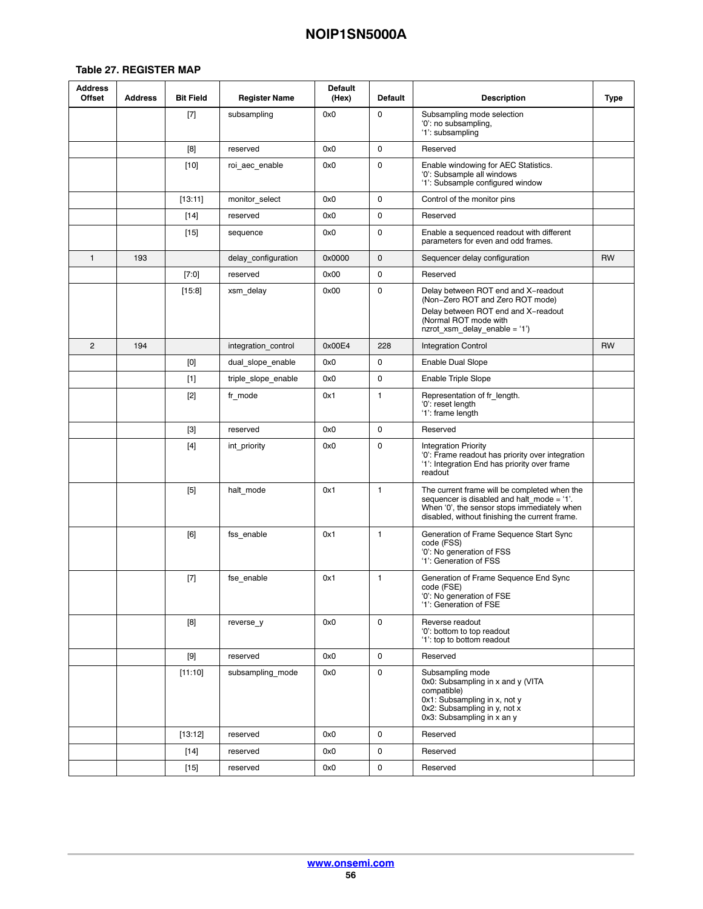| <b>Address</b><br><b>Offset</b> | <b>Address</b> | <b>Bit Field</b> | <b>Register Name</b> | <b>Default</b><br>(Hex) | <b>Default</b> | <b>Description</b>                                                                                                                                                                           | <b>Type</b> |
|---------------------------------|----------------|------------------|----------------------|-------------------------|----------------|----------------------------------------------------------------------------------------------------------------------------------------------------------------------------------------------|-------------|
|                                 |                | $[7]$            | subsampling          | 0x0                     | 0              | Subsampling mode selection<br>'0': no subsampling,<br>'1': subsampling                                                                                                                       |             |
|                                 |                | [8]              | reserved             | 0x0                     | 0              | Reserved                                                                                                                                                                                     |             |
|                                 |                | $[10]$           | roi aec enable       | 0x0                     | 0              | Enable windowing for AEC Statistics.<br>'0': Subsample all windows<br>'1': Subsample configured window                                                                                       |             |
|                                 |                | [13:11]          | monitor_select       | 0x0                     | 0              | Control of the monitor pins                                                                                                                                                                  |             |
|                                 |                | $[14]$           | reserved             | 0x0                     | 0              | Reserved                                                                                                                                                                                     |             |
|                                 |                | $[15]$           | sequence             | 0x0                     | 0              | Enable a sequenced readout with different<br>parameters for even and odd frames.                                                                                                             |             |
| $\mathbf{1}$                    | 193            |                  | delay_configuration  | 0x0000                  | $\mathsf 0$    | Sequencer delay configuration                                                                                                                                                                | <b>RW</b>   |
|                                 |                | $[7:0]$          | reserved             | 0x00                    | 0              | Reserved                                                                                                                                                                                     |             |
|                                 |                | [15:8]           | xsm delay            | 0x00                    | 0              | Delay between ROT end and X-readout<br>(Non-Zero ROT and Zero ROT mode)<br>Delay between ROT end and X-readout<br>(Normal ROT mode with<br>nzrot xsm delay enable = '1')                     |             |
| $\overline{2}$                  | 194            |                  | integration control  | 0x00E4                  | 228            | <b>Integration Control</b>                                                                                                                                                                   | <b>RW</b>   |
|                                 |                | [0]              | dual slope enable    | 0x0                     | 0              | Enable Dual Slope                                                                                                                                                                            |             |
|                                 |                | $[1]$            | triple slope enable  | 0x0                     | 0              | Enable Triple Slope                                                                                                                                                                          |             |
|                                 |                | $[2]$            | fr mode              | 0x1                     | 1              | Representation of fr length.<br>'0': reset length<br>'1': frame length                                                                                                                       |             |
|                                 |                | [3]              | reserved             | 0x0                     | 0              | Reserved                                                                                                                                                                                     |             |
|                                 |                | $[4]$            | int priority         | 0x0                     | 0              | <b>Integration Priority</b><br>'0': Frame readout has priority over integration<br>'1': Integration End has priority over frame<br>readout                                                   |             |
|                                 |                | $[5]$            | halt mode            | 0x1                     | 1              | The current frame will be completed when the<br>sequencer is disabled and halt mode = $1$ .<br>When '0', the sensor stops immediately when<br>disabled, without finishing the current frame. |             |
|                                 |                | [6]              | fss enable           | 0x1                     | 1              | Generation of Frame Sequence Start Sync<br>code (FSS)<br>'0': No generation of FSS<br>'1': Generation of FSS                                                                                 |             |
|                                 |                | $[7]$            | fse_enable           | 0x1                     | 1              | Generation of Frame Sequence End Sync<br>code (FSE)<br>'0': No generation of FSE<br>'1': Generation of FSE                                                                                   |             |
|                                 |                | [8]              | reverse y            | 0x0                     | 0              | Reverse readout<br>'0': bottom to top readout<br>'1': top to bottom readout                                                                                                                  |             |
|                                 |                | $[9]$            | reserved             | 0x0                     | 0              | Reserved                                                                                                                                                                                     |             |
|                                 |                | [11:10]          | subsampling mode     | 0x0                     | 0              | Subsampling mode<br>0x0: Subsampling in x and y (VITA<br>compatible)<br>0x1: Subsampling in x, not y<br>0x2: Subsampling in y, not x<br>0x3: Subsampling in x an y                           |             |
|                                 |                | [13:12]          | reserved             | 0x0                     | 0              | Reserved                                                                                                                                                                                     |             |
|                                 |                | $[14]$           | reserved             | 0x0                     | 0              | Reserved                                                                                                                                                                                     |             |
|                                 |                | $[15]$           | reserved             | 0x0                     | 0              | Reserved                                                                                                                                                                                     |             |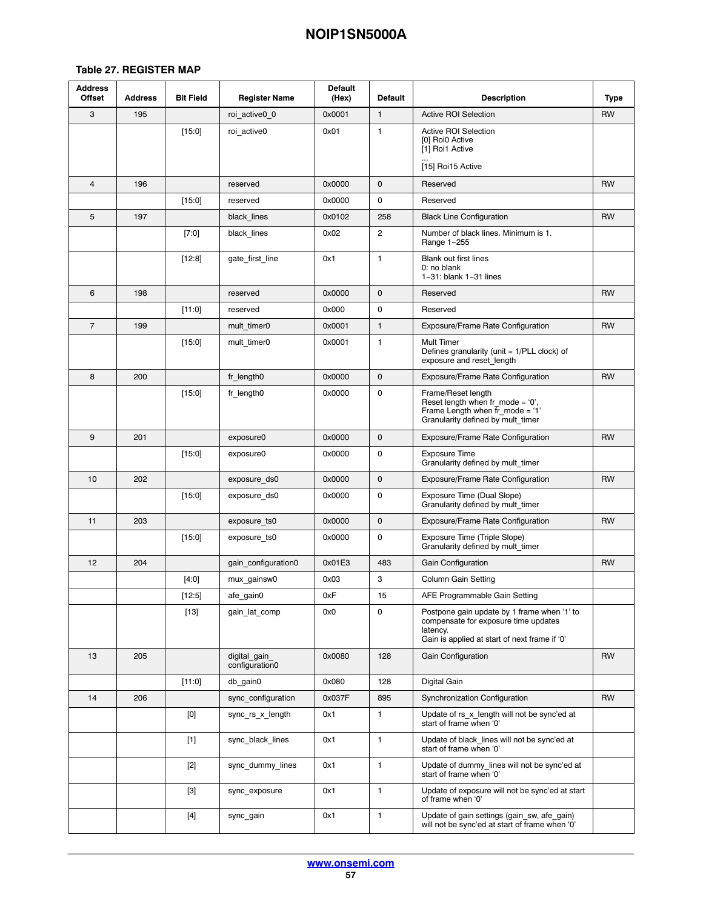| <b>Address</b><br><b>Offset</b> | <b>Address</b> | <b>Bit Field</b> | <b>Register Name</b>           | <b>Default</b><br>(Hex) | <b>Default</b>      | <b>Description</b>                                                                                                                               | <b>Type</b> |
|---------------------------------|----------------|------------------|--------------------------------|-------------------------|---------------------|--------------------------------------------------------------------------------------------------------------------------------------------------|-------------|
| 3                               | 195            |                  | roi active0 0                  | 0x0001                  | $\mathbf{1}$        | <b>Active ROI Selection</b>                                                                                                                      | <b>RW</b>   |
|                                 |                | [15:0]           | roi active0                    | 0x01                    | $\mathbf{1}$        | <b>Active ROI Selection</b><br>[0] Roi0 Active<br>[1] Roi1 Active                                                                                |             |
|                                 |                |                  |                                |                         |                     | [15] Roi15 Active                                                                                                                                |             |
| $\overline{4}$                  | 196            |                  | reserved                       | 0x0000                  | $\mathbf 0$         | Reserved                                                                                                                                         | <b>RW</b>   |
|                                 |                | [15:0]           | reserved                       | 0x0000                  | 0                   | Reserved                                                                                                                                         |             |
| 5                               | 197            |                  | black lines                    | 0x0102                  | 258                 | <b>Black Line Configuration</b>                                                                                                                  | <b>RW</b>   |
|                                 |                | $[7:0]$          | black lines                    | 0x02                    | $\overline{2}$      | Number of black lines. Minimum is 1.<br>Range 1-255                                                                                              |             |
|                                 |                | $[12:8]$         | gate first line                | 0x1                     | 1                   | Blank out first lines<br>0: no blank<br>1-31: blank 1-31 lines                                                                                   |             |
| 6                               | 198            |                  | reserved                       | 0x0000                  | $\mathbf 0$         | Reserved                                                                                                                                         | <b>RW</b>   |
|                                 |                | [11:0]           | reserved                       | 0x000                   | 0                   | Reserved                                                                                                                                         |             |
| $\overline{7}$                  | 199            |                  | mult_timer0                    | 0x0001                  | $\mathbf{1}$        | Exposure/Frame Rate Configuration                                                                                                                | <b>RW</b>   |
|                                 |                | [15:0]           | mult timer0                    | 0x0001                  | $\mathbf{1}$        | <b>Mult Timer</b><br>Defines granularity (unit = 1/PLL clock) of<br>exposure and reset length                                                    |             |
| 8                               | 200            |                  | fr length0                     | 0x0000                  | $\mathsf 0$         | Exposure/Frame Rate Configuration                                                                                                                | <b>RW</b>   |
|                                 |                | [15:0]           | fr length0                     | 0x0000                  | 0                   | Frame/Reset length<br>Reset length when fr mode = $0$ ',<br>Frame Length when $\overline{fr}$ mode = '1'<br>Granularity defined by mult timer    |             |
| 9                               | 201            |                  | exposure0                      | 0x0000                  | $\mathbf 0$         | Exposure/Frame Rate Configuration                                                                                                                | <b>RW</b>   |
|                                 |                | [15:0]           | exposure0                      | 0x0000                  | 0                   | <b>Exposure Time</b><br>Granularity defined by mult timer                                                                                        |             |
| 10                              | 202            |                  | exposure ds0                   | 0x0000                  | $\mathbf 0$         | Exposure/Frame Rate Configuration                                                                                                                | RW          |
|                                 |                | $[15:0]$         | exposure ds0                   | 0x0000                  | 0                   | Exposure Time (Dual Slope)<br>Granularity defined by mult timer                                                                                  |             |
| 11                              | 203            |                  | exposure ts0                   | 0x0000                  | $\mathsf{O}\xspace$ | Exposure/Frame Rate Configuration                                                                                                                | <b>RW</b>   |
|                                 |                | [15:0]           | exposure ts0                   | 0x0000                  | 0                   | Exposure Time (Triple Slope)<br>Granularity defined by mult timer                                                                                |             |
| 12                              | 204            |                  | gain configuration0            | 0x01E3                  | 483                 | Gain Configuration                                                                                                                               | <b>RW</b>   |
|                                 |                | $[4:0]$          | mux gainsw0                    | 0x03                    | 3                   | Column Gain Setting                                                                                                                              |             |
|                                 |                | [12:5]           | afe_gain0                      | 0xF                     | 15                  | AFE Programmable Gain Setting                                                                                                                    |             |
|                                 |                | $[13]$           | gain lat comp                  | 0x0                     | 0                   | Postpone gain update by 1 frame when '1' to<br>compensate for exposure time updates<br>latency.<br>Gain is applied at start of next frame if '0' |             |
| 13                              | 205            |                  | digital gain<br>configuration0 | 0x0080                  | 128                 | <b>Gain Configuration</b>                                                                                                                        | <b>RW</b>   |
|                                 |                | [11:0]           | db gain0                       | 0x080                   | 128                 | Digital Gain                                                                                                                                     |             |
| 14                              | 206            |                  | sync configuration             | 0x037F                  | 895                 | Synchronization Configuration                                                                                                                    | <b>RW</b>   |
|                                 |                | [0]              | sync_rs_x_length               | 0x1                     | 1                   | Update of rs x length will not be sync'ed at<br>start of frame when '0'                                                                          |             |
|                                 |                | $[1]$            | sync black lines               | 0x1                     | $\mathbf{1}$        | Update of black_lines will not be sync'ed at<br>start of frame when '0'                                                                          |             |
|                                 |                | $[2]$            | sync_dummy_lines               | 0x1                     | $\mathbf{1}$        | Update of dummy_lines will not be sync'ed at<br>start of frame when '0'                                                                          |             |
|                                 |                | $^{[3]}$         | sync exposure                  | 0x1                     | 1                   | Update of exposure will not be sync'ed at start<br>of frame when '0'                                                                             |             |
|                                 |                | $[4]$            | sync_gain                      | 0x1                     | $\mathbf{1}$        | Update of gain settings (gain sw, afe gain)<br>will not be sync'ed at start of frame when '0'                                                    |             |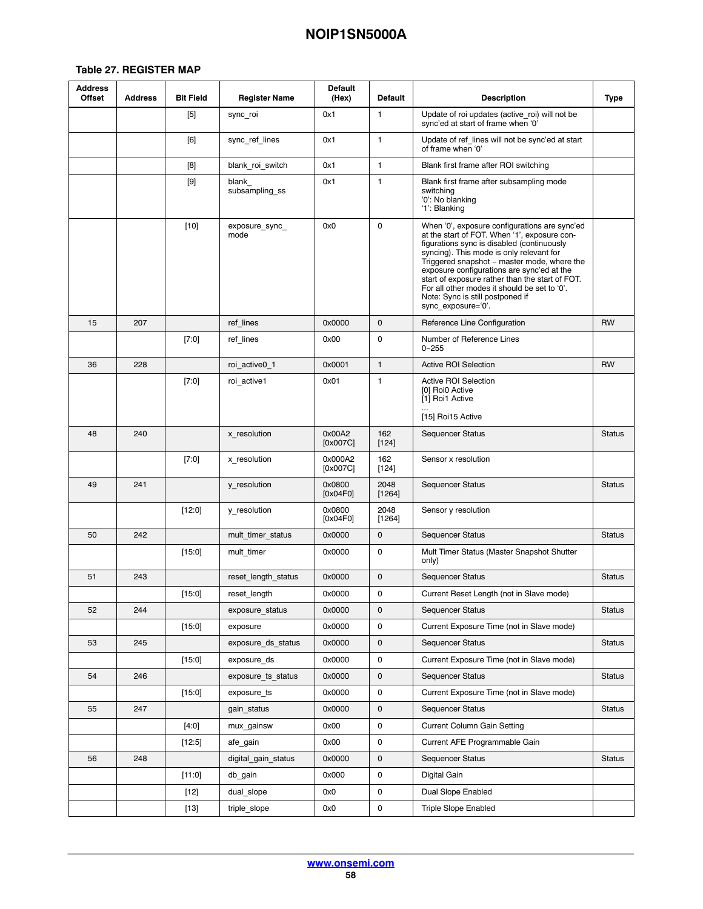| <b>Address</b><br><b>Offset</b> | <b>Address</b> | <b>Bit Field</b> | <b>Register Name</b>    | <b>Default</b><br>(Hex) | <b>Default</b>   | <b>Description</b>                                                                                                                                                                                                                                                                                                                                                                                                                                | <b>Type</b>   |
|---------------------------------|----------------|------------------|-------------------------|-------------------------|------------------|---------------------------------------------------------------------------------------------------------------------------------------------------------------------------------------------------------------------------------------------------------------------------------------------------------------------------------------------------------------------------------------------------------------------------------------------------|---------------|
|                                 |                | $[5]$            | sync roi                | 0x1                     | $\mathbf{1}$     | Update of roi updates (active roi) will not be<br>sync'ed at start of frame when '0'                                                                                                                                                                                                                                                                                                                                                              |               |
|                                 |                | [6]              | sync ref lines          | 0x1                     | $\mathbf{1}$     | Update of ref lines will not be sync'ed at start<br>of frame when '0'                                                                                                                                                                                                                                                                                                                                                                             |               |
|                                 |                | $^{[8]}$         | blank roi switch        | 0x1                     | $\mathbf{1}$     | Blank first frame after ROI switching                                                                                                                                                                                                                                                                                                                                                                                                             |               |
|                                 |                | $[9]$            | blank<br>subsampling ss | 0x1                     | 1                | Blank first frame after subsampling mode<br>switching<br>'0': No blanking<br>'1': Blanking                                                                                                                                                                                                                                                                                                                                                        |               |
|                                 |                | $[10]$           | exposure_sync_<br>mode  | 0x0                     | 0                | When '0', exposure configurations are sync'ed<br>at the start of FOT. When '1', exposure con-<br>figurations sync is disabled (continuously<br>syncing). This mode is only relevant for<br>Triggered snapshot - master mode, where the<br>exposure configurations are sync'ed at the<br>start of exposure rather than the start of FOT.<br>For all other modes it should be set to '0'.<br>Note: Sync is still postponed if<br>sync_exposure='0'. |               |
| 15                              | 207            |                  | ref lines               | 0x0000                  | 0                | Reference Line Configuration                                                                                                                                                                                                                                                                                                                                                                                                                      | <b>RW</b>     |
|                                 |                | $[7:0]$          | ref lines               | 0x00                    | 0                | Number of Reference Lines<br>$0 - 255$                                                                                                                                                                                                                                                                                                                                                                                                            |               |
| 36                              | 228            |                  | roi active0 1           | 0x0001                  | $\mathbf{1}$     | <b>Active ROI Selection</b>                                                                                                                                                                                                                                                                                                                                                                                                                       | <b>RW</b>     |
|                                 |                | $[7:0]$          | roi active1             | 0x01                    | $\mathbf{1}$     | <b>Active ROI Selection</b><br>[0] Roi0 Active<br>[1] Roi1 Active                                                                                                                                                                                                                                                                                                                                                                                 |               |
|                                 |                |                  |                         |                         |                  | [15] Roi15 Active                                                                                                                                                                                                                                                                                                                                                                                                                                 |               |
| 48                              | 240            |                  | x resolution            | 0x00A2<br>[0x007C]      | 162<br>[124]     | Sequencer Status                                                                                                                                                                                                                                                                                                                                                                                                                                  | <b>Status</b> |
|                                 |                | $[7:0]$          | x_resolution            | 0x000A2<br>[0x007C]     | 162<br>$[124]$   | Sensor x resolution                                                                                                                                                                                                                                                                                                                                                                                                                               |               |
| 49                              | 241            |                  | y resolution            | 0x0800<br>[0x04F0]      | 2048<br>$[1264]$ | Sequencer Status                                                                                                                                                                                                                                                                                                                                                                                                                                  | Status        |
|                                 |                | $[12:0]$         | y_resolution            | 0x0800<br>[0x04F0]      | 2048<br>$[1264]$ | Sensor y resolution                                                                                                                                                                                                                                                                                                                                                                                                                               |               |
| 50                              | 242            |                  | mult timer status       | 0x0000                  | 0                | Sequencer Status                                                                                                                                                                                                                                                                                                                                                                                                                                  | <b>Status</b> |
|                                 |                | $[15:0]$         | mult timer              | 0x0000                  | 0                | Mult Timer Status (Master Snapshot Shutter<br>only)                                                                                                                                                                                                                                                                                                                                                                                               |               |
| 51                              | 243            |                  | reset length status     | 0x0000                  | 0                | Sequencer Status                                                                                                                                                                                                                                                                                                                                                                                                                                  | <b>Status</b> |
|                                 |                | [15:0]           | reset_length            | 0x0000                  | 0                | Current Reset Length (not in Slave mode)                                                                                                                                                                                                                                                                                                                                                                                                          |               |
| 52                              | 244            |                  | exposure status         | 0x0000                  | 0                | Sequencer Status                                                                                                                                                                                                                                                                                                                                                                                                                                  | <b>Status</b> |
|                                 |                | $[15:0]$         | exposure                | 0x0000                  | 0                | Current Exposure Time (not in Slave mode)                                                                                                                                                                                                                                                                                                                                                                                                         |               |
| 53                              | 245            |                  | exposure ds status      | 0x0000                  | 0                | <b>Sequencer Status</b>                                                                                                                                                                                                                                                                                                                                                                                                                           | <b>Status</b> |
|                                 |                | $[15:0]$         | exposure ds             | 0x0000                  | 0                | Current Exposure Time (not in Slave mode)                                                                                                                                                                                                                                                                                                                                                                                                         |               |
| 54                              | 246            |                  | exposure ts status      | 0x0000                  | 0                | Sequencer Status                                                                                                                                                                                                                                                                                                                                                                                                                                  | Status        |
|                                 |                | $[15:0]$         | exposure_ts             | 0x0000                  | 0                | Current Exposure Time (not in Slave mode)                                                                                                                                                                                                                                                                                                                                                                                                         |               |
| 55                              | 247            |                  | gain status             | 0x0000                  | 0                | Sequencer Status                                                                                                                                                                                                                                                                                                                                                                                                                                  | <b>Status</b> |
|                                 |                | $[4:0]$          | mux_gainsw              | 0x00                    | 0                | <b>Current Column Gain Setting</b>                                                                                                                                                                                                                                                                                                                                                                                                                |               |
|                                 |                | $[12:5]$         | afe gain                | 0x00                    | 0                | Current AFE Programmable Gain                                                                                                                                                                                                                                                                                                                                                                                                                     |               |
| 56                              | 248            |                  | digital_gain_status     | 0x0000                  | 0                | Sequencer Status                                                                                                                                                                                                                                                                                                                                                                                                                                  | Status        |
|                                 |                | [11:0]           | db gain                 | 0x000                   | 0                | Digital Gain                                                                                                                                                                                                                                                                                                                                                                                                                                      |               |
|                                 |                | [12]             | dual_slope              | 0x0                     | 0                | Dual Slope Enabled                                                                                                                                                                                                                                                                                                                                                                                                                                |               |
|                                 |                | [13]             | triple slope            | 0x0                     | 0                | Triple Slope Enabled                                                                                                                                                                                                                                                                                                                                                                                                                              |               |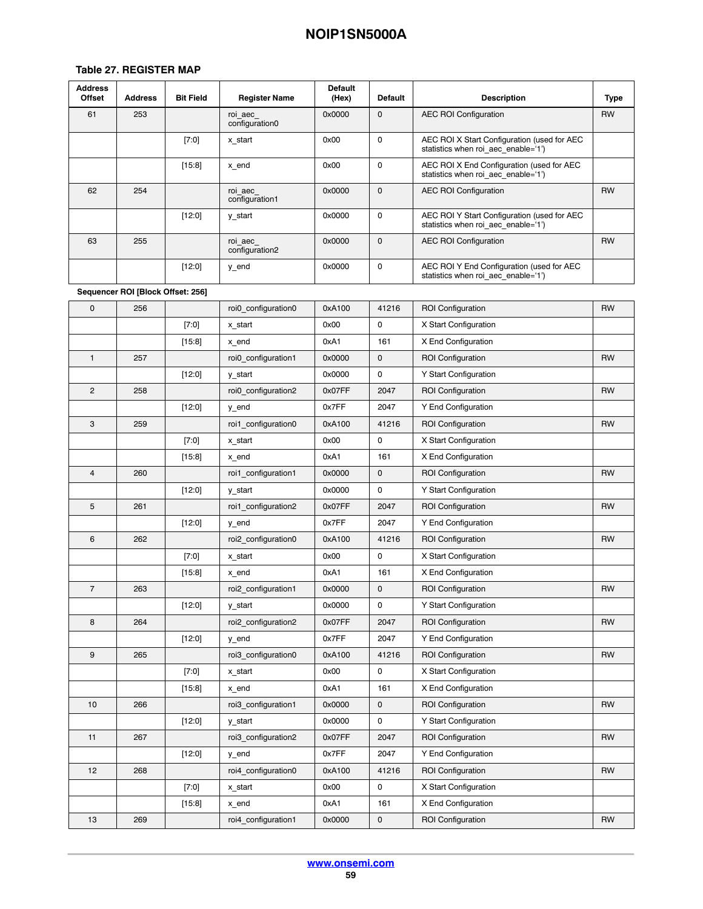#### **Table [27](#page-45-0). REGISTER MAP**

| <b>Address</b><br><b>Offset</b> | <b>Address</b>                    | <b>Bit Field</b> | <b>Register Name</b>       | <b>Default</b><br>(Hex) | <b>Default</b> | <b>Description</b>                                                                 | Type      |
|---------------------------------|-----------------------------------|------------------|----------------------------|-------------------------|----------------|------------------------------------------------------------------------------------|-----------|
| 61                              | 253                               |                  | roi aec<br>configuration0  | 0x0000                  | $\mathbf 0$    | <b>AEC ROI Configuration</b>                                                       | <b>RW</b> |
|                                 |                                   | $[7:0]$          | x_start                    | 0x00                    | 0              | AEC ROI X Start Configuration (used for AEC<br>statistics when roi_aec_enable='1') |           |
|                                 |                                   | [15:8]           | x_end                      | 0x00                    | 0              | AEC ROI X End Configuration (used for AEC<br>statistics when roi aec enable='1')   |           |
| 62                              | 254                               |                  | roi_aec_<br>configuration1 | 0x0000                  | 0              | <b>AEC ROI Configuration</b>                                                       | <b>RW</b> |
|                                 |                                   | $[12:0]$         | y_start                    | 0x0000                  | 0              | AEC ROI Y Start Configuration (used for AEC<br>statistics when roi_aec_enable='1') |           |
| 63                              | 255                               |                  | roi aec<br>configuration2  | 0x0000                  | 0              | <b>AEC ROI Configuration</b>                                                       | <b>RW</b> |
|                                 |                                   | $[12:0]$         | y_end                      | 0x0000                  | 0              | AEC ROI Y End Configuration (used for AEC<br>statistics when roi_aec_enable='1')   |           |
|                                 | Sequencer ROI [Block Offset: 256] |                  |                            |                         |                |                                                                                    |           |
| 0                               | 256                               |                  | roi0 configuration0        | 0xA100                  | 41216          | <b>ROI Configuration</b>                                                           | <b>RW</b> |
|                                 |                                   | $[7:0]$          | x_start                    | 0x00                    | 0              | X Start Configuration                                                              |           |
|                                 |                                   | [15:8]           | x_end                      | 0xA1                    | 161            | X End Configuration                                                                |           |
| 1                               | 257                               |                  | roi0 configuration1        | 0x0000                  | 0              | <b>ROI Configuration</b>                                                           | <b>RW</b> |
|                                 |                                   | $[12:0]$         | y_start                    | 0x0000                  | 0              | Y Start Configuration                                                              |           |
| $\mathbf{2}$                    | 258                               |                  | roi0 configuration2        | 0x07FF                  | 2047           | <b>ROI Configuration</b>                                                           | <b>RW</b> |
|                                 |                                   | $[12:0]$         | y_end                      | 0x7FF                   | 2047           | Y End Configuration                                                                |           |
| 3                               | 259                               |                  | roi1_configuration0        | 0xA100                  | 41216          | <b>ROI Configuration</b>                                                           | <b>RW</b> |
|                                 |                                   | $[7:0]$          | x_start                    | 0x00                    | 0              | X Start Configuration                                                              |           |
|                                 |                                   | [15:8]           | x_end                      | 0xA1                    | 161            | X End Configuration                                                                |           |
| 4                               | 260                               |                  | roi1 configuration1        | 0x0000                  | 0              | <b>ROI Configuration</b>                                                           | <b>RW</b> |
|                                 |                                   | $[12:0]$         | y_start                    | 0x0000                  | 0              | Y Start Configuration                                                              |           |
| 5                               | 261                               |                  | roi1 configuration2        | 0x07FF                  | 2047           | <b>ROI Configuration</b>                                                           | <b>RW</b> |
|                                 |                                   | $[12:0]$         | y_end                      | 0x7FF                   | 2047           | Y End Configuration                                                                |           |
| 6                               | 262                               |                  | roi2 configuration0        | 0xA100                  | 41216          | <b>ROI Configuration</b>                                                           | <b>RW</b> |
|                                 |                                   | $[7:0]$          | x_start                    | 0x00                    | 0              | X Start Configuration                                                              |           |
|                                 |                                   | $[15:8]$         | x_end                      | 0xA1                    | 161            | X End Configuration                                                                |           |
| $\overline{7}$                  | 263                               |                  | roi2_configuration1        | 0x0000                  | 0              | <b>ROI Configuration</b>                                                           | RW        |
|                                 |                                   | $[12:0]$         | y_start                    | 0x0000                  | 0              | Y Start Configuration                                                              |           |
| 8                               | 264                               |                  | roi2 configuration2        | 0x07FF                  | 2047           | <b>ROI Configuration</b>                                                           | RW        |
|                                 |                                   | $[12:0]$         | y_end                      | 0x7FF                   | 2047           | Y End Configuration                                                                |           |
| 9                               | 265                               |                  | roi3_configuration0        | 0xA100                  | 41216          | <b>ROI Configuration</b>                                                           | <b>RW</b> |
|                                 |                                   | $[7:0]$          | x start                    | 0x00                    | 0              | X Start Configuration                                                              |           |
|                                 |                                   | [15:8]           | x end                      | 0xA1                    | 161            | X End Configuration                                                                |           |

10 266 roi3\_configuration1 0x0000 0 ROI Configuration RW [12:0] y\_start 0x0000 0 Y Start Configuration 11 267 | roi3\_configuration2 0x07FF 2047 ROI Configuration RW [12:0] yend 0x7FF 2047 Y End Configuration 12 268 roi4\_configuration0 0xA100 41216 ROI Configuration RW [7:0] x\_start 0x00 0 X Start Configuration [15:8] x\_end 0xA1 161 X End Configuration 13 269 roi4\_configuration1 0x0000 0 ROI Configuration RW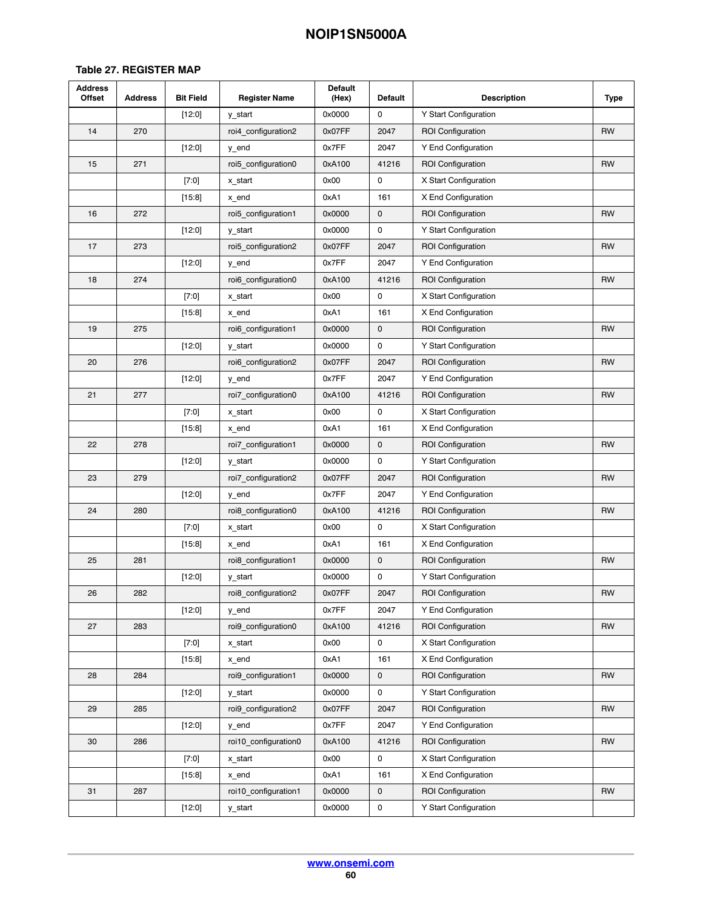| <b>Address</b><br><b>Offset</b> | <b>Address</b> | <b>Bit Field</b> | <b>Register Name</b> | <b>Default</b><br>(Hex) | <b>Default</b> | <b>Description</b>       | <b>Type</b> |
|---------------------------------|----------------|------------------|----------------------|-------------------------|----------------|--------------------------|-------------|
|                                 |                | $[12:0]$         | y_start              | 0x0000                  | 0              | Y Start Configuration    |             |
| 14                              | 270            |                  | roi4_configuration2  | 0x07FF                  | 2047           | <b>ROI Configuration</b> | <b>RW</b>   |
|                                 |                | $[12:0]$         | y_end                | 0x7FF                   | 2047           | Y End Configuration      |             |
| 15                              | 271            |                  | roi5_configuration0  | 0xA100                  | 41216          | <b>ROI Configuration</b> | RW          |
|                                 |                | $[7:0]$          | x_start              | 0x00                    | 0              | X Start Configuration    |             |
|                                 |                | [15:8]           | x_end                | 0xA1                    | 161            | X End Configuration      |             |
| 16                              | 272            |                  | roi5_configuration1  | 0x0000                  | 0              | <b>ROI Configuration</b> | <b>RW</b>   |
|                                 |                | $[12:0]$         | y_start              | 0x0000                  | 0              | Y Start Configuration    |             |
| 17                              | 273            |                  | roi5_configuration2  | 0x07FF                  | 2047           | <b>ROI Configuration</b> | <b>RW</b>   |
|                                 |                | [12:0]           | y_end                | 0x7FF                   | 2047           | Y End Configuration      |             |
| 18                              | 274            |                  | roi6 configuration0  | 0xA100                  | 41216          | <b>ROI Configuration</b> | <b>RW</b>   |
|                                 |                | $[7:0]$          | x_start              | 0x00                    | 0              | X Start Configuration    |             |
|                                 |                | $[15:8]$         | x_end                | 0xA1                    | 161            | X End Configuration      |             |
| 19                              | 275            |                  | roi6_configuration1  | 0x0000                  | 0              | <b>ROI Configuration</b> | RW          |
|                                 |                | [12:0]           | y_start              | 0x0000                  | 0              | Y Start Configuration    |             |
| 20                              | 276            |                  | roi6 configuration2  | 0x07FF                  | 2047           | <b>ROI Configuration</b> | <b>RW</b>   |
|                                 |                | [12:0]           | y_end                | 0x7FF                   | 2047           | Y End Configuration      |             |
| 21                              | 277            |                  | roi7 configuration0  | 0xA100                  | 41216          | <b>ROI Configuration</b> | <b>RW</b>   |
|                                 |                | [7:0]            | x_start              | 0x00                    | 0              | X Start Configuration    |             |
|                                 |                | [15:8]           | x_end                | 0xA1                    | 161            | X End Configuration      |             |
| 22                              | 278            |                  | roi7_configuration1  | 0x0000                  | 0              | <b>ROI Configuration</b> | <b>RW</b>   |
|                                 |                | $[12:0]$         | y_start              | 0x0000                  | 0              | Y Start Configuration    |             |
| 23                              | 279            |                  | roi7_configuration2  | 0x07FF                  | 2047           | <b>ROI Configuration</b> | <b>RW</b>   |
|                                 |                | $[12:0]$         | y_end                | 0x7FF                   | 2047           | Y End Configuration      |             |
| 24                              | 280            |                  | roi8_configuration0  | 0xA100                  | 41216          | <b>ROI Configuration</b> | <b>RW</b>   |
|                                 |                | [7:0]            | x_start              | 0x00                    | 0              | X Start Configuration    |             |
|                                 |                | [15:8]           | x_end                | 0xA1                    | 161            | X End Configuration      |             |
| 25                              | 281            |                  | roi8 configuration1  | 0x0000                  | $\mathsf 0$    | <b>ROI Configuration</b> | <b>RW</b>   |
|                                 |                | $[12:0]$         | y_start              | 0x0000                  | 0              | Y Start Configuration    |             |
| 26                              | 282            |                  | roi8_configuration2  | 0x07FF                  | 2047           | <b>ROI Configuration</b> | RW          |
|                                 |                | [12:0]           | y_end                | 0x7FF                   | 2047           | Y End Configuration      |             |
| 27                              | 283            |                  | roi9 configuration0  | 0xA100                  | 41216          | <b>ROI Configuration</b> | RW          |
|                                 |                | $[7:0]$          | x_start              | 0x00                    | 0              | X Start Configuration    |             |
|                                 |                | [15:8]           | x_end                | 0xA1                    | 161            | X End Configuration      |             |
| 28                              | 284            |                  | roi9 configuration1  | 0x0000                  | 0              | <b>ROI Configuration</b> | <b>RW</b>   |
|                                 |                | [12:0]           | y_start              | 0x0000                  | 0              | Y Start Configuration    |             |
| 29                              | 285            |                  | roi9 configuration2  | 0x07FF                  | 2047           | <b>ROI Configuration</b> | RW          |
|                                 |                | [12:0]           | y_end                | 0x7FF                   | 2047           | Y End Configuration      |             |
| 30                              | 286            |                  | roi10 configuration0 | 0xA100                  | 41216          | <b>ROI Configuration</b> | RW          |
|                                 |                | $[7:0]$          | x_start              | 0x00                    | 0              | X Start Configuration    |             |
|                                 |                | [15:8]           | x_end                | 0xA1                    | 161            | X End Configuration      |             |
| 31                              | 287            |                  | roi10_configuration1 | 0x0000                  | 0              | <b>ROI Configuration</b> | RW          |
|                                 |                | [12:0]           | y_start              | 0x0000                  | 0              | Y Start Configuration    |             |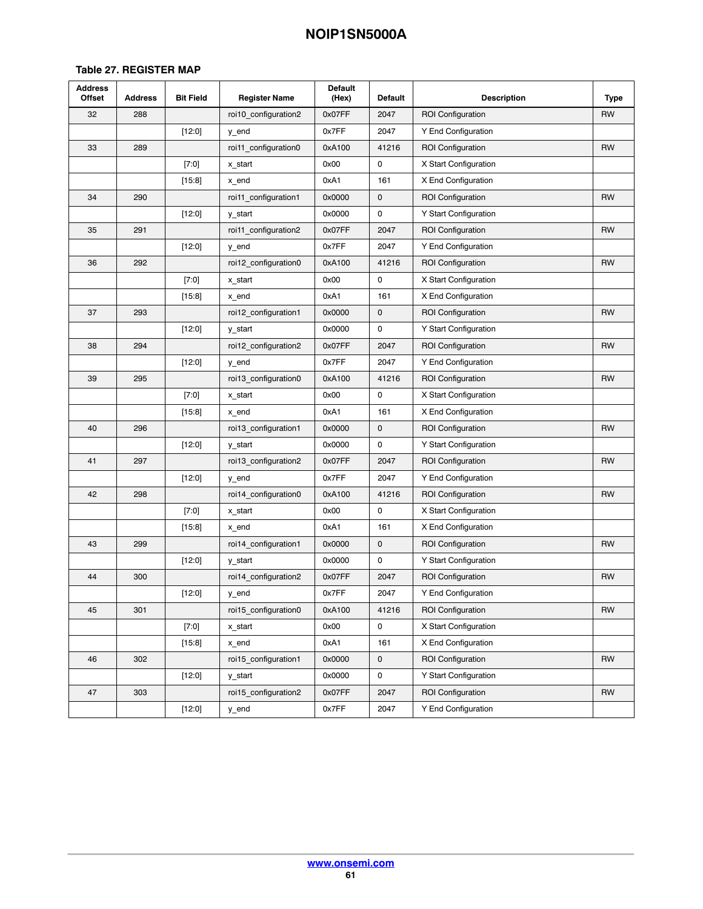| <b>Address</b><br>Offset | Address | <b>Bit Field</b> | <b>Register Name</b> | <b>Default</b><br>(Hex) | <b>Default</b> | <b>Description</b>       | <b>Type</b> |
|--------------------------|---------|------------------|----------------------|-------------------------|----------------|--------------------------|-------------|
| 32                       | 288     |                  | roi10_configuration2 | 0x07FF                  | 2047           | <b>ROI Configuration</b> | RW          |
|                          |         | [12:0]           | y_end                | 0x7FF                   | 2047           | Y End Configuration      |             |
| 33                       | 289     |                  | roi11_configuration0 | 0xA100                  | 41216          | <b>ROI Configuration</b> | <b>RW</b>   |
|                          |         | $[7:0]$          | $x\_start$           | 0x00                    | 0              | X Start Configuration    |             |
|                          |         | [15:8]           | x_end                | 0xA1                    | 161            | X End Configuration      |             |
| 34                       | 290     |                  | roi11_configuration1 | 0x0000                  | 0              | <b>ROI Configuration</b> | <b>RW</b>   |
|                          |         | [12:0]           | y_start              | 0x0000                  | 0              | Y Start Configuration    |             |
| 35                       | 291     |                  | roi11 configuration2 | 0x07FF                  | 2047           | <b>ROI Configuration</b> | <b>RW</b>   |
|                          |         | [12:0]           | y_end                | 0x7FF                   | 2047           | Y End Configuration      |             |
| 36                       | 292     |                  | roi12_configuration0 | 0xA100                  | 41216          | <b>ROI Configuration</b> | <b>RW</b>   |
|                          |         | $[7:0]$          | $x\_start$           | 0x00                    | 0              | X Start Configuration    |             |
|                          |         | $[15:8]$         | x_end                | 0xA1                    | 161            | X End Configuration      |             |
| 37                       | 293     |                  | roi12 configuration1 | 0x0000                  | 0              | <b>ROI Configuration</b> | <b>RW</b>   |
|                          |         | [12:0]           | y_start              | 0x0000                  | 0              | Y Start Configuration    |             |
| 38                       | 294     |                  | roi12_configuration2 | 0x07FF                  | 2047           | <b>ROI Configuration</b> | <b>RW</b>   |
|                          |         | $[12:0]$         | y_end                | 0x7FF                   | 2047           | Y End Configuration      |             |
| 39                       | 295     |                  | roi13_configuration0 | 0xA100                  | 41216          | <b>ROI Configuration</b> | RW          |
|                          |         | [7:0]            | x_start              | 0x00                    | 0              | X Start Configuration    |             |
|                          |         | $[15:8]$         | x_end                | 0xA1                    | 161            | X End Configuration      |             |
| 40                       | 296     |                  | roi13_configuration1 | 0x0000                  | 0              | <b>ROI Configuration</b> | <b>RW</b>   |
|                          |         | $[12:0]$         | y_start              | 0x0000                  | 0              | Y Start Configuration    |             |
| 41                       | 297     |                  | roi13_configuration2 | 0x07FF                  | 2047           | <b>ROI Configuration</b> | <b>RW</b>   |
|                          |         | $[12:0]$         | y_end                | 0x7FF                   | 2047           | Y End Configuration      |             |
| 42                       | 298     |                  | roi14_configuration0 | 0xA100                  | 41216          | <b>ROI Configuration</b> | RW          |
|                          |         | $[7:0]$          | x_start              | 0x00                    | 0              | X Start Configuration    |             |
|                          |         | [15:8]           | x_end                | 0xA1                    | 161            | X End Configuration      |             |
| 43                       | 299     |                  | roi14_configuration1 | 0x0000                  | 0              | <b>ROI Configuration</b> | <b>RW</b>   |
|                          |         | [12:0]           | y_start              | 0x0000                  | 0              | Y Start Configuration    |             |
| 44                       | 300     |                  | roi14_configuration2 | 0x07FF                  | 2047           | <b>ROI Configuration</b> | RW          |
|                          |         | [12:0]           | y_end                | 0x7FF                   | 2047           | Y End Configuration      |             |
| 45                       | 301     |                  | roi15 configuration0 | 0xA100                  | 41216          | <b>ROI</b> Configuration | <b>RW</b>   |
|                          |         | $[7:0]$          | x start              | 0x00                    | $\mathsf{o}\,$ | X Start Configuration    |             |
|                          |         | $[15:8]$         | x_end                | 0xA1                    | 161            | X End Configuration      |             |
| 46                       | 302     |                  | roi15_configuration1 | 0x0000                  | 0              | <b>ROI Configuration</b> | RW          |
|                          |         | [12:0]           | y_start              | 0x0000                  | 0              | Y Start Configuration    |             |
| 47                       | 303     |                  | roi15 configuration2 | 0x07FF                  | 2047           | <b>ROI Configuration</b> | RW          |
|                          |         | [12:0]           | y_end                | 0x7FF                   | 2047           | Y End Configuration      |             |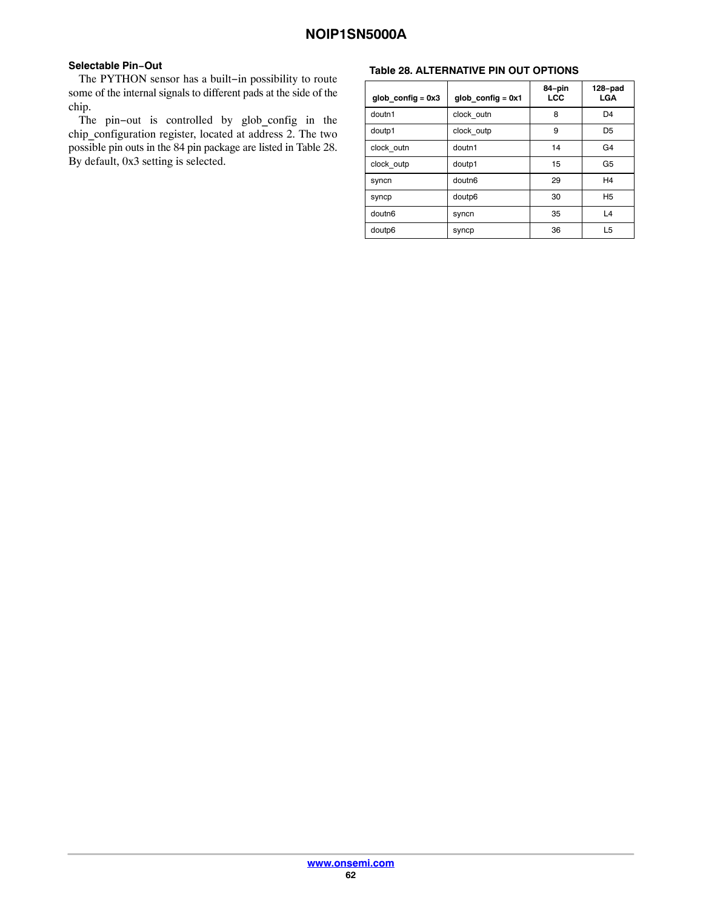## **Selectable Pin−Out**

The PYTHON sensor has a built−in possibility to route some of the internal signals to different pads at the side of the chip.

The pin−out is controlled by glob\_config in the chip\_configuration register, located at address 2. The two possible pin outs in the 84 pin package are listed in Table 28. By default, 0x3 setting is selected.

#### **Table 28. ALTERNATIVE PIN OUT OPTIONS**

| glob config = $0x3$ | $glob$ config = 0x1 | 84-pin<br><b>LCC</b> | $128-pad$<br><b>LGA</b> |
|---------------------|---------------------|----------------------|-------------------------|
| doutn1              | clock outn          | 8                    | D <sub>4</sub>          |
| doutp1              | clock outp          | 9                    | D <sub>5</sub>          |
| clock outn          | doutn1              | 14                   | G <sub>4</sub>          |
| clock outp          | doutp1              | 15                   | G5                      |
| syncn               | doutn6              | 29                   | H <sub>4</sub>          |
| syncp               | doutp6              | 30                   | <b>H<sub>5</sub></b>    |
| doutn6              | syncn               | 35                   | L <sub>4</sub>          |
| doutp6              | syncp               | 36                   | L <sub>5</sub>          |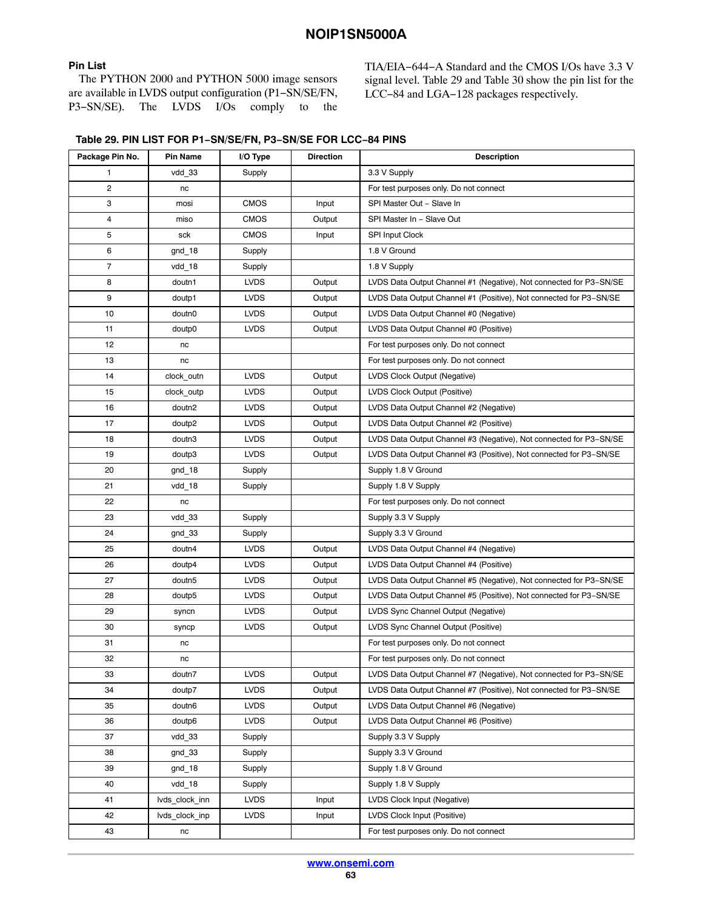### <span id="page-62-0"></span>**Pin List**

The PYTHON 2000 and PYTHON 5000 image sensors are available in LVDS output configuration (P1−SN/SE/FN, P3−SN/SE). The LVDS I/Os comply to the TIA/EIA−644−A Standard and the CMOS I/Os have 3.3 V signal level. Table 29 and Table [30](#page-64-0) show the pin list for the LCC−84 and LGA−128 packages respectively.

| Table 29. PIN LIST FOR P1-SN/SE/FN, P3-SN/SE FOR LCC-84 PINS |  |
|--------------------------------------------------------------|--|
|--------------------------------------------------------------|--|

| Package Pin No. | <b>Pin Name</b>    | I/O Type    | <b>Direction</b> | <b>Description</b>                                                 |
|-----------------|--------------------|-------------|------------------|--------------------------------------------------------------------|
| 1               | vdd_33             | Supply      |                  | 3.3 V Supply                                                       |
| $\overline{c}$  | nc                 |             |                  | For test purposes only. Do not connect                             |
| 3               | mosi               | <b>CMOS</b> | Input            | SPI Master Out - Slave In                                          |
| 4               | miso               | CMOS        | Output           | SPI Master In - Slave Out                                          |
| 5               | sck                | CMOS        | Input            | <b>SPI Input Clock</b>                                             |
| 6               | gnd_18             | Supply      |                  | 1.8 V Ground                                                       |
| $\overline{7}$  | vdd 18             | Supply      |                  | 1.8 V Supply                                                       |
| 8               | doutn1             | <b>LVDS</b> | Output           | LVDS Data Output Channel #1 (Negative), Not connected for P3-SN/SE |
| 9               | doutp1             | <b>LVDS</b> | Output           | LVDS Data Output Channel #1 (Positive), Not connected for P3-SN/SE |
| 10              | doutn0             | <b>LVDS</b> | Output           | LVDS Data Output Channel #0 (Negative)                             |
| 11              | doutp0             | <b>LVDS</b> | Output           | LVDS Data Output Channel #0 (Positive)                             |
| 12              | nc                 |             |                  | For test purposes only. Do not connect                             |
| 13              | nc                 |             |                  | For test purposes only. Do not connect                             |
| 14              | clock outn         | <b>LVDS</b> | Output           | LVDS Clock Output (Negative)                                       |
| 15              | clock_outp         | <b>LVDS</b> | Output           | LVDS Clock Output (Positive)                                       |
| 16              | doutn2             | <b>LVDS</b> | Output           | LVDS Data Output Channel #2 (Negative)                             |
| 17              | doutp2             | <b>LVDS</b> | Output           | LVDS Data Output Channel #2 (Positive)                             |
| 18              | doutn3             | <b>LVDS</b> | Output           | LVDS Data Output Channel #3 (Negative), Not connected for P3-SN/SE |
| 19              | doutp3             | <b>LVDS</b> | Output           | LVDS Data Output Channel #3 (Positive), Not connected for P3-SN/SE |
| 20              | gnd_18             | Supply      |                  | Supply 1.8 V Ground                                                |
| 21              | vdd_18             | Supply      |                  | Supply 1.8 V Supply                                                |
| 22              | nc                 |             |                  | For test purposes only. Do not connect                             |
| 23              | vdd 33             | Supply      |                  | Supply 3.3 V Supply                                                |
| 24              | gnd_33             | Supply      |                  | Supply 3.3 V Ground                                                |
| 25              | doutn4             | <b>LVDS</b> | Output           | LVDS Data Output Channel #4 (Negative)                             |
| 26              | doutp4             | <b>LVDS</b> | Output           | LVDS Data Output Channel #4 (Positive)                             |
| 27              | doutn <sub>5</sub> | <b>LVDS</b> | Output           | LVDS Data Output Channel #5 (Negative), Not connected for P3-SN/SE |
| 28              | doutp5             | <b>LVDS</b> | Output           | LVDS Data Output Channel #5 (Positive), Not connected for P3-SN/SE |
| 29              | syncn              | <b>LVDS</b> | Output           | LVDS Sync Channel Output (Negative)                                |
| 30              | syncp              | <b>LVDS</b> | Output           | LVDS Sync Channel Output (Positive)                                |
| 31              | nc                 |             |                  | For test purposes only. Do not connect                             |
| 32              | nc                 |             |                  | For test purposes only. Do not connect                             |
| 33              | doutn7             | <b>LVDS</b> | Output           | LVDS Data Output Channel #7 (Negative), Not connected for P3-SN/SE |
| 34              | doutp7             | <b>LVDS</b> | Output           | LVDS Data Output Channel #7 (Positive), Not connected for P3-SN/SE |
| 35              | doutn6             | <b>LVDS</b> | Output           | LVDS Data Output Channel #6 (Negative)                             |
| 36              | doutp6             | LVDS        | Output           | LVDS Data Output Channel #6 (Positive)                             |
| 37              | vdd_33             | Supply      |                  | Supply 3.3 V Supply                                                |
| 38              | gnd 33             | Supply      |                  | Supply 3.3 V Ground                                                |
| 39              | gnd_18             | Supply      |                  | Supply 1.8 V Ground                                                |
| 40              | vdd 18             | Supply      |                  | Supply 1.8 V Supply                                                |
| 41              | lvds_clock_inn     | <b>LVDS</b> | Input            | LVDS Clock Input (Negative)                                        |
| 42              | lvds_clock_inp     | <b>LVDS</b> | Input            | LVDS Clock Input (Positive)                                        |
| 43              | nc                 |             |                  | For test purposes only. Do not connect                             |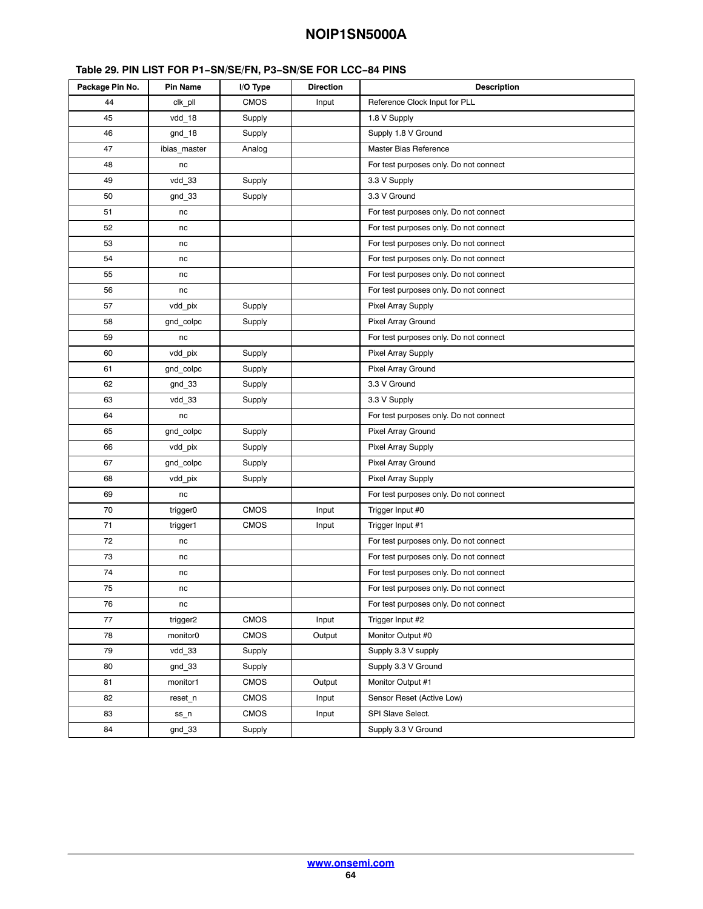### **Table [29](#page-62-0). PIN LIST FOR P1−SN/SE/FN, P3−SN/SE FOR LCC−84 PINS**

| Package Pin No. | <b>Pin Name</b> | I/O Type    | <b>Direction</b> | <b>Description</b>                     |
|-----------------|-----------------|-------------|------------------|----------------------------------------|
| 44              | clk pll         | <b>CMOS</b> | Input            | Reference Clock Input for PLL          |
| 45              | vdd 18          | Supply      |                  | 1.8 V Supply                           |
| 46              | $g$ nd $18$     | Supply      |                  | Supply 1.8 V Ground                    |
| 47              | ibias master    | Analog      |                  | Master Bias Reference                  |
| 48              | nc              |             |                  | For test purposes only. Do not connect |
| 49              | vdd 33          | Supply      |                  | 3.3 V Supply                           |
| 50              | gnd_33          | Supply      |                  | 3.3 V Ground                           |
| 51              | nc              |             |                  | For test purposes only. Do not connect |
| 52              | nc              |             |                  | For test purposes only. Do not connect |
| 53              | nc              |             |                  | For test purposes only. Do not connect |
| 54              | nc              |             |                  | For test purposes only. Do not connect |
| 55              | nc              |             |                  | For test purposes only. Do not connect |
| 56              | nc              |             |                  | For test purposes only. Do not connect |
| 57              | vdd_pix         | Supply      |                  | <b>Pixel Array Supply</b>              |
| 58              | gnd_colpc       | Supply      |                  | Pixel Array Ground                     |
| 59              | nc              |             |                  | For test purposes only. Do not connect |
| 60              | vdd pix         | Supply      |                  | <b>Pixel Array Supply</b>              |
| 61              | gnd_colpc       | Supply      |                  | Pixel Array Ground                     |
| 62              | gnd 33          | Supply      |                  | 3.3 V Ground                           |
| 63              | vdd 33          | Supply      |                  | 3.3 V Supply                           |
| 64              | nc              |             |                  | For test purposes only. Do not connect |
| 65              | gnd_colpc       | Supply      |                  | Pixel Array Ground                     |
| 66              | vdd_pix         | Supply      |                  | <b>Pixel Array Supply</b>              |
| 67              | gnd_colpc       | Supply      |                  | Pixel Array Ground                     |
| 68              | vdd_pix         | Supply      |                  | <b>Pixel Array Supply</b>              |
| 69              | nc              |             |                  | For test purposes only. Do not connect |
| 70              | trigger0        | <b>CMOS</b> | Input            | Trigger Input #0                       |
| 71              | trigger1        | <b>CMOS</b> | Input            | Trigger Input #1                       |
| 72              | nc              |             |                  | For test purposes only. Do not connect |
| 73              | nc              |             |                  | For test purposes only. Do not connect |
| 74              | nc              |             |                  | For test purposes only. Do not connect |
| 75              | nc              |             |                  | For test purposes only. Do not connect |
| 76              | nc              |             |                  | For test purposes only. Do not connect |
| 77              | trigger2        | CMOS        | Input            | Trigger Input #2                       |
| 78              | monitor0        | <b>CMOS</b> | Output           | Monitor Output #0                      |
| 79              | vdd 33          | Supply      |                  | Supply 3.3 V supply                    |
| 80              | gnd 33          | Supply      |                  | Supply 3.3 V Ground                    |
| 81              | monitor1        | <b>CMOS</b> | Output           | Monitor Output #1                      |
| 82              | reset n         | CMOS        | Input            | Sensor Reset (Active Low)              |
| 83              | ss_n            | <b>CMOS</b> | Input            | SPI Slave Select.                      |
| 84              | gnd_33          | Supply      |                  | Supply 3.3 V Ground                    |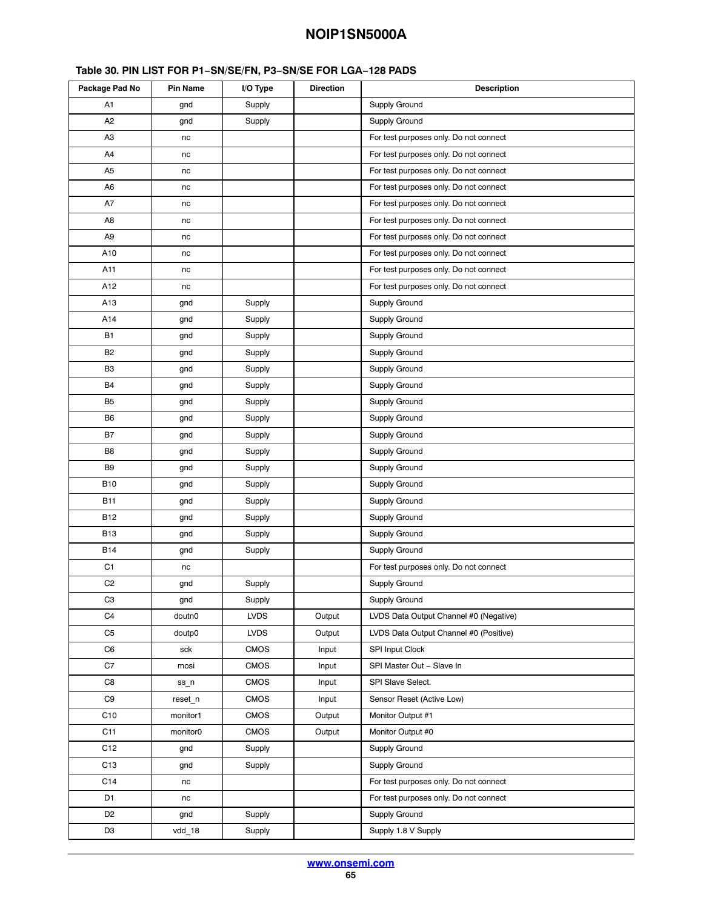<span id="page-64-0"></span>

| Package Pad No  | Pin Name | I/O Type    | <b>Direction</b> | <b>Description</b>                     |
|-----------------|----------|-------------|------------------|----------------------------------------|
| A1              | gnd      | Supply      |                  | Supply Ground                          |
| A <sub>2</sub>  | gnd      | Supply      |                  | Supply Ground                          |
| A <sub>3</sub>  | nc       |             |                  | For test purposes only. Do not connect |
| A4              | nc       |             |                  | For test purposes only. Do not connect |
| A5              | nc       |             |                  | For test purposes only. Do not connect |
| A <sub>6</sub>  | nc       |             |                  | For test purposes only. Do not connect |
| A7              | nc       |             |                  | For test purposes only. Do not connect |
| A8              | nc       |             |                  | For test purposes only. Do not connect |
| A <sub>9</sub>  | nc       |             |                  | For test purposes only. Do not connect |
| A10             | nc       |             |                  | For test purposes only. Do not connect |
| A11             | nc       |             |                  | For test purposes only. Do not connect |
| A12             | nc       |             |                  | For test purposes only. Do not connect |
| A13             | gnd      | Supply      |                  | Supply Ground                          |
| A14             | gnd      | Supply      |                  | Supply Ground                          |
| <b>B1</b>       | gnd      | Supply      |                  | Supply Ground                          |
| B <sub>2</sub>  | gnd      | Supply      |                  | Supply Ground                          |
| B3              | gnd      | Supply      |                  | Supply Ground                          |
| B <sub>4</sub>  | gnd      | Supply      |                  | Supply Ground                          |
| B <sub>5</sub>  | gnd      | Supply      |                  | Supply Ground                          |
| B <sub>6</sub>  | gnd      | Supply      |                  | Supply Ground                          |
| B7              | gnd      | Supply      |                  | Supply Ground                          |
| B8              | gnd      | Supply      |                  | Supply Ground                          |
| B <sub>9</sub>  | gnd      | Supply      |                  | Supply Ground                          |
| <b>B10</b>      | gnd      | Supply      |                  | Supply Ground                          |
| <b>B11</b>      | gnd      | Supply      |                  | Supply Ground                          |
| <b>B12</b>      | gnd      | Supply      |                  | Supply Ground                          |
| <b>B13</b>      | gnd      | Supply      |                  | Supply Ground                          |
| <b>B14</b>      | gnd      | Supply      |                  | Supply Ground                          |
| C <sub>1</sub>  | nc       |             |                  | For test purposes only. Do not connect |
| C <sub>2</sub>  | gnd      | Supply      |                  | Supply Ground                          |
| C <sub>3</sub>  | gnd      | Supply      |                  | Supply Ground                          |
| C4              | doutn0   | <b>LVDS</b> | Output           | LVDS Data Output Channel #0 (Negative) |
| C5              | doutp0   | <b>LVDS</b> | Output           | LVDS Data Output Channel #0 (Positive) |
| C6              | sck      | <b>CMOS</b> | Input            | <b>SPI Input Clock</b>                 |
| C7              | mosi     | CMOS        | Input            | SPI Master Out - Slave In              |
| C8              | $ss_n$   | <b>CMOS</b> | Input            | SPI Slave Select.                      |
| C9              | reset n  | <b>CMOS</b> | Input            | Sensor Reset (Active Low)              |
| C <sub>10</sub> | monitor1 | <b>CMOS</b> | Output           | Monitor Output #1                      |
| C11             | monitor0 | CMOS        | Output           | Monitor Output #0                      |
| C <sub>12</sub> | gnd      | Supply      |                  | Supply Ground                          |
| C <sub>13</sub> | gnd      | Supply      |                  | Supply Ground                          |
| C14             | nc       |             |                  | For test purposes only. Do not connect |
| D1              | nc       |             |                  | For test purposes only. Do not connect |
| D <sub>2</sub>  | gnd      | Supply      |                  | Supply Ground                          |
| D <sub>3</sub>  | $vdd_18$ | Supply      |                  | Supply 1.8 V Supply                    |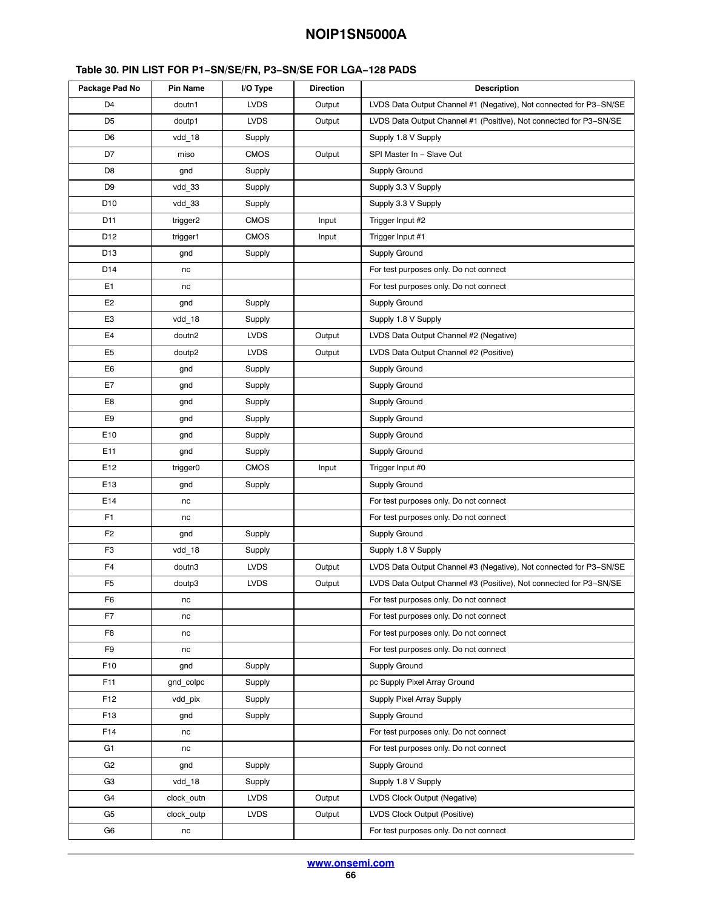| Package Pad No  | <b>Pin Name</b> | I/O Type    | <b>Direction</b> | <b>Description</b>                                                 |
|-----------------|-----------------|-------------|------------------|--------------------------------------------------------------------|
| D <sub>4</sub>  | doutn1          | <b>LVDS</b> | Output           | LVDS Data Output Channel #1 (Negative), Not connected for P3-SN/SE |
| D <sub>5</sub>  | doutp1          | <b>LVDS</b> | Output           | LVDS Data Output Channel #1 (Positive), Not connected for P3-SN/SE |
| D <sub>6</sub>  | vdd 18          | Supply      |                  | Supply 1.8 V Supply                                                |
| D7              | miso            | CMOS        | Output           | SPI Master In - Slave Out                                          |
| D8              | gnd             | Supply      |                  | Supply Ground                                                      |
| D <sub>9</sub>  | vdd_33          | Supply      |                  | Supply 3.3 V Supply                                                |
| D <sub>10</sub> | vdd_33          | Supply      |                  | Supply 3.3 V Supply                                                |
| D11             | trigger2        | <b>CMOS</b> | Input            | Trigger Input #2                                                   |
| D <sub>12</sub> | trigger1        | CMOS        | Input            | Trigger Input #1                                                   |
| D <sub>13</sub> | gnd             | Supply      |                  | Supply Ground                                                      |
| D14             | nc              |             |                  | For test purposes only. Do not connect                             |
| E1              | nc              |             |                  | For test purposes only. Do not connect                             |
| E <sub>2</sub>  | gnd             | Supply      |                  | Supply Ground                                                      |
| E3              | vdd_18          | Supply      |                  | Supply 1.8 V Supply                                                |
| E4              | doutn2          | <b>LVDS</b> | Output           | LVDS Data Output Channel #2 (Negative)                             |
| E <sub>5</sub>  | doutp2          | <b>LVDS</b> | Output           | LVDS Data Output Channel #2 (Positive)                             |
| E6              | gnd             | Supply      |                  | Supply Ground                                                      |
| E7              | gnd             | Supply      |                  | Supply Ground                                                      |
| E8              | gnd             | Supply      |                  | Supply Ground                                                      |
| E9              | gnd             | Supply      |                  | Supply Ground                                                      |
| E10             | gnd             | Supply      |                  | Supply Ground                                                      |
| E11             | gnd             | Supply      |                  | Supply Ground                                                      |
| E12             | trigger0        | <b>CMOS</b> | Input            | Trigger Input #0                                                   |
| E13             | gnd             | Supply      |                  | Supply Ground                                                      |
| E14             | nc              |             |                  | For test purposes only. Do not connect                             |
| F <sub>1</sub>  | nc              |             |                  | For test purposes only. Do not connect                             |
| F <sub>2</sub>  | gnd             | Supply      |                  | Supply Ground                                                      |
| F3              | $vdd_18$        | Supply      |                  | Supply 1.8 V Supply                                                |
| F4              | doutn3          | <b>LVDS</b> | Output           | LVDS Data Output Channel #3 (Negative), Not connected for P3-SN/SE |
| F <sub>5</sub>  | doutp3          | <b>LVDS</b> | Output           | LVDS Data Output Channel #3 (Positive), Not connected for P3-SN/SE |
| F6              | nc              |             |                  | For test purposes only. Do not connect                             |
| F7              | nc              |             |                  | For test purposes only. Do not connect                             |
| F8              | nc              |             |                  | For test purposes only. Do not connect                             |
| F9              | nc              |             |                  | For test purposes only. Do not connect                             |
| F10             | gnd             | Supply      |                  | Supply Ground                                                      |
| F11             | gnd colpc       | Supply      |                  | pc Supply Pixel Array Ground                                       |
| F <sub>12</sub> | vdd pix         | Supply      |                  | Supply Pixel Array Supply                                          |
| F13             | gnd             | Supply      |                  | Supply Ground                                                      |
| F14             | nc              |             |                  | For test purposes only. Do not connect                             |
| G <sub>1</sub>  | nc              |             |                  | For test purposes only. Do not connect                             |
| G <sub>2</sub>  | gnd             | Supply      |                  | Supply Ground                                                      |
| G3              | vdd 18          | Supply      |                  | Supply 1.8 V Supply                                                |
| G4              | clock outn      | <b>LVDS</b> | Output           | LVDS Clock Output (Negative)                                       |
| G5              | clock outp      | <b>LVDS</b> | Output           | LVDS Clock Output (Positive)                                       |
| G6              | nc              |             |                  | For test purposes only. Do not connect                             |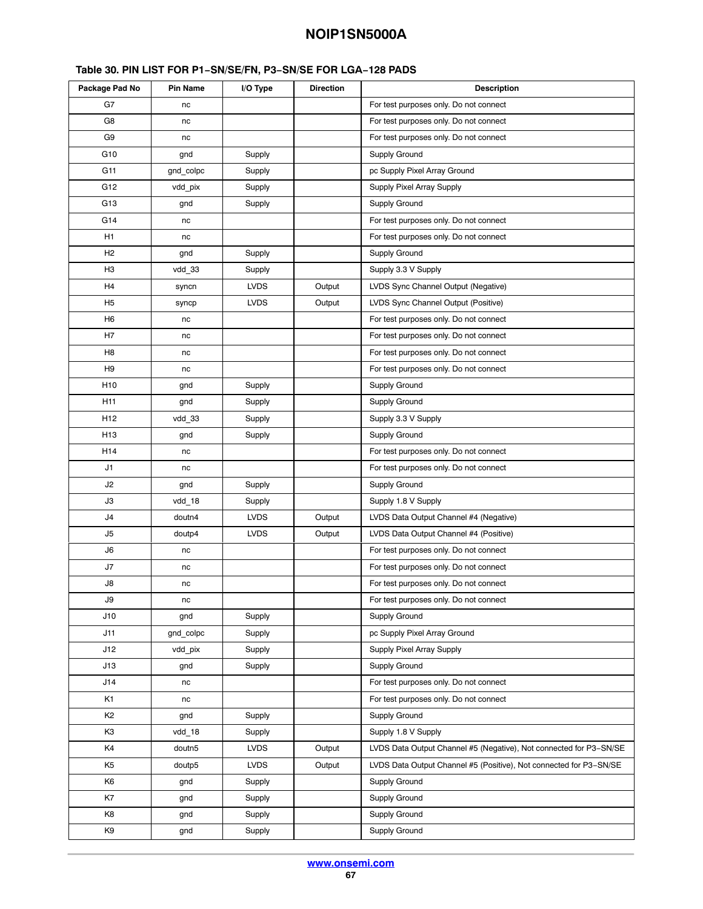| Package Pad No  | <b>Pin Name</b> | I/O Type    | <b>Direction</b> | <b>Description</b>                                                 |
|-----------------|-----------------|-------------|------------------|--------------------------------------------------------------------|
| G7              | nc              |             |                  | For test purposes only. Do not connect                             |
| G8              | nc              |             |                  | For test purposes only. Do not connect                             |
| G9              | nc              |             |                  | For test purposes only. Do not connect                             |
| G10             | gnd             | Supply      |                  | Supply Ground                                                      |
| G11             | gnd_colpc       | Supply      |                  | pc Supply Pixel Array Ground                                       |
| G12             | vdd_pix         | Supply      |                  | Supply Pixel Array Supply                                          |
| G13             | gnd             | Supply      |                  | Supply Ground                                                      |
| G14             | nc              |             |                  | For test purposes only. Do not connect                             |
| H1              | nc              |             |                  | For test purposes only. Do not connect                             |
| H <sub>2</sub>  | gnd             | Supply      |                  | Supply Ground                                                      |
| HЗ              | vdd 33          | Supply      |                  | Supply 3.3 V Supply                                                |
| H4              | syncn           | <b>LVDS</b> | Output           | LVDS Sync Channel Output (Negative)                                |
| H <sub>5</sub>  | syncp           | <b>LVDS</b> | Output           | LVDS Sync Channel Output (Positive)                                |
| H <sub>6</sub>  | nc              |             |                  | For test purposes only. Do not connect                             |
| H7              | nc              |             |                  | For test purposes only. Do not connect                             |
| H8              | nc              |             |                  | For test purposes only. Do not connect                             |
| H <sub>9</sub>  | nc              |             |                  | For test purposes only. Do not connect                             |
| H <sub>10</sub> | gnd             | Supply      |                  | Supply Ground                                                      |
| H11             | gnd             | Supply      |                  | <b>Supply Ground</b>                                               |
| H <sub>12</sub> | vdd_33          | Supply      |                  | Supply 3.3 V Supply                                                |
| H13             | gnd             | Supply      |                  | Supply Ground                                                      |
| H14             | nc              |             |                  | For test purposes only. Do not connect                             |
| J1              | nc              |             |                  | For test purposes only. Do not connect                             |
| J2              | gnd             | Supply      |                  | Supply Ground                                                      |
| JЗ              | vdd_18          | Supply      |                  | Supply 1.8 V Supply                                                |
| J4              | doutn4          | <b>LVDS</b> | Output           | LVDS Data Output Channel #4 (Negative)                             |
| J5              | doutp4          | <b>LVDS</b> | Output           | LVDS Data Output Channel #4 (Positive)                             |
| J6              | nc              |             |                  | For test purposes only. Do not connect                             |
| J7              | nc              |             |                  | For test purposes only. Do not connect                             |
| J8              | nc              |             |                  | For test purposes only. Do not connect                             |
| J9              | nc              |             |                  | For test purposes only. Do not connect                             |
| J10             | gnd             | Supply      |                  | Supply Ground                                                      |
| J11             | gnd colpc       | Supply      |                  | pc Supply Pixel Array Ground                                       |
| J12             | vdd pix         | Supply      |                  | Supply Pixel Array Supply                                          |
| J13             | gnd             | Supply      |                  | Supply Ground                                                      |
| J14             | nc              |             |                  | For test purposes only. Do not connect                             |
| K1              | nc              |             |                  | For test purposes only. Do not connect                             |
| K <sub>2</sub>  | gnd             | Supply      |                  | Supply Ground                                                      |
| K <sub>3</sub>  | $vdd_18$        | Supply      |                  | Supply 1.8 V Supply                                                |
| K4              | doutn5          | LVDS        | Output           | LVDS Data Output Channel #5 (Negative), Not connected for P3-SN/SE |
| K <sub>5</sub>  | doutp5          | <b>LVDS</b> | Output           | LVDS Data Output Channel #5 (Positive), Not connected for P3-SN/SE |
| K6              | gnd             | Supply      |                  | Supply Ground                                                      |
| K7              | gnd             | Supply      |                  | Supply Ground                                                      |
| K8              | gnd             | Supply      |                  | Supply Ground                                                      |
| K9              | gnd             | Supply      |                  | Supply Ground                                                      |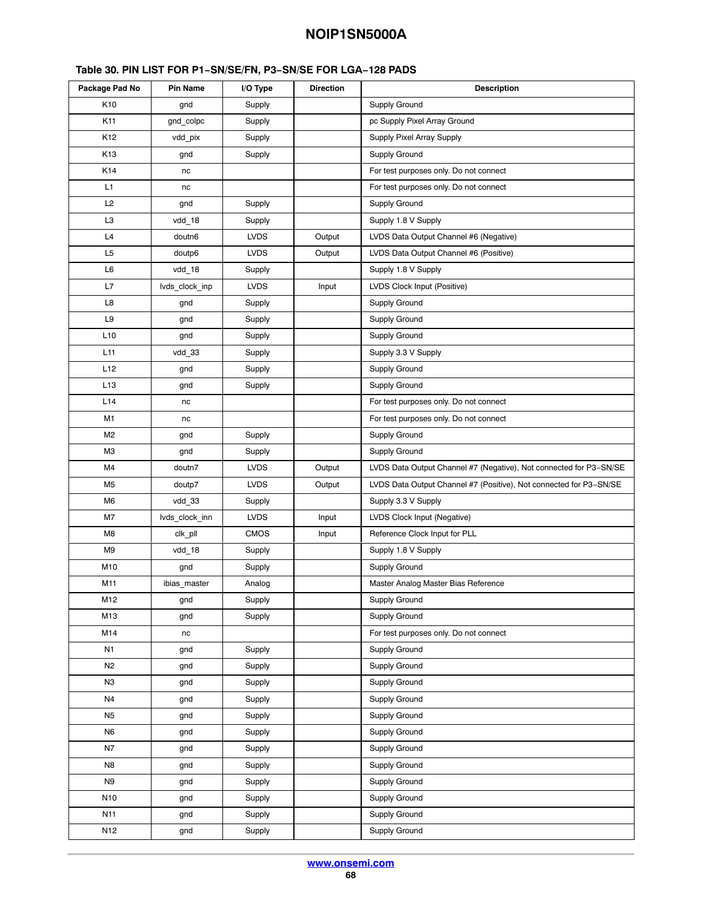| Package Pad No  | <b>Pin Name</b> | I/O Type    | <b>Direction</b> | <b>Description</b>                                                 |
|-----------------|-----------------|-------------|------------------|--------------------------------------------------------------------|
| K <sub>10</sub> | gnd             | Supply      |                  | Supply Ground                                                      |
| K11             | gnd colpc       | Supply      |                  | pc Supply Pixel Array Ground                                       |
| K <sub>12</sub> | vdd pix         | Supply      |                  | Supply Pixel Array Supply                                          |
| K <sub>13</sub> | gnd             | Supply      |                  | Supply Ground                                                      |
| K14             | nc              |             |                  | For test purposes only. Do not connect                             |
| L1              | nc              |             |                  | For test purposes only. Do not connect                             |
| L2              | gnd             | Supply      |                  | Supply Ground                                                      |
| L3              | vdd 18          | Supply      |                  | Supply 1.8 V Supply                                                |
| L4              | doutn6          | <b>LVDS</b> | Output           | LVDS Data Output Channel #6 (Negative)                             |
| L <sub>5</sub>  | doutp6          | <b>LVDS</b> | Output           | LVDS Data Output Channel #6 (Positive)                             |
| L6              | vdd 18          | Supply      |                  | Supply 1.8 V Supply                                                |
| L7              | lvds clock inp  | <b>LVDS</b> | Input            | LVDS Clock Input (Positive)                                        |
| L8              | gnd             | Supply      |                  | Supply Ground                                                      |
| L9              | gnd             | Supply      |                  | Supply Ground                                                      |
| L10             | gnd             | Supply      |                  | Supply Ground                                                      |
| L <sub>11</sub> | vdd_33          | Supply      |                  | Supply 3.3 V Supply                                                |
| L12             | gnd             | Supply      |                  | Supply Ground                                                      |
| L <sub>13</sub> | gnd             | Supply      |                  | Supply Ground                                                      |
| L14             | nc              |             |                  | For test purposes only. Do not connect                             |
| M1              | nc              |             |                  | For test purposes only. Do not connect                             |
| M2              | gnd             | Supply      |                  | Supply Ground                                                      |
| ΜЗ              | gnd             | Supply      |                  | Supply Ground                                                      |
| M4              | doutn7          | <b>LVDS</b> | Output           | LVDS Data Output Channel #7 (Negative), Not connected for P3-SN/SE |
| M <sub>5</sub>  | doutp7          | <b>LVDS</b> | Output           | LVDS Data Output Channel #7 (Positive), Not connected for P3-SN/SE |
| M6              | vdd_33          | Supply      |                  | Supply 3.3 V Supply                                                |
| M7              | lvds_clock_inn  | <b>LVDS</b> | Input            | LVDS Clock Input (Negative)                                        |
| M8              | clk_pll         | <b>CMOS</b> | Input            | Reference Clock Input for PLL                                      |
| M9              | $vdd_18$        | Supply      |                  | Supply 1.8 V Supply                                                |
| M10             | gnd             | Supply      |                  | Supply Ground                                                      |
| M11             | ibias master    | Analog      |                  | Master Analog Master Bias Reference                                |
| M12             | gnd             | Supply      |                  | Supply Ground                                                      |
| M13             | gnd             | Supply      |                  | Supply Ground                                                      |
| M14             | nc              |             |                  | For test purposes only. Do not connect                             |
| N <sub>1</sub>  | gnd             | Supply      |                  | Supply Ground                                                      |
| N2              | gnd             | Supply      |                  | Supply Ground                                                      |
| N3              | gnd             | Supply      |                  | Supply Ground                                                      |
| N4              | gnd             | Supply      |                  | Supply Ground                                                      |
| N <sub>5</sub>  | gnd             | Supply      |                  | Supply Ground                                                      |
| N6              | gnd             | Supply      |                  | Supply Ground                                                      |
| N7              | gnd             | Supply      |                  | Supply Ground                                                      |
| N8              | gnd             | Supply      |                  | Supply Ground                                                      |
| N9              | gnd             | Supply      |                  | Supply Ground                                                      |
| N <sub>10</sub> | gnd             | Supply      |                  | Supply Ground                                                      |
| N <sub>11</sub> | gnd             | Supply      |                  | Supply Ground                                                      |
| N12             | gnd             | Supply      |                  | Supply Ground                                                      |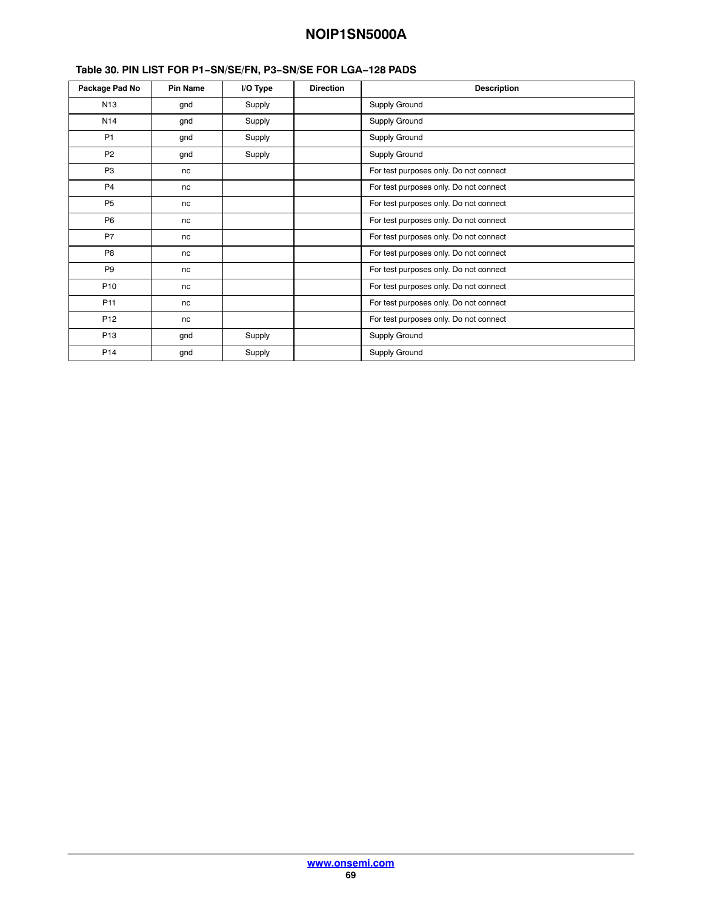| Package Pad No  | <b>Pin Name</b> | I/O Type | <b>Direction</b> | <b>Description</b>                     |
|-----------------|-----------------|----------|------------------|----------------------------------------|
| N <sub>13</sub> | gnd             | Supply   |                  | Supply Ground                          |
| N <sub>14</sub> | gnd             | Supply   |                  | Supply Ground                          |
| P <sub>1</sub>  | gnd             | Supply   |                  | Supply Ground                          |
| P <sub>2</sub>  | gnd             | Supply   |                  | Supply Ground                          |
| P <sub>3</sub>  | nc              |          |                  | For test purposes only. Do not connect |
| P <sub>4</sub>  | nc              |          |                  | For test purposes only. Do not connect |
| P <sub>5</sub>  | nc              |          |                  | For test purposes only. Do not connect |
| P <sub>6</sub>  | nc              |          |                  | For test purposes only. Do not connect |
| P7              | nc              |          |                  | For test purposes only. Do not connect |
| P <sub>8</sub>  | nc              |          |                  | For test purposes only. Do not connect |
| P <sub>9</sub>  | nc              |          |                  | For test purposes only. Do not connect |
| P <sub>10</sub> | nc              |          |                  | For test purposes only. Do not connect |
| P <sub>11</sub> | nc              |          |                  | For test purposes only. Do not connect |
| P <sub>12</sub> | nc              |          |                  | For test purposes only. Do not connect |
| P <sub>13</sub> | gnd             | Supply   |                  | Supply Ground                          |
| P <sub>14</sub> | gnd             | Supply   |                  | Supply Ground                          |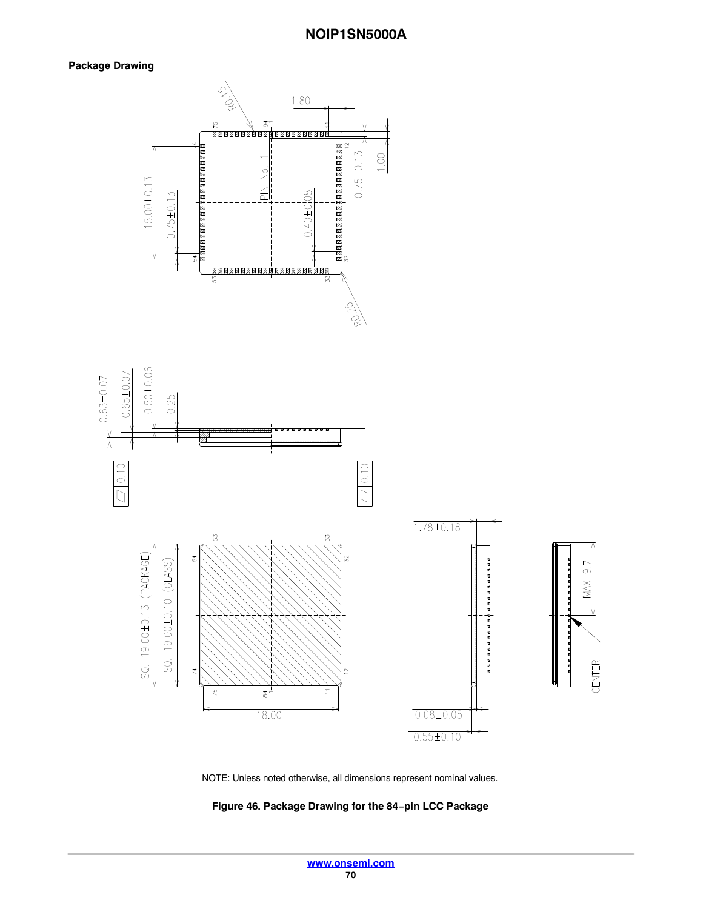### **Package Drawing**



NOTE: Unless noted otherwise, all dimensions represent nominal values.

#### **Figure 46. Package Drawing for the 84−pin LCC Package**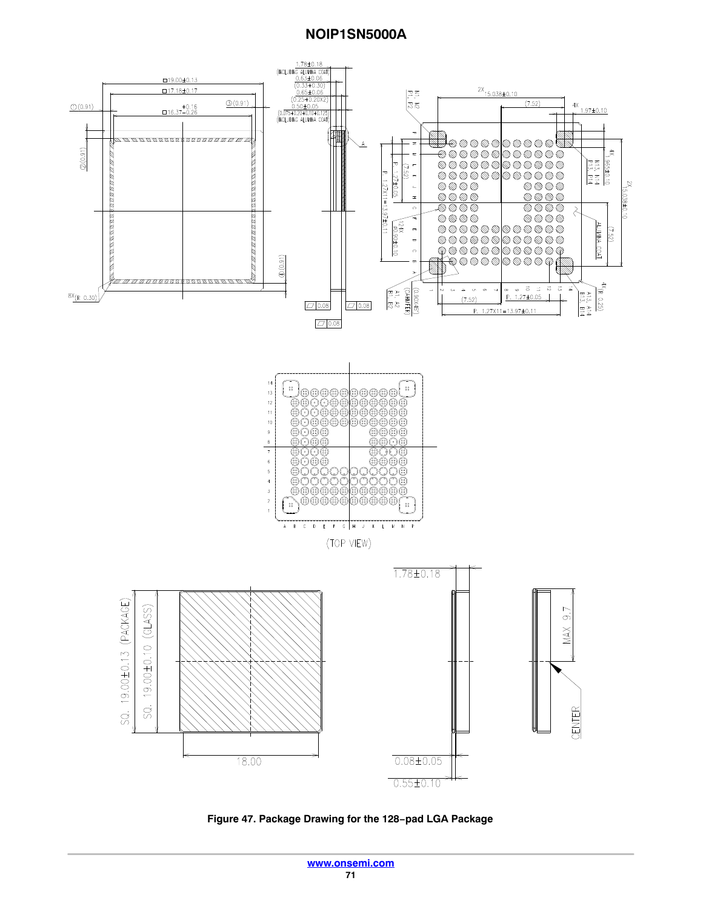

**Figure 47. Package Drawing for the 128−pad LGA Package**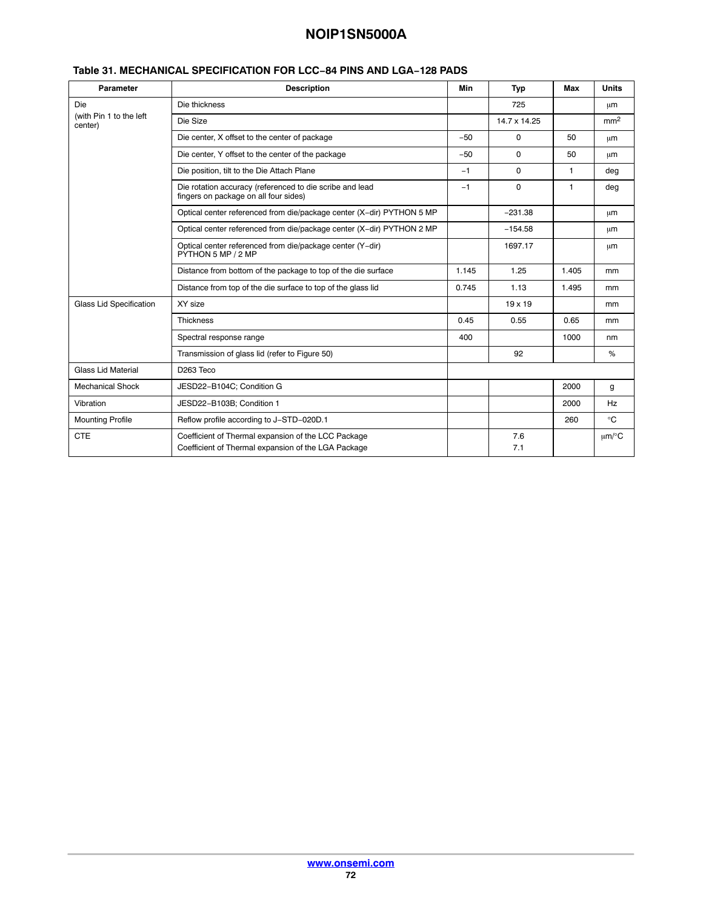| Parameter                          | <b>Description</b>                                                                                         | Min   | Typ            | Max   | <b>Units</b>    |
|------------------------------------|------------------------------------------------------------------------------------------------------------|-------|----------------|-------|-----------------|
| Die                                | Die thickness                                                                                              |       | 725            |       | μm              |
| (with Pin 1 to the left<br>center) | Die Size                                                                                                   |       | 14.7 x 14.25   |       | mm <sup>2</sup> |
|                                    | Die center, X offset to the center of package                                                              | $-50$ | $\Omega$       | 50    | $\mu$ m         |
|                                    | Die center, Y offset to the center of the package                                                          | $-50$ | 0              | 50    | μm              |
|                                    | Die position, tilt to the Die Attach Plane                                                                 | $-1$  | $\Omega$       | 1     | deg             |
|                                    | Die rotation accuracy (referenced to die scribe and lead<br>fingers on package on all four sides)          | $-1$  | $\Omega$       | 1     | deg             |
|                                    | Optical center referenced from die/package center (X-dir) PYTHON 5 MP                                      |       | $-231.38$      |       | μm              |
|                                    | Optical center referenced from die/package center (X-dir) PYTHON 2 MP                                      |       | $-154.58$      |       | μm              |
|                                    | Optical center referenced from die/package center (Y-dir)<br>PYTHON 5 MP / 2 MP                            |       | 1697.17        |       | μm              |
|                                    | Distance from bottom of the package to top of the die surface                                              | 1.145 | 1.25           | 1.405 | mm              |
|                                    | Distance from top of the die surface to top of the glass lid                                               | 0.745 | 1.13           | 1.495 | mm              |
| Glass Lid Specification            | XY size                                                                                                    |       | $19 \times 19$ |       | mm              |
|                                    | Thickness                                                                                                  | 0.45  | 0.55           | 0.65  | mm              |
|                                    | Spectral response range                                                                                    | 400   |                | 1000  | nm              |
|                                    | Transmission of glass lid (refer to Figure 50)                                                             |       | 92             |       | %               |
| Glass Lid Material                 | D <sub>263</sub> Teco                                                                                      |       |                |       |                 |
| <b>Mechanical Shock</b>            | JESD22-B104C; Condition G                                                                                  |       |                | 2000  | g               |
| Vibration                          | JESD22-B103B; Condition 1                                                                                  |       |                | 2000  | <b>Hz</b>       |
| <b>Mounting Profile</b>            | Reflow profile according to J-STD-020D.1                                                                   |       |                | 260   | $^{\circ}C$     |
| <b>CTE</b>                         | Coefficient of Thermal expansion of the LCC Package<br>Coefficient of Thermal expansion of the LGA Package |       | 7.6<br>7.1     |       | $\mu$ m/°C      |

### **Table 31. MECHANICAL SPECIFICATION FOR LCC−84 PINS AND LGA−128 PADS**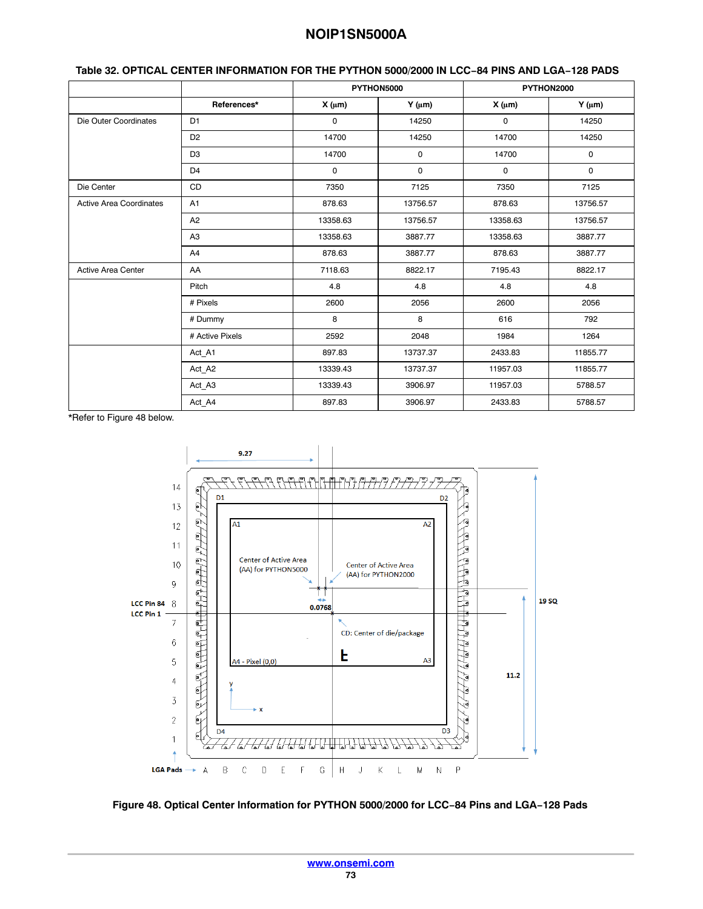|                                |                 | PYTHON5000 |                | PYTHON2000     |                |
|--------------------------------|-----------------|------------|----------------|----------------|----------------|
|                                | References*     | $X(\mu m)$ | $Y$ ( $\mu$ m) | $X$ ( $\mu$ m) | $Y$ ( $\mu$ m) |
| Die Outer Coordinates          | D <sub>1</sub>  | 0          | 14250          | 0              | 14250          |
|                                | D <sub>2</sub>  | 14700      | 14250          | 14700          | 14250          |
|                                | D <sub>3</sub>  | 14700      | 0              | 14700          | 0              |
|                                | D <sub>4</sub>  | 0          | $\mathbf 0$    | 0              | 0              |
| Die Center                     | <b>CD</b>       | 7350       | 7125           | 7350           | 7125           |
| <b>Active Area Coordinates</b> | A <sub>1</sub>  | 878.63     | 13756.57       | 878.63         | 13756.57       |
|                                | A2              | 13358.63   | 13756.57       | 13358.63       | 13756.57       |
|                                | A <sub>3</sub>  | 13358.63   | 3887.77        | 13358.63       | 3887.77        |
|                                | A <sub>4</sub>  | 878.63     | 3887.77        | 878.63         | 3887.77        |
| <b>Active Area Center</b>      | AA              | 7118.63    | 8822.17        | 7195.43        | 8822.17        |
|                                | Pitch           | 4.8        | 4.8            | 4.8            | 4.8            |
|                                | # Pixels        | 2600       | 2056           | 2600           | 2056           |
|                                | # Dummy         | 8          | 8              | 616            | 792            |
|                                | # Active Pixels | 2592       | 2048           | 1984           | 1264           |
|                                | Act_A1          | 897.83     | 13737.37       | 2433.83        | 11855.77       |
|                                | Act_A2          | 13339.43   | 13737.37       | 11957.03       | 11855.77       |
|                                | Act A3          | 13339.43   | 3906.97        | 11957.03       | 5788.57        |
|                                | Act A4          | 897.83     | 3906.97        | 2433.83        | 5788.57        |

#### **Table 32. OPTICAL CENTER INFORMATION FOR THE PYTHON 5000/2000 IN LCC−84 PINS AND LGA−128 PADS**

\*Refer to Figure 48 below.



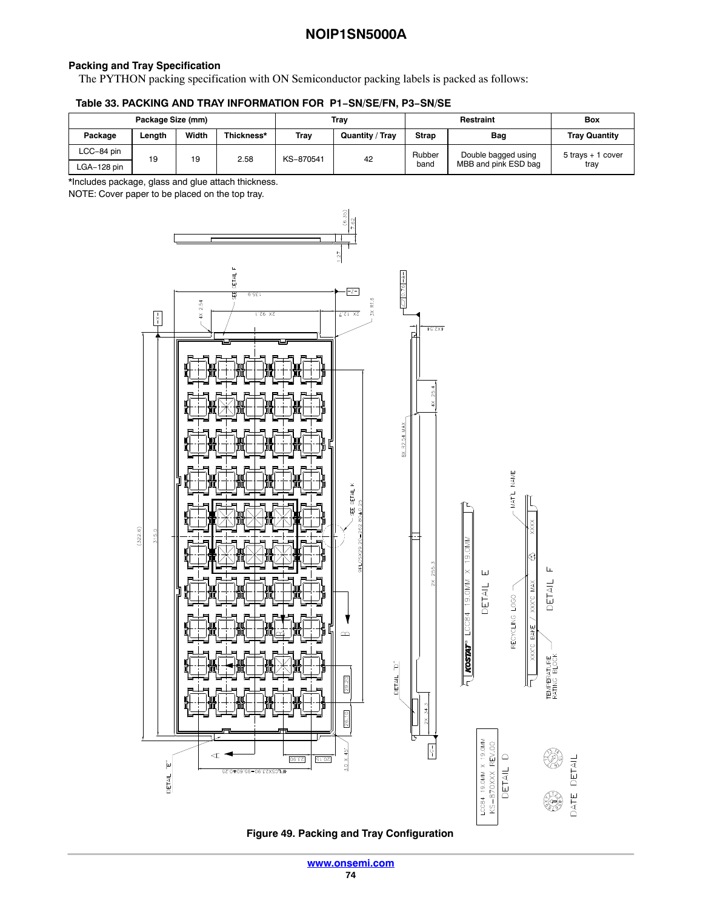## **Packing and Tray Specification**

The PYTHON packing specification with ON Semiconductor packing labels is packed as follows:

## **Table 33. PACKING AND TRAY INFORMATION FOR P1−SN/SE/FN, P3−SN/SE**

| Package Size (mm) |        |       | Trav       |           | Restraint       |                | <b>Box</b>                                  |                           |
|-------------------|--------|-------|------------|-----------|-----------------|----------------|---------------------------------------------|---------------------------|
| Package           | Length | Width | Thickness* | Trav      | Quantity / Tray | <b>Strap</b>   | Bag                                         | <b>Tray Quantity</b>      |
| LCC-84 pin        | 19     | 19    | 2.58       | KS-870541 | 42              | Rubber<br>band | Double bagged using<br>MBB and pink ESD bag | 5 travs + 1 cover<br>trav |
| ∟GA–128 pin       |        |       |            |           |                 |                |                                             |                           |

\*Includes package, glass and glue attach thickness.

NOTE: Cover paper to be placed on the top tray.



**Figure 49. Packing and Tray Configuration**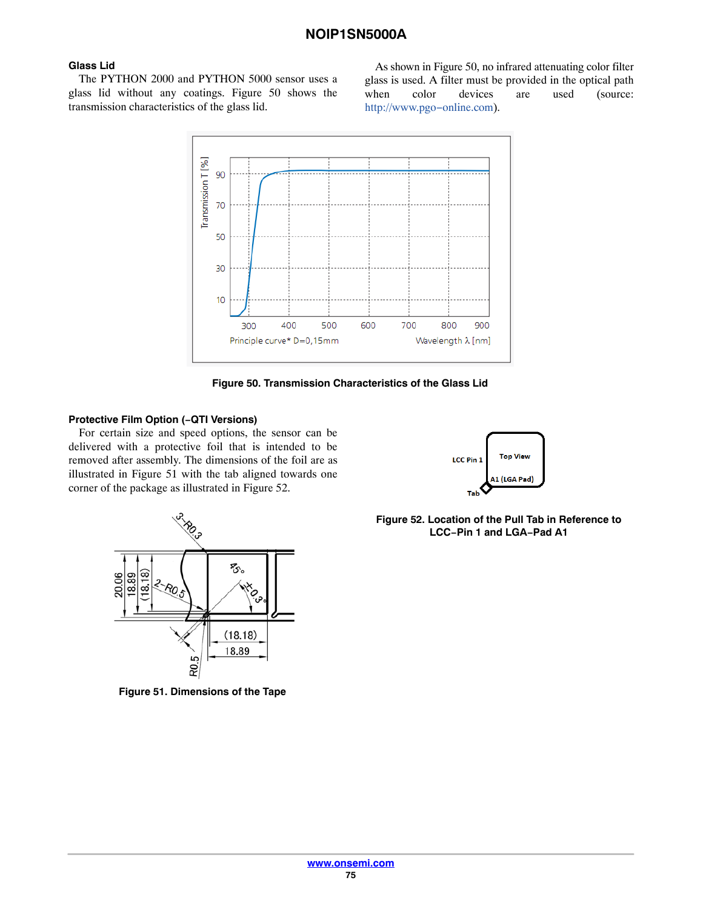# **Glass Lid**

The PYTHON 2000 and PYTHON 5000 sensor uses a glass lid without any coatings. Figure 50 shows the transmission characteristics of the glass lid.

As shown in Figure 50, no infrared attenuating color filter glass is used. A filter must be provided in the optical path when color devices are used (source: http://www.pgo−online.com).



**Figure 50. Transmission Characteristics of the Glass Lid**

## **Protective Film Option (−QTI Versions)**

For certain size and speed options, the sensor can be delivered with a protective foil that is intended to be removed after assembly. The dimensions of the foil are as illustrated in Figure 51 with the tab aligned towards one corner of the package as illustrated in Figure 52.



**Figure 52. Location of the Pull Tab in Reference to LCC−Pin 1 and LGA−Pad A1**



**Figure 51. Dimensions of the Tape**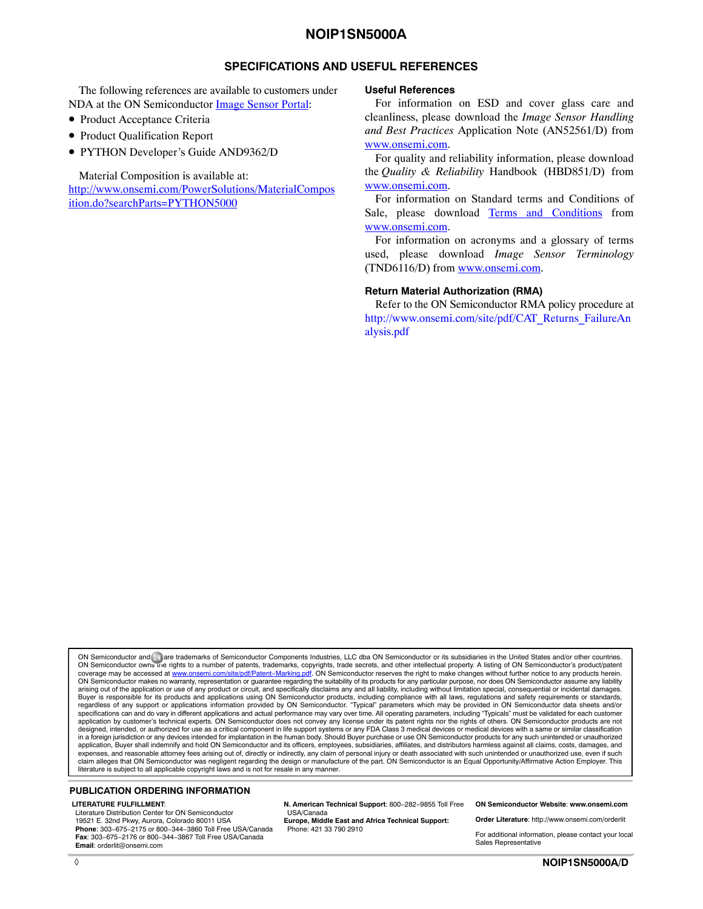## **SPECIFICATIONS AND USEFUL REFERENCES**

The following references are available to customers under NDA at the ON Semiconductor **Image Sensor Portal:** 

- Product Acceptance Criteria
- Product Qualification Report
- PYTHON Developer's Guide AND9362/D

Material Composition is available at:

<http://www.onsemi.com/PowerSolutions/MaterialCompos> [ition.do?searchParts=PYTHON5000](http://www.onsemi.com/PowerSolutions/MaterialCompos)

#### **Useful References**

For information on ESD and cover glass care and cleanliness, please download the *Image Sensor Handling and Best Practices* Application Note (AN52561/D) from [www.onsemi.com.](http://onsemi.com)

For quality and reliability information, please download the *Quality & Reliability* Handbook (HBD851/D) from [www.onsemi.com.](http://onsemi.com)

For information on Standard terms and Conditions of Sale, please download [Terms and Conditions](http://www.onsemi.com/site/pdf/ONSEMI_T&C.pdf) from [www.onsemi.com.](http://onsemi.com)

For information on acronyms and a glossary of terms used, please download *Image Sensor Terminology* (TND6116/D) from [www.onsemi.com](http://onsemi.com).

### **Return Material Authorization (RMA)**

Refer to the ON Semiconductor RMA policy procedure at [http://www.onsemi.com/site/pdf/CAT\\_Returns\\_FailureAn](http://www.onsemi.com/site/pdf/CAT_Returns_FailureAnalysis.pdf) [alysis.pdf](http://www.onsemi.com/site/pdf/CAT_Returns_FailureAnalysis.pdf)

ON Semiconductor and (H) are trademarks of Semiconductor Components Industries, LLC dba ON Semiconductor or its subsidiaries in the United States and/or other countries ON Semiconductor owns tne rights to a number of patents, trademarks, copyrights, trade secrets, and other intellectual property. A listing of ON Semiconductor's product/patent<br>coverage may be accessed at <u>www.onsemi.com/si</u> ON Semiconductor makes no warranty, representation or guarantee regarding the suitability of its products for any particular purpose, nor does ON Semiconductor assume any liability arising out of the application or use of any product or circuit, and specifically disclaims any and all liability, including without limitation special, consequential or incidental damages.<br>Buyer is responsible for its pro regardless of any support or applications information provided by ON Semiconductor. "Typical" parameters which may be provided in ON Semiconductor data sheets and/or<br>specifications can and do vary in different applications application by customer's technical experts. ON Semiconductor does not convey any license under its patent rights nor the rights of others. ON Semiconductor products are not designed, intended, or authorized for use as a critical component in life support systems or any FDA Class 3 medical devices or medical devices with a same or similar classification<br>in a foreign jurisdiction or any devices application, Buyer shall indemnify and hold ON Semiconductor and its officers, employees, subsidiaries, affiliates, and distributors harmless against all claims, costs, damages, and expenses, and reasonable attorney fees arising out of, directly or indirectly, any claim of personal injury or death associated with such unintended or unauthorized use, even if such<br>claim alleges that ON Semiconductor was literature is subject to all applicable copyright laws and is not for resale in any manner.

#### **PUBLICATION ORDERING INFORMATION**

#### **LITERATURE FULFILLMENT**:

Literature Distribution Center for ON Semiconductor 19521 E. 32nd Pkwy, Aurora, Colorado 80011 USA **Phone**: 303−675−2175 or 800−344−3860 Toll Free USA/Canada **Fax**: 303−675−2176 or 800−344−3867 Toll Free USA/Canada **Email**: orderlit@onsemi.com

**N. American Technical Support**: 800−282−9855 Toll Free USA/Canada

**Europe, Middle East and Africa Technical Support:** Phone: 421 33 790 2910

**ON Semiconductor Website**: **www.onsemi.com**

**Order Literature**: http://www.onsemi.com/orderlit

For additional information, please contact your local Sales Representative